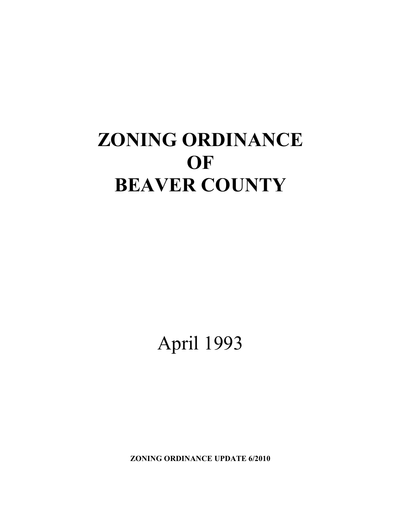# **ZONING ORDINANCE OF BEAVER COUNTY**

April 1993

**ZONING ORDINANCE UPDATE 6/2010**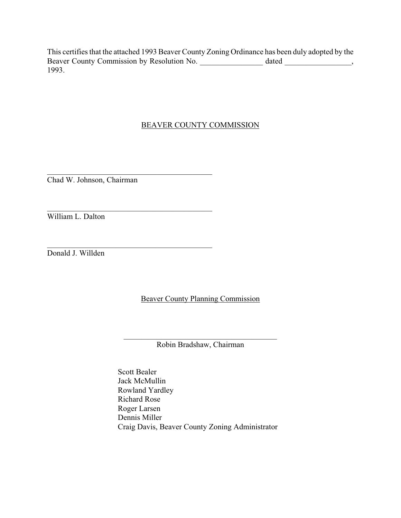This certifies that the attached 1993 Beaver County Zoning Ordinance has been duly adopted by the Beaver County Commission by Resolution No. \_\_\_\_\_\_\_\_\_\_\_\_\_\_\_\_\_\_\_\_\_ dated \_\_\_\_\_\_\_\_\_\_\_\_\_\_\_, 1993.

### BEAVER COUNTY COMMISSION

 $\mathcal{L}_\mathcal{L}$  , where the contribution of the contribution of  $\mathcal{L}_\mathcal{L}$ Chad W. Johnson, Chairman

 $\mathcal{L}_\mathcal{L}$  , where the contribution of the contribution of  $\mathcal{L}_\mathcal{L}$ 

 $\mathcal{L}_\mathcal{L}$  , where the contribution of the contribution of  $\mathcal{L}_\mathcal{L}$ 

William L. Dalton

Donald J. Willden

Beaver County Planning Commission

\_\_\_\_\_\_\_\_\_\_\_\_\_\_\_\_\_\_\_\_\_\_\_\_\_\_\_\_\_\_\_\_\_\_\_\_\_\_\_ Robin Bradshaw, Chairman

Scott Bealer Jack McMullin Rowland Yardley Richard Rose Roger Larsen Dennis Miller Craig Davis, Beaver County Zoning Administrator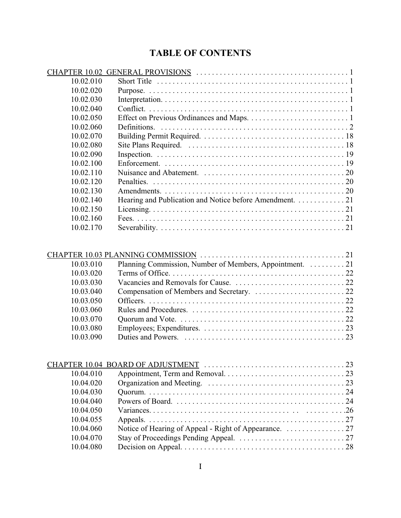# **TABLE OF CONTENTS**

| 10.02.010 | Short Title $\dots \dots \dots \dots \dots \dots \dots \dots \dots \dots \dots \dots \dots \dots \dots \dots \dots$ |  |
|-----------|---------------------------------------------------------------------------------------------------------------------|--|
| 10.02.020 |                                                                                                                     |  |
| 10.02.030 |                                                                                                                     |  |
| 10.02.040 |                                                                                                                     |  |
| 10.02.050 |                                                                                                                     |  |
| 10.02.060 |                                                                                                                     |  |
| 10.02.070 |                                                                                                                     |  |
| 10.02.080 |                                                                                                                     |  |
| 10.02.090 |                                                                                                                     |  |
| 10.02.100 |                                                                                                                     |  |
| 10.02.110 |                                                                                                                     |  |
| 10.02.120 |                                                                                                                     |  |
| 10.02.130 |                                                                                                                     |  |
| 10.02.140 | Hearing and Publication and Notice before Amendment. 21                                                             |  |
| 10.02.150 |                                                                                                                     |  |
| 10.02.160 |                                                                                                                     |  |
| 10.02.170 |                                                                                                                     |  |

| 10.03.010 | Planning Commission, Number of Members, Appointment. 21 |  |
|-----------|---------------------------------------------------------|--|
| 10.03.020 |                                                         |  |
| 10.03.030 |                                                         |  |
| 10.03.040 |                                                         |  |
| 10.03.050 |                                                         |  |
| 10.03.060 |                                                         |  |
| 10.03.070 |                                                         |  |
| 10.03.080 |                                                         |  |
| 10.03.090 |                                                         |  |
|           |                                                         |  |

| 10.04.010 |  |
|-----------|--|
| 10.04.020 |  |
| 10.04.030 |  |
| 10.04.040 |  |
| 10.04.050 |  |
| 10.04.055 |  |
| 10.04.060 |  |
| 10.04.070 |  |
| 10.04.080 |  |
|           |  |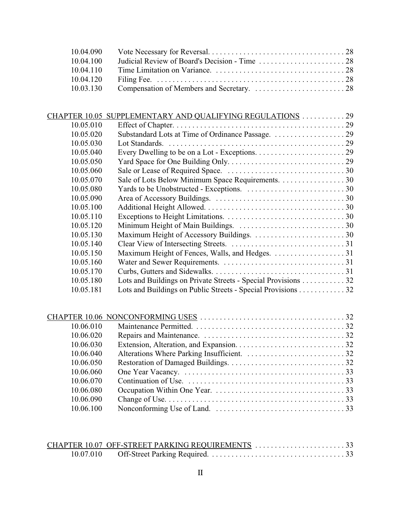| 10.04.100 |  |
|-----------|--|
| 10.04.110 |  |
|           |  |
|           |  |

| CHAPTER 10.05 | SUPPLEMENTARY AND QUALIFYING REGULATIONS 29                   |  |
|---------------|---------------------------------------------------------------|--|
| 10.05.010     |                                                               |  |
| 10.05.020     |                                                               |  |
| 10.05.030     |                                                               |  |
| 10.05.040     |                                                               |  |
| 10.05.050     |                                                               |  |
| 10.05.060     |                                                               |  |
| 10.05.070     | Sale of Lots Below Minimum Space Requirements. 30             |  |
| 10.05.080     |                                                               |  |
| 10.05.090     |                                                               |  |
| 10.05.100     |                                                               |  |
| 10.05.110     |                                                               |  |
| 10.05.120     |                                                               |  |
| 10.05.130     |                                                               |  |
| 10.05.140     |                                                               |  |
| 10.05.150     |                                                               |  |
| 10.05.160     |                                                               |  |
| 10.05.170     |                                                               |  |
| 10.05.180     | Lots and Buildings on Private Streets - Special Provisions 32 |  |
| 10.05.181     | Lots and Buildings on Public Streets - Special Provisions 32  |  |
|               |                                                               |  |

| 10.06.010 |  |
|-----------|--|
| 10.06.020 |  |
| 10.06.030 |  |
| 10.06.040 |  |
| 10.06.050 |  |
| 10.06.060 |  |
| 10.06.070 |  |
| 10.06.080 |  |
| 10.06.090 |  |
| 10.06.100 |  |
|           |  |

| CHAPTER 10.07 OFF-STREET PARKING REQUIREMENTS 33 |  |
|--------------------------------------------------|--|
|                                                  |  |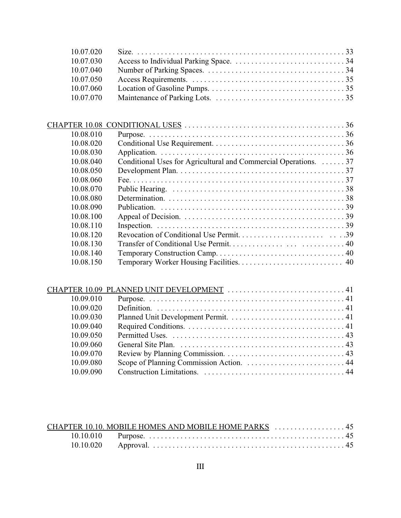| 10.07.020 |  |
|-----------|--|
| 10.07.030 |  |
| 10.07.040 |  |
| 10.07.050 |  |
| 10.07.060 |  |
|           |  |

| CHAPTER 10.08 |                                                                  |  |
|---------------|------------------------------------------------------------------|--|
| 10.08.010     |                                                                  |  |
| 10.08.020     |                                                                  |  |
| 10.08.030     |                                                                  |  |
| 10.08.040     | Conditional Uses for Agricultural and Commercial Operations.  37 |  |
| 10.08.050     |                                                                  |  |
| 10.08.060     |                                                                  |  |
| 10.08.070     |                                                                  |  |
| 10.08.080     |                                                                  |  |
| 10.08.090     |                                                                  |  |
| 10.08.100     |                                                                  |  |
| 10.08.110     |                                                                  |  |
| 10.08.120     |                                                                  |  |
| 10.08.130     |                                                                  |  |
| 10.08.140     |                                                                  |  |
| 10.08.150     |                                                                  |  |
|               |                                                                  |  |

| 10.09.010 |  |
|-----------|--|
| 10.09.020 |  |
| 10.09.030 |  |
| 10.09.040 |  |
| 10.09.050 |  |
| 10.09.060 |  |
| 10.09.070 |  |
| 10.09.080 |  |
| 10.09.090 |  |

| CHAPTER 10.10. MOBILE HOMES AND MOBILE HOME PARKS  45 |  |
|-------------------------------------------------------|--|
|                                                       |  |
|                                                       |  |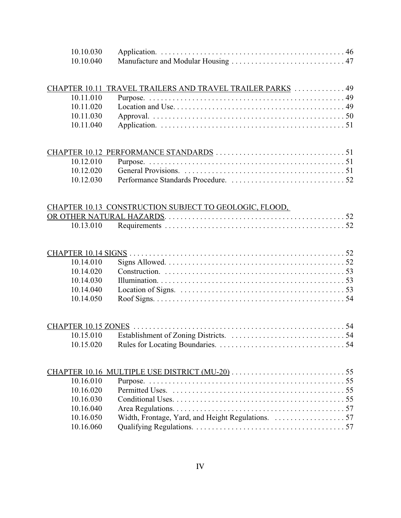|           | CHAPTER 10.11 TRAVEL TRAILERS AND TRAVEL TRAILER PARKS  49 |  |
|-----------|------------------------------------------------------------|--|
|           |                                                            |  |
|           |                                                            |  |
|           |                                                            |  |
| 10.11.040 |                                                            |  |

| 10.12.030 |  |
|-----------|--|

| CHAPTER 10.13 CONSTRUCTION SUBJECT TO GEOLOGIC, FLOOD, |  |
|--------------------------------------------------------|--|
|                                                        |  |
|                                                        |  |

| 10.16.010 |  |
|-----------|--|
| 10.16.020 |  |
| 10 16 030 |  |
| 10.16.040 |  |
| 10.16.050 |  |
| 10.16.060 |  |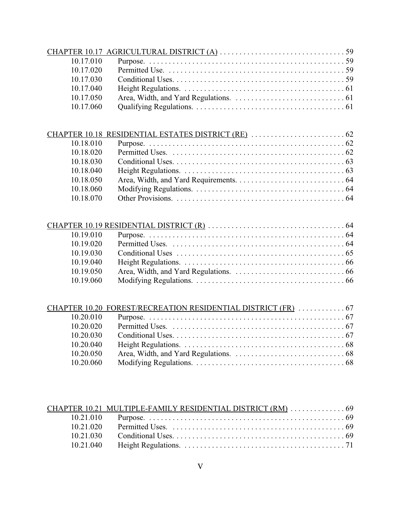| 10.17.010 |  |
|-----------|--|
| 10.17.020 |  |
| 10.17.030 |  |
| 10.17.040 |  |
| 10.17.050 |  |
| 10.17.060 |  |

| 10.18.010 |  |
|-----------|--|
| 10.18.020 |  |
| 10.18.030 |  |
| 10.18.040 |  |
| 10.18.050 |  |
| 10.18.060 |  |
| 10.18.070 |  |

## CHAPTER 10.19 RESIDENTIAL DISTRICT (R) . . . . . . . . . . . . . . . . . . . . . . . . . . . . . . . . . . . 64

| 10.19.010 |  |
|-----------|--|
| 10.19.020 |  |
| 10.19.030 |  |
| 10.19.040 |  |
| 10.19.050 |  |
| 10.19.060 |  |

|           | CHAPTER 10.20 FOREST/RECREATION RESIDENTIAL DISTRICT (FR)  67 |  |
|-----------|---------------------------------------------------------------|--|
| 10.20.010 |                                                               |  |
| 10.20.020 |                                                               |  |
| 10.20.030 |                                                               |  |
| 10.20.040 |                                                               |  |
| 10.20.050 |                                                               |  |
| 10.20.060 |                                                               |  |
|           |                                                               |  |

|           | CHAPTER 10.21 MULTIPLE-FAMILY RESIDENTIAL DISTRICT (RM)  69 |  |
|-----------|-------------------------------------------------------------|--|
|           |                                                             |  |
| 10 21 020 |                                                             |  |
| 10 21 030 |                                                             |  |
|           |                                                             |  |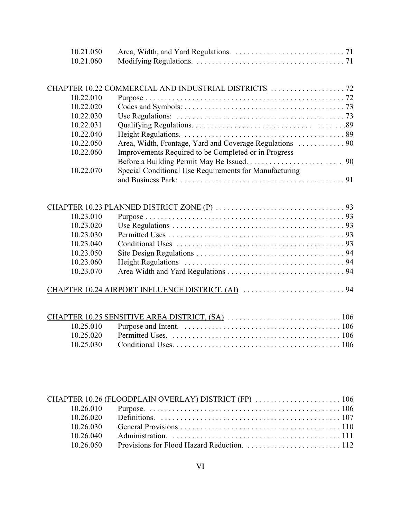| 10.21.050 |  |
|-----------|--|
| 10.21.060 |  |

| 10.22.010           |                                                        |                |
|---------------------|--------------------------------------------------------|----------------|
| 10.22.020           |                                                        |                |
| 10.22.030           |                                                        |                |
| 10.22.031           |                                                        |                |
| 10.22.040           |                                                        |                |
| 10.22.050           |                                                        |                |
| 10.22.060           | Improvements Required to be Completed or in Progress   |                |
|                     |                                                        |                |
| 10.22.070           | Special Conditional Use Requirements for Manufacturing |                |
|                     |                                                        |                |
|                     |                                                        |                |
|                     |                                                        |                |
|                     |                                                        |                |
| $10.23.010$ Purnose |                                                        | Q <sub>2</sub> |

| 10.23.010 |  |
|-----------|--|
| 10.23.020 |  |
| 10 23 030 |  |
| 10 23 040 |  |
| 10.23.050 |  |
| 10.23.060 |  |
| 10.23.070 |  |
|           |  |

| 10 26 030 |  |
|-----------|--|
| 10 26 040 |  |
| 10.26.050 |  |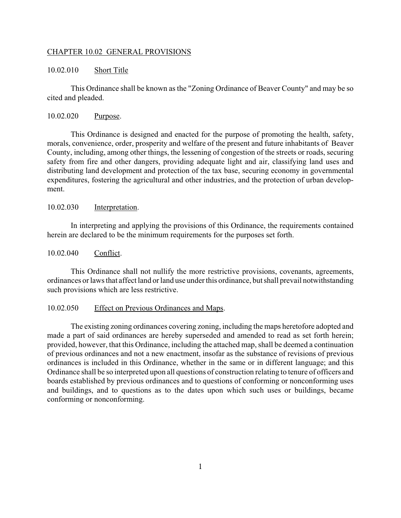#### CHAPTER 10.02 GENERAL PROVISIONS

#### 10.02.010 Short Title

This Ordinance shall be known as the "Zoning Ordinance of Beaver County" and may be so cited and pleaded.

#### 10.02.020 Purpose.

This Ordinance is designed and enacted for the purpose of promoting the health, safety, morals, convenience, order, prosperity and welfare of the present and future inhabitants of Beaver County, including, among other things, the lessening of congestion of the streets or roads, securing safety from fire and other dangers, providing adequate light and air, classifying land uses and distributing land development and protection of the tax base, securing economy in governmental expenditures, fostering the agricultural and other industries, and the protection of urban development.

#### 10.02.030 Interpretation.

In interpreting and applying the provisions of this Ordinance, the requirements contained herein are declared to be the minimum requirements for the purposes set forth.

#### 10.02.040 Conflict.

This Ordinance shall not nullify the more restrictive provisions, covenants, agreements, ordinances or laws that affect land or land use under this ordinance, but shall prevail notwithstanding such provisions which are less restrictive.

#### 10.02.050 Effect on Previous Ordinances and Maps.

The existing zoning ordinances covering zoning, including the maps heretofore adopted and made a part of said ordinances are hereby superseded and amended to read as set forth herein; provided, however, that this Ordinance, including the attached map, shall be deemed a continuation of previous ordinances and not a new enactment, insofar as the substance of revisions of previous ordinances is included in this Ordinance, whether in the same or in different language; and this Ordinance shall be so interpreted upon all questions of construction relating to tenure of officers and boards established by previous ordinances and to questions of conforming or nonconforming uses and buildings, and to questions as to the dates upon which such uses or buildings, became conforming or nonconforming.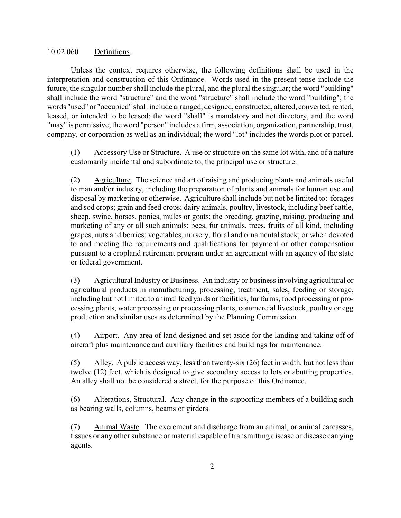#### 10.02.060 Definitions.

Unless the context requires otherwise, the following definitions shall be used in the interpretation and construction of this Ordinance. Words used in the present tense include the future; the singular number shall include the plural, and the plural the singular; the word "building" shall include the word "structure" and the word "structure" shall include the word "building"; the words "used" or "occupied" shall include arranged, designed, constructed, altered, converted, rented, leased, or intended to be leased; the word "shall" is mandatory and not directory, and the word "may" is permissive; the word "person" includes a firm, association, organization, partnership, trust, company, or corporation as well as an individual; the word "lot" includes the words plot or parcel.

(1) Accessory Use or Structure. A use or structure on the same lot with, and of a nature customarily incidental and subordinate to, the principal use or structure.

(2) Agriculture. The science and art of raising and producing plants and animals useful to man and/or industry, including the preparation of plants and animals for human use and disposal by marketing or otherwise. Agriculture shall include but not be limited to: forages and sod crops; grain and feed crops; dairy animals, poultry, livestock, including beef cattle, sheep, swine, horses, ponies, mules or goats; the breeding, grazing, raising, producing and marketing of any or all such animals; bees, fur animals, trees, fruits of all kind, including grapes, nuts and berries; vegetables, nursery, floral and ornamental stock; or when devoted to and meeting the requirements and qualifications for payment or other compensation pursuant to a cropland retirement program under an agreement with an agency of the state or federal government.

(3) Agricultural Industry or Business. An industry or business involving agricultural or agricultural products in manufacturing, processing, treatment, sales, feeding or storage, including but not limited to animal feed yards or facilities, fur farms, food processing or processing plants, water processing or processing plants, commercial livestock, poultry or egg production and similar uses as determined by the Planning Commission.

(4) Airport. Any area of land designed and set aside for the landing and taking off of aircraft plus maintenance and auxiliary facilities and buildings for maintenance.

(5) Alley. A public access way, less than twenty-six  $(26)$  feet in width, but not less than twelve (12) feet, which is designed to give secondary access to lots or abutting properties. An alley shall not be considered a street, for the purpose of this Ordinance.

(6) Alterations, Structural. Any change in the supporting members of a building such as bearing walls, columns, beams or girders.

(7) Animal Waste. The excrement and discharge from an animal, or animal carcasses, tissues or any other substance or material capable of transmitting disease or disease carrying agents.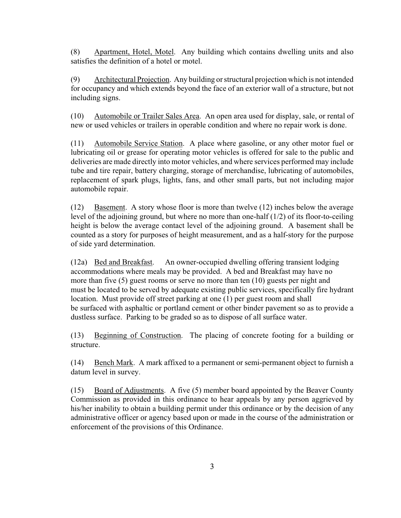(8) Apartment, Hotel, Motel. Any building which contains dwelling units and also satisfies the definition of a hotel or motel.

(9) Architectural Projection. Any building or structural projection which is not intended for occupancy and which extends beyond the face of an exterior wall of a structure, but not including signs.

(10) Automobile or Trailer Sales Area. An open area used for display, sale, or rental of new or used vehicles or trailers in operable condition and where no repair work is done.

(11) Automobile Service Station. A place where gasoline, or any other motor fuel or lubricating oil or grease for operating motor vehicles is offered for sale to the public and deliveries are made directly into motor vehicles, and where services performed may include tube and tire repair, battery charging, storage of merchandise, lubricating of automobiles, replacement of spark plugs, lights, fans, and other small parts, but not including major automobile repair.

(12) Basement. A story whose floor is more than twelve (12) inches below the average level of the adjoining ground, but where no more than one-half (1/2) of its floor-to-ceiling height is below the average contact level of the adjoining ground. A basement shall be counted as a story for purposes of height measurement, and as a half-story for the purpose of side yard determination.

(12a) Bed and Breakfast. An owner-occupied dwelling offering transient lodging accommodations where meals may be provided. A bed and Breakfast may have no more than five (5) guest rooms or serve no more than ten (10) guests per night and must be located to be served by adequate existing public services, specifically fire hydrant location. Must provide off street parking at one (1) per guest room and shall be surfaced with asphaltic or portland cement or other binder pavement so as to provide a dustless surface. Parking to be graded so as to dispose of all surface water.

(13) Beginning of Construction. The placing of concrete footing for a building or structure.

(14) Bench Mark. A mark affixed to a permanent or semi-permanent object to furnish a datum level in survey.

(15) Board of Adjustments. A five (5) member board appointed by the Beaver County Commission as provided in this ordinance to hear appeals by any person aggrieved by his/her inability to obtain a building permit under this ordinance or by the decision of any administrative officer or agency based upon or made in the course of the administration or enforcement of the provisions of this Ordinance.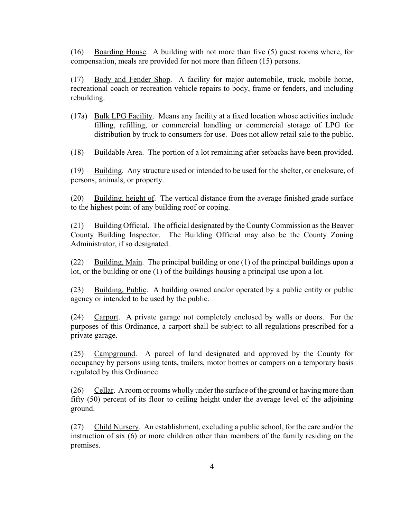(16) Boarding House. A building with not more than five (5) guest rooms where, for compensation, meals are provided for not more than fifteen (15) persons.

(17) Body and Fender Shop. A facility for major automobile, truck, mobile home, recreational coach or recreation vehicle repairs to body, frame or fenders, and including rebuilding.

(17a) Bulk LPG Facility. Means any facility at a fixed location whose activities include filling, refilling, or commercial handling or commercial storage of LPG for distribution by truck to consumers for use. Does not allow retail sale to the public.

(18) Buildable Area. The portion of a lot remaining after setbacks have been provided.

(19) Building. Any structure used or intended to be used for the shelter, or enclosure, of persons, animals, or property.

(20) Building, height of. The vertical distance from the average finished grade surface to the highest point of any building roof or coping.

(21) Building Official. The official designated by the County Commission as the Beaver County Building Inspector. The Building Official may also be the County Zoning Administrator, if so designated.

(22) Building, Main. The principal building or one (1) of the principal buildings upon a lot, or the building or one (1) of the buildings housing a principal use upon a lot.

(23) Building, Public. A building owned and/or operated by a public entity or public agency or intended to be used by the public.

(24) Carport. A private garage not completely enclosed by walls or doors. For the purposes of this Ordinance, a carport shall be subject to all regulations prescribed for a private garage.

(25) Campground. A parcel of land designated and approved by the County for occupancy by persons using tents, trailers, motor homes or campers on a temporary basis regulated by this Ordinance.

(26) Cellar. A room or rooms wholly under the surface of the ground or having more than fifty (50) percent of its floor to ceiling height under the average level of the adjoining ground.

(27) Child Nursery. An establishment, excluding a public school, for the care and/or the instruction of six (6) or more children other than members of the family residing on the premises.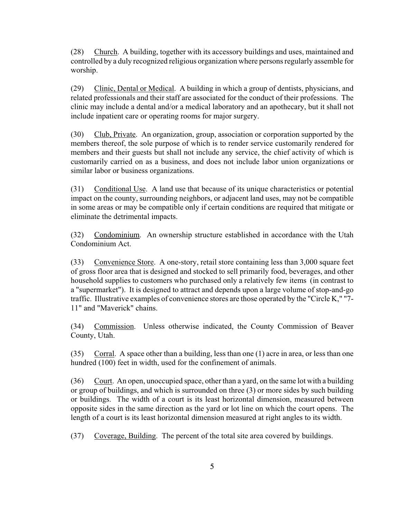(28) Church. A building, together with its accessory buildings and uses, maintained and controlled by a duly recognized religious organization where persons regularly assemble for worship.

(29) Clinic, Dental or Medical. A building in which a group of dentists, physicians, and related professionals and their staff are associated for the conduct of their professions. The clinic may include a dental and/or a medical laboratory and an apothecary, but it shall not include inpatient care or operating rooms for major surgery.

(30) Club, Private. An organization, group, association or corporation supported by the members thereof, the sole purpose of which is to render service customarily rendered for members and their guests but shall not include any service, the chief activity of which is customarily carried on as a business, and does not include labor union organizations or similar labor or business organizations.

(31) Conditional Use. A land use that because of its unique characteristics or potential impact on the county, surrounding neighbors, or adjacent land uses, may not be compatible in some areas or may be compatible only if certain conditions are required that mitigate or eliminate the detrimental impacts.

(32) Condominium. An ownership structure established in accordance with the Utah Condominium Act.

(33) Convenience Store. A one-story, retail store containing less than 3,000 square feet of gross floor area that is designed and stocked to sell primarily food, beverages, and other household supplies to customers who purchased only a relatively few items (in contrast to a "supermarket"). It is designed to attract and depends upon a large volume of stop-and-go traffic. Illustrative examples of convenience stores are those operated by the "Circle K," "7- 11" and "Maverick" chains.

(34) Commission. Unless otherwise indicated, the County Commission of Beaver County, Utah.

(35) Corral. A space other than a building, less than one (1) acre in area, or less than one hundred (100) feet in width, used for the confinement of animals.

(36) Court. An open, unoccupied space, other than a yard, on the same lot with a building or group of buildings, and which is surrounded on three (3) or more sides by such building or buildings. The width of a court is its least horizontal dimension, measured between opposite sides in the same direction as the yard or lot line on which the court opens. The length of a court is its least horizontal dimension measured at right angles to its width.

(37) Coverage, Building. The percent of the total site area covered by buildings.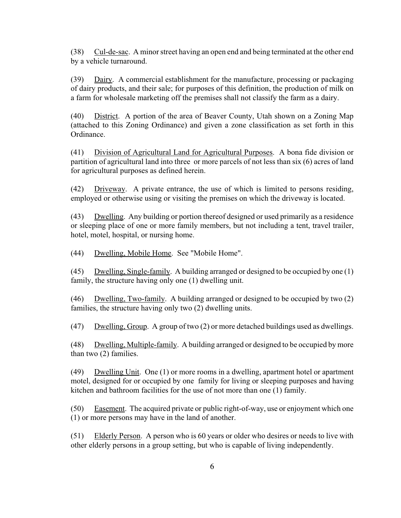(38) Cul-de-sac. A minor street having an open end and being terminated at the other end by a vehicle turnaround.

(39) Dairy. A commercial establishment for the manufacture, processing or packaging of dairy products, and their sale; for purposes of this definition, the production of milk on a farm for wholesale marketing off the premises shall not classify the farm as a dairy.

(40) District. A portion of the area of Beaver County, Utah shown on a Zoning Map (attached to this Zoning Ordinance) and given a zone classification as set forth in this Ordinance.

(41) Division of Agricultural Land for Agricultural Purposes. A bona fide division or partition of agricultural land into three or more parcels of not less than six (6) acres of land for agricultural purposes as defined herein.

(42) Driveway. A private entrance, the use of which is limited to persons residing, employed or otherwise using or visiting the premises on which the driveway is located.

(43) Dwelling. Any building or portion thereof designed or used primarily as a residence or sleeping place of one or more family members, but not including a tent, travel trailer, hotel, motel, hospital, or nursing home.

(44) Dwelling, Mobile Home. See "Mobile Home".

(45) Dwelling, Single-family. A building arranged or designed to be occupied by one (1) family, the structure having only one (1) dwelling unit.

(46) Dwelling, Two-family. A building arranged or designed to be occupied by two (2) families, the structure having only two (2) dwelling units.

(47) Dwelling, Group. A group of two (2) or more detached buildings used as dwellings.

(48) Dwelling, Multiple-family. A building arranged or designed to be occupied by more than two (2) families.

(49) Dwelling Unit. One (1) or more rooms in a dwelling, apartment hotel or apartment motel, designed for or occupied by one family for living or sleeping purposes and having kitchen and bathroom facilities for the use of not more than one (1) family.

(50) Easement. The acquired private or public right-of-way, use or enjoyment which one (1) or more persons may have in the land of another.

(51) Elderly Person. A person who is 60 years or older who desires or needs to live with other elderly persons in a group setting, but who is capable of living independently.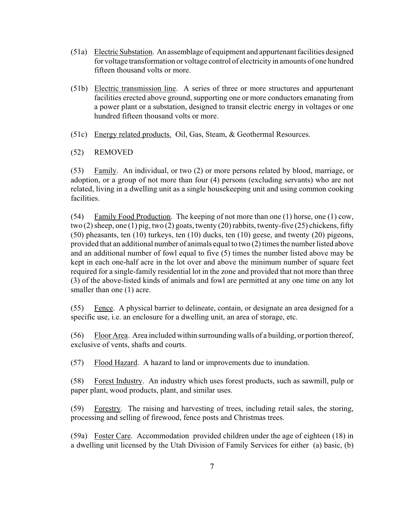- (51a) Electric Substation. An assemblage of equipment and appurtenant facilities designed for voltage transformation or voltage control of electricity in amounts of one hundred fifteen thousand volts or more.
- (51b) Electric transmission line. A series of three or more structures and appurtenant facilities erected above ground, supporting one or more conductors emanating from a power plant or a substation, designed to transit electric energy in voltages or one hundred fifteen thousand volts or more.
- (51c) Energy related products. Oil, Gas, Steam, & Geothermal Resources.
- (52) REMOVED

(53) Family. An individual, or two (2) or more persons related by blood, marriage, or adoption, or a group of not more than four (4) persons (excluding servants) who are not related, living in a dwelling unit as a single housekeeping unit and using common cooking facilities.

(54) Family Food Production. The keeping of not more than one (1) horse, one (1) cow, two (2) sheep, one (1) pig, two (2) goats, twenty (20) rabbits, twenty-five (25) chickens, fifty (50) pheasants, ten (10) turkeys, ten (10) ducks, ten (10) geese, and twenty (20) pigeons, provided that an additional number of animals equal to two (2) times the number listed above and an additional number of fowl equal to five (5) times the number listed above may be kept in each one-half acre in the lot over and above the minimum number of square feet required for a single-family residential lot in the zone and provided that not more than three (3) of the above-listed kinds of animals and fowl are permitted at any one time on any lot smaller than one (1) acre.

(55) Fence. A physical barrier to delineate, contain, or designate an area designed for a specific use, i.e. an enclosure for a dwelling unit, an area of storage, etc.

(56) Floor Area. Area included within surrounding walls of a building, or portion thereof, exclusive of vents, shafts and courts.

(57) Flood Hazard. A hazard to land or improvements due to inundation.

(58) Forest Industry. An industry which uses forest products, such as sawmill, pulp or paper plant, wood products, plant, and similar uses.

(59) Forestry. The raising and harvesting of trees, including retail sales, the storing, processing and selling of firewood, fence posts and Christmas trees.

(59a) Foster Care. Accommodation provided children under the age of eighteen (18) in a dwelling unit licensed by the Utah Division of Family Services for either (a) basic, (b)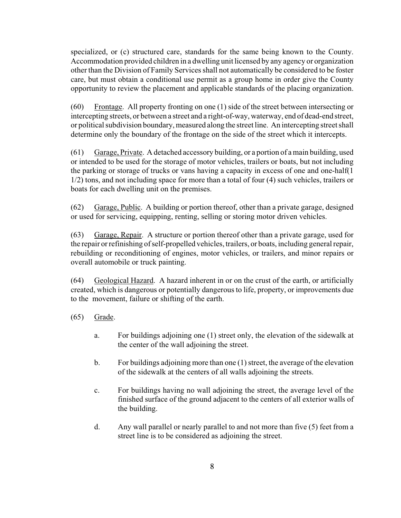specialized, or (c) structured care, standards for the same being known to the County. Accommodation provided children in a dwelling unit licensed by any agency or organization other than the Division of Family Services shall not automatically be considered to be foster care, but must obtain a conditional use permit as a group home in order give the County opportunity to review the placement and applicable standards of the placing organization.

(60) Frontage. All property fronting on one (1) side of the street between intersecting or intercepting streets, or between a street and a right-of-way, waterway, end of dead-end street, or political subdivision boundary, measured along the street line. An intercepting street shall determine only the boundary of the frontage on the side of the street which it intercepts.

(61) Garage, Private. A detached accessory building, or a portion of a main building, used or intended to be used for the storage of motor vehicles, trailers or boats, but not including the parking or storage of trucks or vans having a capacity in excess of one and one-half(1 1/2) tons, and not including space for more than a total of four (4) such vehicles, trailers or boats for each dwelling unit on the premises.

(62) Garage, Public. A building or portion thereof, other than a private garage, designed or used for servicing, equipping, renting, selling or storing motor driven vehicles.

(63) Garage, Repair. A structure or portion thereof other than a private garage, used for the repair or refinishing of self-propelled vehicles, trailers, or boats, including general repair, rebuilding or reconditioning of engines, motor vehicles, or trailers, and minor repairs or overall automobile or truck painting.

(64) Geological Hazard. A hazard inherent in or on the crust of the earth, or artificially created, which is dangerous or potentially dangerous to life, property, or improvements due to the movement, failure or shifting of the earth.

- (65) Grade.
	- a. For buildings adjoining one (1) street only, the elevation of the sidewalk at the center of the wall adjoining the street.
	- b. For buildings adjoining more than one (1) street, the average of the elevation of the sidewalk at the centers of all walls adjoining the streets.
	- c. For buildings having no wall adjoining the street, the average level of the finished surface of the ground adjacent to the centers of all exterior walls of the building.
	- d. Any wall parallel or nearly parallel to and not more than five (5) feet from a street line is to be considered as adjoining the street.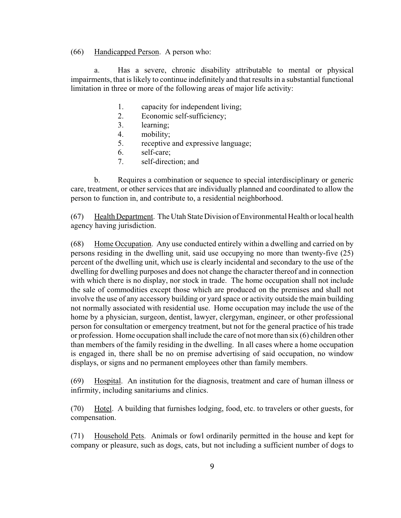(66) Handicapped Person. A person who:

a. Has a severe, chronic disability attributable to mental or physical impairments, that is likely to continue indefinitely and that results in a substantial functional limitation in three or more of the following areas of major life activity:

- 1. capacity for independent living;
- 2. Economic self-sufficiency;
- 3. learning;
- 4. mobility;
- 5. receptive and expressive language;
- 6. self-care;
- 7. self-direction; and

b. Requires a combination or sequence to special interdisciplinary or generic care, treatment, or other services that are individually planned and coordinated to allow the person to function in, and contribute to, a residential neighborhood.

(67) Health Department. The Utah State Division of Environmental Health or local health agency having jurisdiction.

(68) Home Occupation. Any use conducted entirely within a dwelling and carried on by persons residing in the dwelling unit, said use occupying no more than twenty-five (25) percent of the dwelling unit, which use is clearly incidental and secondary to the use of the dwelling for dwelling purposes and does not change the character thereof and in connection with which there is no display, nor stock in trade. The home occupation shall not include the sale of commodities except those which are produced on the premises and shall not involve the use of any accessory building or yard space or activity outside the main building not normally associated with residential use. Home occupation may include the use of the home by a physician, surgeon, dentist, lawyer, clergyman, engineer, or other professional person for consultation or emergency treatment, but not for the general practice of his trade or profession. Home occupation shall include the care of not more than six (6) children other than members of the family residing in the dwelling. In all cases where a home occupation is engaged in, there shall be no on premise advertising of said occupation, no window displays, or signs and no permanent employees other than family members.

(69) Hospital. An institution for the diagnosis, treatment and care of human illness or infirmity, including sanitariums and clinics.

(70) Hotel. A building that furnishes lodging, food, etc. to travelers or other guests, for compensation.

(71) Household Pets. Animals or fowl ordinarily permitted in the house and kept for company or pleasure, such as dogs, cats, but not including a sufficient number of dogs to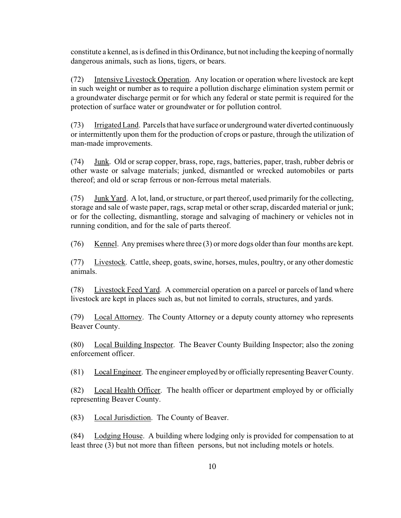constitute a kennel, as is defined in this Ordinance, but not including the keeping of normally dangerous animals, such as lions, tigers, or bears.

(72) Intensive Livestock Operation. Any location or operation where livestock are kept in such weight or number as to require a pollution discharge elimination system permit or a groundwater discharge permit or for which any federal or state permit is required for the protection of surface water or groundwater or for pollution control.

(73) Irrigated Land. Parcels that have surface or underground water diverted continuously or intermittently upon them for the production of crops or pasture, through the utilization of man-made improvements.

(74) Junk. Old or scrap copper, brass, rope, rags, batteries, paper, trash, rubber debris or other waste or salvage materials; junked, dismantled or wrecked automobiles or parts thereof; and old or scrap ferrous or non-ferrous metal materials.

(75) Junk Yard. A lot, land, or structure, or part thereof, used primarily for the collecting, storage and sale of waste paper, rags, scrap metal or other scrap, discarded material or junk; or for the collecting, dismantling, storage and salvaging of machinery or vehicles not in running condition, and for the sale of parts thereof.

(76) Kennel. Any premises where three (3) or more dogs older than four months are kept.

(77) Livestock. Cattle, sheep, goats, swine, horses, mules, poultry, or any other domestic animals.

(78) Livestock Feed Yard. A commercial operation on a parcel or parcels of land where livestock are kept in places such as, but not limited to corrals, structures, and yards.

(79) Local Attorney. The County Attorney or a deputy county attorney who represents Beaver County.

(80) Local Building Inspector. The Beaver County Building Inspector; also the zoning enforcement officer.

(81) Local Engineer. The engineer employed by or officially representing Beaver County.

(82) Local Health Officer. The health officer or department employed by or officially representing Beaver County.

(83) Local Jurisdiction. The County of Beaver.

(84) Lodging House. A building where lodging only is provided for compensation to at least three (3) but not more than fifteen persons, but not including motels or hotels.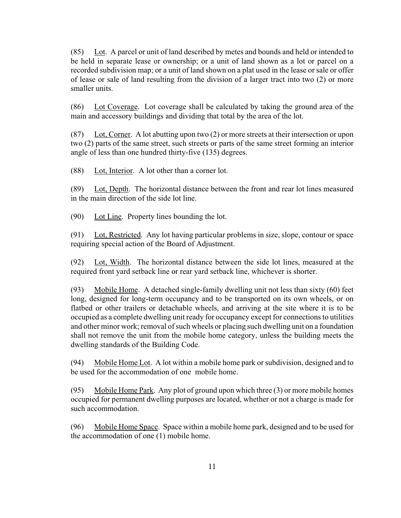(85) Lot. A parcel or unit of land described by metes and bounds and held or intended to be held in separate lease or ownership; or a unit of land shown as a lot or parcel on a recorded subdivision map; or a unit of land shown on a plat used in the lease or sale or offer of lease or sale of land resulting from the division of a larger tract into two (2) or more smaller units.

(86) Lot Coverage. Lot coverage shall be calculated by taking the ground area of the main and accessory buildings and dividing that total by the area of the lot.

(87) Lot, Corner. A lot abutting upon two (2) or more streets at their intersection or upon two (2) parts of the same street, such streets or parts of the same street forming an interior angle of less than one hundred thirty-five (135) degrees.

(88) Lot, Interior. A lot other than a corner lot.

(89) Lot, Depth. The horizontal distance between the front and rear lot lines measured in the main direction of the side lot line.

(90) Lot Line. Property lines bounding the lot.

(91) Lot, Restricted. Any lot having particular problems in size, slope, contour or space requiring special action of the Board of Adjustment.

(92) Lot, Width. The horizontal distance between the side lot lines, measured at the required front yard setback line or rear yard setback line, whichever is shorter.

(93) Mobile Home. A detached single-family dwelling unit not less than sixty (60) feet long, designed for long-term occupancy and to be transported on its own wheels, or on flatbed or other trailers or detachable wheels, and arriving at the site where it is to be occupied as a complete dwelling unit ready for occupancy except for connections to utilities and other minor work; removal of such wheels or placing such dwelling unit on a foundation shall not remove the unit from the mobile home category, unless the building meets the dwelling standards of the Building Code.

(94) Mobile Home Lot. A lot within a mobile home park or subdivision, designed and to be used for the accommodation of one mobile home.

(95) Mobile Home Park. Any plot of ground upon which three (3) or more mobile homes occupied for permanent dwelling purposes are located, whether or not a charge is made for such accommodation.

(96) Mobile Home Space. Space within a mobile home park, designed and to be used for the accommodation of one (1) mobile home.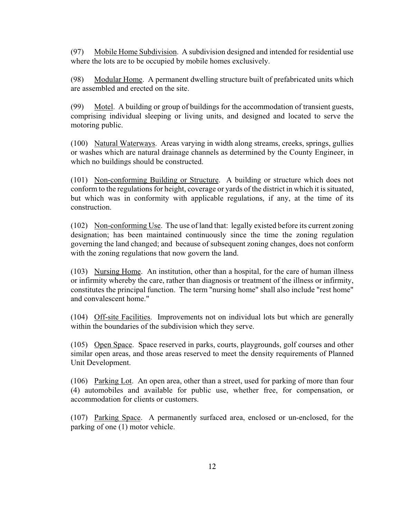(97) Mobile Home Subdivision. A subdivision designed and intended for residential use where the lots are to be occupied by mobile homes exclusively.

(98) Modular Home. A permanent dwelling structure built of prefabricated units which are assembled and erected on the site.

(99) Motel. A building or group of buildings for the accommodation of transient guests, comprising individual sleeping or living units, and designed and located to serve the motoring public.

(100) Natural Waterways. Areas varying in width along streams, creeks, springs, gullies or washes which are natural drainage channels as determined by the County Engineer, in which no buildings should be constructed.

(101) Non-conforming Building or Structure. A building or structure which does not conform to the regulations for height, coverage or yards of the district in which it is situated, but which was in conformity with applicable regulations, if any, at the time of its construction.

(102) Non-conforming Use. The use of land that: legally existed before its current zoning designation; has been maintained continuously since the time the zoning regulation governing the land changed; and because of subsequent zoning changes, does not conform with the zoning regulations that now govern the land.

(103) Nursing Home. An institution, other than a hospital, for the care of human illness or infirmity whereby the care, rather than diagnosis or treatment of the illness or infirmity, constitutes the principal function. The term "nursing home" shall also include "rest home" and convalescent home."

(104) Off-site Facilities. Improvements not on individual lots but which are generally within the boundaries of the subdivision which they serve.

(105) Open Space. Space reserved in parks, courts, playgrounds, golf courses and other similar open areas, and those areas reserved to meet the density requirements of Planned Unit Development.

(106) Parking Lot. An open area, other than a street, used for parking of more than four (4) automobiles and available for public use, whether free, for compensation, or accommodation for clients or customers.

(107) Parking Space. A permanently surfaced area, enclosed or un-enclosed, for the parking of one (1) motor vehicle.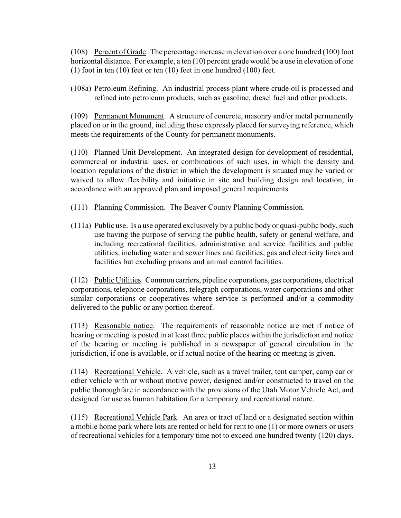(108) Percent of Grade. The percentage increase in elevation over a one hundred (100) foot horizontal distance. For example, a ten (10) percent grade would be a use in elevation of one (1) foot in ten (10) feet or ten (10) feet in one hundred (100) feet.

(108a) Petroleum Refining. An industrial process plant where crude oil is processed and refined into petroleum products, such as gasoline, diesel fuel and other products.

(109) Permanent Monument. A structure of concrete, masonry and/or metal permanently placed on or in the ground, including those expressly placed for surveying reference, which meets the requirements of the County for permanent monuments.

(110) Planned Unit Development. An integrated design for development of residential, commercial or industrial uses, or combinations of such uses, in which the density and location regulations of the district in which the development is situated may be varied or waived to allow flexibility and initiative in site and building design and location, in accordance with an approved plan and imposed general requirements.

- (111) Planning Commission. The Beaver County Planning Commission.
- (111a) Public use. Is a use operated exclusively by a public body or quasi-public body, such use having the purpose of serving the public health, safety or general welfare, and including recreational facilities, administrative and service facilities and public utilities, including water and sewer lines and facilities, gas and electricity lines and facilities but excluding prisons and animal control facilities.

(112) Public Utilities. Common carriers, pipeline corporations, gas corporations, electrical corporations, telephone corporations, telegraph corporations, water corporations and other similar corporations or cooperatives where service is performed and/or a commodity delivered to the public or any portion thereof.

(113) Reasonable notice. The requirements of reasonable notice are met if notice of hearing or meeting is posted in at least three public places within the jurisdiction and notice of the hearing or meeting is published in a newspaper of general circulation in the jurisdiction, if one is available, or if actual notice of the hearing or meeting is given.

(114) Recreational Vehicle. A vehicle, such as a travel trailer, tent camper, camp car or other vehicle with or without motive power, designed and/or constructed to travel on the public thoroughfare in accordance with the provisions of the Utah Motor Vehicle Act, and designed for use as human habitation for a temporary and recreational nature.

(115) Recreational Vehicle Park. An area or tract of land or a designated section within a mobile home park where lots are rented or held for rent to one (1) or more owners or users of recreational vehicles for a temporary time not to exceed one hundred twenty (120) days.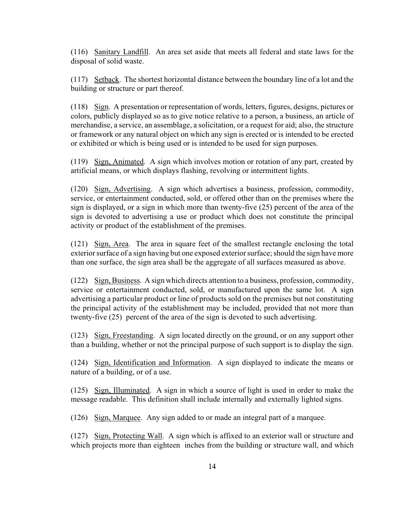(116) Sanitary Landfill. An area set aside that meets all federal and state laws for the disposal of solid waste.

(117) Setback. The shortest horizontal distance between the boundary line of a lot and the building or structure or part thereof.

(118) Sign. A presentation or representation of words, letters, figures, designs, pictures or colors, publicly displayed so as to give notice relative to a person, a business, an article of merchandise, a service, an assemblage, a solicitation, or a request for aid; also, the structure or framework or any natural object on which any sign is erected or is intended to be erected or exhibited or which is being used or is intended to be used for sign purposes.

(119) Sign, Animated. A sign which involves motion or rotation of any part, created by artificial means, or which displays flashing, revolving or intermittent lights.

(120) Sign, Advertising. A sign which advertises a business, profession, commodity, service, or entertainment conducted, sold, or offered other than on the premises where the sign is displayed, or a sign in which more than twenty-five (25) percent of the area of the sign is devoted to advertising a use or product which does not constitute the principal activity or product of the establishment of the premises.

(121) Sign, Area. The area in square feet of the smallest rectangle enclosing the total exterior surface of a sign having but one exposed exterior surface; should the sign have more than one surface, the sign area shall be the aggregate of all surfaces measured as above.

(122) Sign, Business. A sign which directs attention to a business, profession, commodity, service or entertainment conducted, sold, or manufactured upon the same lot. A sign advertising a particular product or line of products sold on the premises but not constituting the principal activity of the establishment may be included, provided that not more than twenty-five (25) percent of the area of the sign is devoted to such advertising.

(123) Sign, Freestanding. A sign located directly on the ground, or on any support other than a building, whether or not the principal purpose of such support is to display the sign.

(124) Sign, Identification and Information. A sign displayed to indicate the means or nature of a building, or of a use.

(125) Sign, Illuminated. A sign in which a source of light is used in order to make the message readable. This definition shall include internally and externally lighted signs.

(126) Sign, Marquee. Any sign added to or made an integral part of a marquee.

(127) Sign, Protecting Wall. A sign which is affixed to an exterior wall or structure and which projects more than eighteen inches from the building or structure wall, and which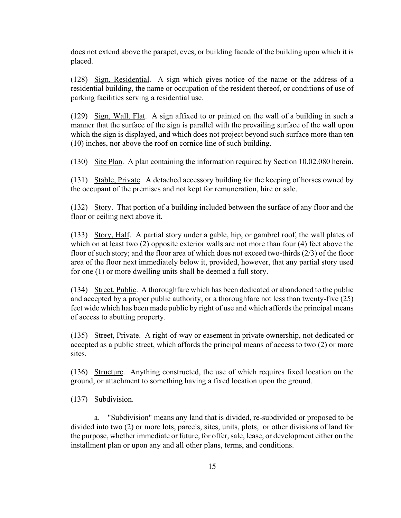does not extend above the parapet, eves, or building facade of the building upon which it is placed.

(128) Sign, Residential. A sign which gives notice of the name or the address of a residential building, the name or occupation of the resident thereof, or conditions of use of parking facilities serving a residential use.

(129) Sign, Wall, Flat. A sign affixed to or painted on the wall of a building in such a manner that the surface of the sign is parallel with the prevailing surface of the wall upon which the sign is displayed, and which does not project beyond such surface more than ten (10) inches, nor above the roof on cornice line of such building.

(130) Site Plan. A plan containing the information required by Section 10.02.080 herein.

(131) Stable, Private. A detached accessory building for the keeping of horses owned by the occupant of the premises and not kept for remuneration, hire or sale.

(132) Story. That portion of a building included between the surface of any floor and the floor or ceiling next above it.

(133) Story, Half. A partial story under a gable, hip, or gambrel roof, the wall plates of which on at least two (2) opposite exterior walls are not more than four (4) feet above the floor of such story; and the floor area of which does not exceed two-thirds (2/3) of the floor area of the floor next immediately below it, provided, however, that any partial story used for one (1) or more dwelling units shall be deemed a full story.

(134) Street, Public. A thoroughfare which has been dedicated or abandoned to the public and accepted by a proper public authority, or a thoroughfare not less than twenty-five (25) feet wide which has been made public by right of use and which affords the principal means of access to abutting property.

(135) Street, Private. A right-of-way or easement in private ownership, not dedicated or accepted as a public street, which affords the principal means of access to two (2) or more sites.

(136) Structure. Anything constructed, the use of which requires fixed location on the ground, or attachment to something having a fixed location upon the ground.

#### (137) Subdivision.

a. "Subdivision" means any land that is divided, re-subdivided or proposed to be divided into two (2) or more lots, parcels, sites, units, plots, or other divisions of land for the purpose, whether immediate or future, for offer, sale, lease, or development either on the installment plan or upon any and all other plans, terms, and conditions.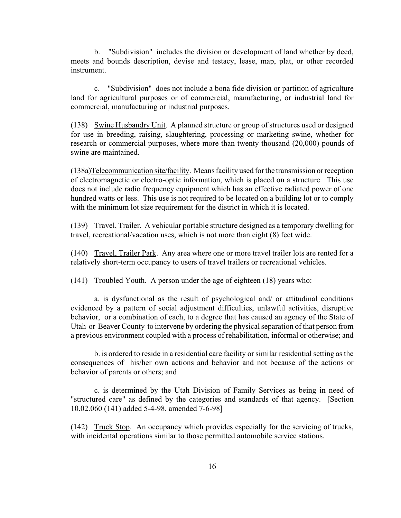b. "Subdivision" includes the division or development of land whether by deed, meets and bounds description, devise and testacy, lease, map, plat, or other recorded instrument.

c. "Subdivision" does not include a bona fide division or partition of agriculture land for agricultural purposes or of commercial, manufacturing, or industrial land for commercial, manufacturing or industrial purposes.

(138) Swine Husbandry Unit. A planned structure or group of structures used or designed for use in breeding, raising, slaughtering, processing or marketing swine, whether for research or commercial purposes, where more than twenty thousand (20,000) pounds of swine are maintained.

(138a)Telecommunication site/facility. Means facility used for the transmission or reception of electromagnetic or electro-optic information, which is placed on a structure. This use does not include radio frequency equipment which has an effective radiated power of one hundred watts or less. This use is not required to be located on a building lot or to comply with the minimum lot size requirement for the district in which it is located.

(139) Travel, Trailer. A vehicular portable structure designed as a temporary dwelling for travel, recreational/vacation uses, which is not more than eight (8) feet wide.

(140) Travel, Trailer Park. Any area where one or more travel trailer lots are rented for a relatively short-term occupancy to users of travel trailers or recreational vehicles.

(141) Troubled Youth. A person under the age of eighteen (18) years who:

a. is dysfunctional as the result of psychological and/ or attitudinal conditions evidenced by a pattern of social adjustment difficulties, unlawful activities, disruptive behavior, or a combination of each, to a degree that has caused an agency of the State of Utah or Beaver County to intervene by ordering the physical separation of that person from a previous environment coupled with a process of rehabilitation, informal or otherwise; and

b. is ordered to reside in a residential care facility or similar residential setting as the consequences of his/her own actions and behavior and not because of the actions or behavior of parents or others; and

c. is determined by the Utah Division of Family Services as being in need of "structured care" as defined by the categories and standards of that agency. [Section 10.02.060 (141) added 5-4-98, amended 7-6-98]

(142) Truck Stop. An occupancy which provides especially for the servicing of trucks, with incidental operations similar to those permitted automobile service stations.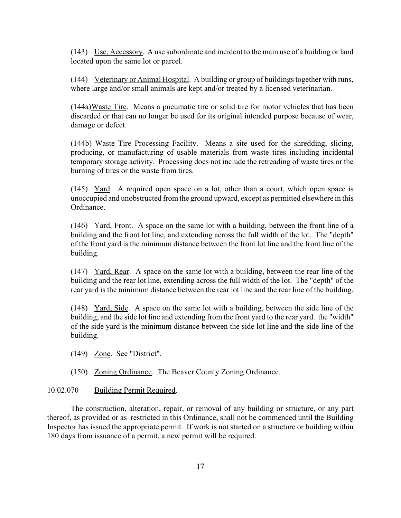(143) Use, Accessory. A use subordinate and incident to the main use of a building or land located upon the same lot or parcel.

(144) Veterinary or Animal Hospital. A building or group of buildings together with runs, where large and/or small animals are kept and/or treated by a licensed veterinarian.

(144a)Waste Tire. Means a pneumatic tire or solid tire for motor vehicles that has been discarded or that can no longer be used for its original intended purpose because of wear, damage or defect.

(144b) Waste Tire Processing Facility. Means a site used for the shredding, slicing, producing, or manufacturing of usable materials from waste tires including incidental temporary storage activity. Processing does not include the retreading of waste tires or the burning of tires or the waste from tires.

(145) Yard. A required open space on a lot, other than a court, which open space is unoccupied and unobstructed from the ground upward, except as permitted elsewhere in this Ordinance.

(146) Yard, Front. A space on the same lot with a building, between the front line of a building and the front lot line, and extending across the full width of the lot. The "depth" of the front yard is the minimum distance between the front lot line and the front line of the building.

(147) Yard, Rear. A space on the same lot with a building, between the rear line of the building and the rear lot line, extending across the full width of the lot. The "depth" of the rear yard is the minimum distance between the rear lot line and the rear line of the building.

(148) Yard, Side. A space on the same lot with a building, between the side line of the building, and the side lot line and extending from the front yard to the rear yard. the "width" of the side yard is the minimum distance between the side lot line and the side line of the building.

(149) Zone. See "District".

(150) Zoning Ordinance. The Beaver County Zoning Ordinance.

#### 10.02.070 Building Permit Required.

The construction, alteration, repair, or removal of any building or structure, or any part thereof, as provided or as restricted in this Ordinance, shall not be commenced until the Building Inspector has issued the appropriate permit. If work is not started on a structure or building within 180 days from issuance of a permit, a new permit will be required.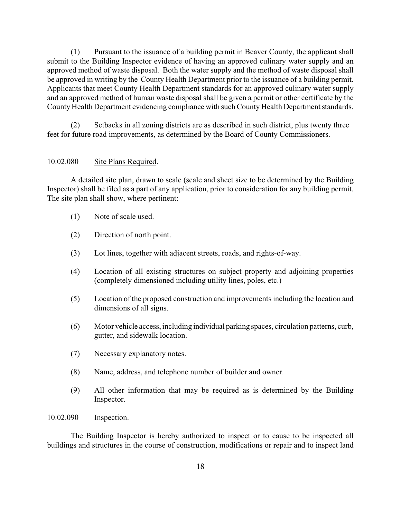(1) Pursuant to the issuance of a building permit in Beaver County, the applicant shall submit to the Building Inspector evidence of having an approved culinary water supply and an approved method of waste disposal. Both the water supply and the method of waste disposal shall be approved in writing by the County Health Department prior to the issuance of a building permit. Applicants that meet County Health Department standards for an approved culinary water supply and an approved method of human waste disposal shall be given a permit or other certificate by the County Health Department evidencing compliance with such County Health Department standards.

(2) Setbacks in all zoning districts are as described in such district, plus twenty three feet for future road improvements, as determined by the Board of County Commissioners.

#### 10.02.080 Site Plans Required.

A detailed site plan, drawn to scale (scale and sheet size to be determined by the Building Inspector) shall be filed as a part of any application, prior to consideration for any building permit. The site plan shall show, where pertinent:

- (1) Note of scale used.
- (2) Direction of north point.
- (3) Lot lines, together with adjacent streets, roads, and rights-of-way.
- (4) Location of all existing structures on subject property and adjoining properties (completely dimensioned including utility lines, poles, etc.)
- (5) Location of the proposed construction and improvements including the location and dimensions of all signs.
- (6) Motor vehicle access, including individual parking spaces, circulation patterns, curb, gutter, and sidewalk location.
- (7) Necessary explanatory notes.
- (8) Name, address, and telephone number of builder and owner.
- (9) All other information that may be required as is determined by the Building Inspector.

#### 10.02.090 Inspection.

The Building Inspector is hereby authorized to inspect or to cause to be inspected all buildings and structures in the course of construction, modifications or repair and to inspect land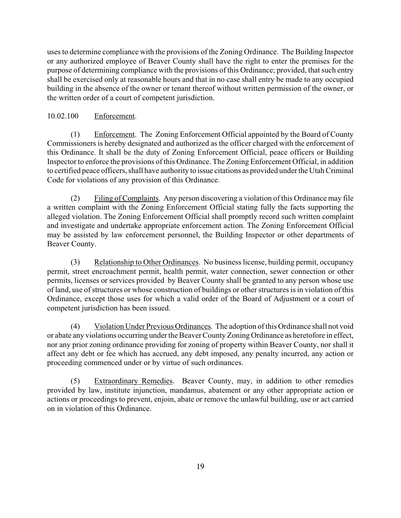uses to determine compliance with the provisions of the Zoning Ordinance. The Building Inspector or any authorized employee of Beaver County shall have the right to enter the premises for the purpose of determining compliance with the provisions of this Ordinance; provided, that such entry shall be exercised only at reasonable hours and that in no case shall entry be made to any occupied building in the absence of the owner or tenant thereof without written permission of the owner, or the written order of a court of competent jurisdiction.

#### 10.02.100 Enforcement.

(1) Enforcement. The Zoning Enforcement Official appointed by the Board of County Commissioners is hereby designated and authorized as the officer charged with the enforcement of this Ordinance. It shall be the duty of Zoning Enforcement Official, peace officers or Building Inspector to enforce the provisions of this Ordinance. The Zoning Enforcement Official, in addition to certified peace officers, shall have authority to issue citations as provided under the Utah Criminal Code for violations of any provision of this Ordinance.

(2) Filing of Complaints. Any person discovering a violation of this Ordinance may file a written complaint with the Zoning Enforcement Official stating fully the facts supporting the alleged violation. The Zoning Enforcement Official shall promptly record such written complaint and investigate and undertake appropriate enforcement action. The Zoning Enforcement Official may be assisted by law enforcement personnel, the Building Inspector or other departments of Beaver County.

(3) Relationship to Other Ordinances. No business license, building permit, occupancy permit, street encroachment permit, health permit, water connection, sewer connection or other permits, licenses or services provided by Beaver County shall be granted to any person whose use of land, use of structures or whose construction of buildings or other structures is in violation of this Ordinance, except those uses for which a valid order of the Board of Adjustment or a court of competent jurisdiction has been issued.

(4) Violation Under Previous Ordinances. The adoption of this Ordinance shall not void or abate any violations occurring under the Beaver County Zoning Ordinance as heretofore in effect, nor any prior zoning ordinance providing for zoning of property within Beaver County, nor shall it affect any debt or fee which has accrued, any debt imposed, any penalty incurred, any action or proceeding commenced under or by virtue of such ordinances.

(5) Extraordinary Remedies. Beaver County, may, in addition to other remedies provided by law, institute injunction, mandamus, abatement or any other appropriate action or actions or proceedings to prevent, enjoin, abate or remove the unlawful building, use or act carried on in violation of this Ordinance.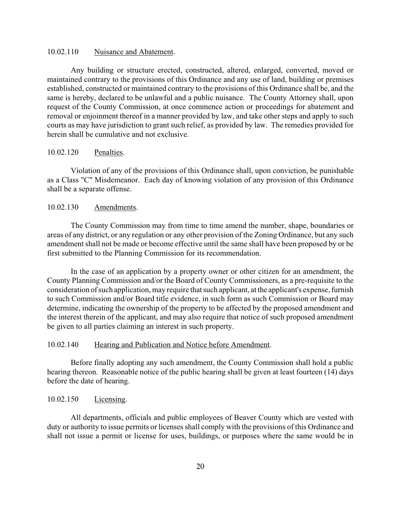#### 10.02.110 Nuisance and Abatement.

Any building or structure erected, constructed, altered, enlarged, converted, moved or maintained contrary to the provisions of this Ordinance and any use of land, building or premises established, constructed or maintained contrary to the provisions of this Ordinance shall be, and the same is hereby, declared to be unlawful and a public nuisance. The County Attorney shall, upon request of the County Commission, at once commence action or proceedings for abatement and removal or enjoinment thereof in a manner provided by law, and take other steps and apply to such courts as may have jurisdiction to grant such relief, as provided by law. The remedies provided for herein shall be cumulative and not exclusive.

#### 10.02.120 Penalties.

Violation of any of the provisions of this Ordinance shall, upon conviction, be punishable as a Class "C" Misdemeanor. Each day of knowing violation of any provision of this Ordinance shall be a separate offense.

#### 10.02.130 Amendments.

The County Commission may from time to time amend the number, shape, boundaries or areas of any district, or any regulation or any other provision of the Zoning Ordinance, but any such amendment shall not be made or become effective until the same shall have been proposed by or be first submitted to the Planning Commission for its recommendation.

In the case of an application by a property owner or other citizen for an amendment, the County Planning Commission and/or the Board of County Commissioners, as a pre-requisite to the consideration of such application, may require that such applicant, at the applicant's expense, furnish to such Commission and/or Board title evidence, in such form as such Commission or Board may determine, indicating the ownership of the property to be affected by the proposed amendment and the interest therein of the applicant, and may also require that notice of such proposed amendment be given to all parties claiming an interest in such property.

#### 10.02.140 Hearing and Publication and Notice before Amendment.

Before finally adopting any such amendment, the County Commission shall hold a public hearing thereon. Reasonable notice of the public hearing shall be given at least fourteen (14) days before the date of hearing.

#### 10.02.150 Licensing.

All departments, officials and public employees of Beaver County which are vested with duty or authority to issue permits or licenses shall comply with the provisions of this Ordinance and shall not issue a permit or license for uses, buildings, or purposes where the same would be in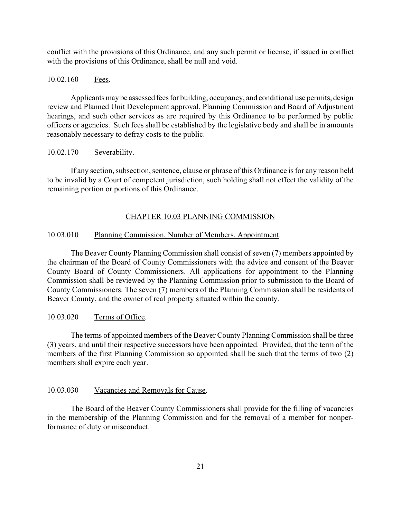conflict with the provisions of this Ordinance, and any such permit or license, if issued in conflict with the provisions of this Ordinance, shall be null and void.

#### 10.02.160 Fees.

Applicants may be assessed fees for building, occupancy, and conditional use permits, design review and Planned Unit Development approval, Planning Commission and Board of Adjustment hearings, and such other services as are required by this Ordinance to be performed by public officers or agencies. Such fees shall be established by the legislative body and shall be in amounts reasonably necessary to defray costs to the public.

#### 10.02.170 Severability.

If any section, subsection, sentence, clause or phrase of this Ordinance is for any reason held to be invalid by a Court of competent jurisdiction, such holding shall not effect the validity of the remaining portion or portions of this Ordinance.

#### CHAPTER 10.03 PLANNING COMMISSION

#### 10.03.010 Planning Commission, Number of Members, Appointment.

The Beaver County Planning Commission shall consist of seven (7) members appointed by the chairman of the Board of County Commissioners with the advice and consent of the Beaver County Board of County Commissioners. All applications for appointment to the Planning Commission shall be reviewed by the Planning Commission prior to submission to the Board of County Commissioners. The seven (7) members of the Planning Commission shall be residents of Beaver County, and the owner of real property situated within the county.

#### 10.03.020 Terms of Office.

The terms of appointed members of the Beaver County Planning Commission shall be three (3) years, and until their respective successors have been appointed. Provided, that the term of the members of the first Planning Commission so appointed shall be such that the terms of two (2) members shall expire each year.

#### 10.03.030 Vacancies and Removals for Cause.

The Board of the Beaver County Commissioners shall provide for the filling of vacancies in the membership of the Planning Commission and for the removal of a member for nonperformance of duty or misconduct.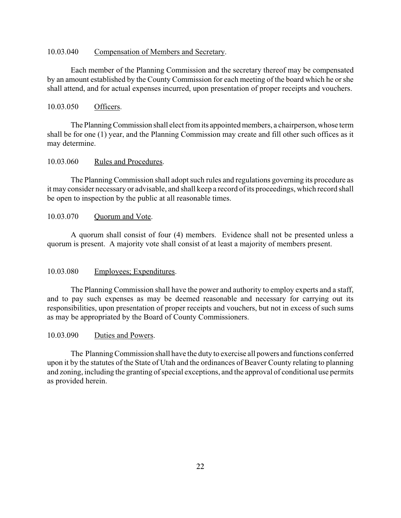#### 10.03.040 Compensation of Members and Secretary.

Each member of the Planning Commission and the secretary thereof may be compensated by an amount established by the County Commission for each meeting of the board which he or she shall attend, and for actual expenses incurred, upon presentation of proper receipts and vouchers.

#### 10.03.050 Officers.

The Planning Commission shall elect from its appointed members, a chairperson, whose term shall be for one (1) year, and the Planning Commission may create and fill other such offices as it may determine.

#### 10.03.060 Rules and Procedures.

The Planning Commission shall adopt such rules and regulations governing its procedure as it may consider necessary or advisable, and shall keep a record of its proceedings, which record shall be open to inspection by the public at all reasonable times.

#### 10.03.070 Quorum and Vote.

A quorum shall consist of four (4) members. Evidence shall not be presented unless a quorum is present. A majority vote shall consist of at least a majority of members present.

#### 10.03.080 Employees; Expenditures.

The Planning Commission shall have the power and authority to employ experts and a staff, and to pay such expenses as may be deemed reasonable and necessary for carrying out its responsibilities, upon presentation of proper receipts and vouchers, but not in excess of such sums as may be appropriated by the Board of County Commissioners.

#### 10.03.090 Duties and Powers.

The Planning Commission shall have the duty to exercise all powers and functions conferred upon it by the statutes of the State of Utah and the ordinances of Beaver County relating to planning and zoning, including the granting of special exceptions, and the approval of conditional use permits as provided herein.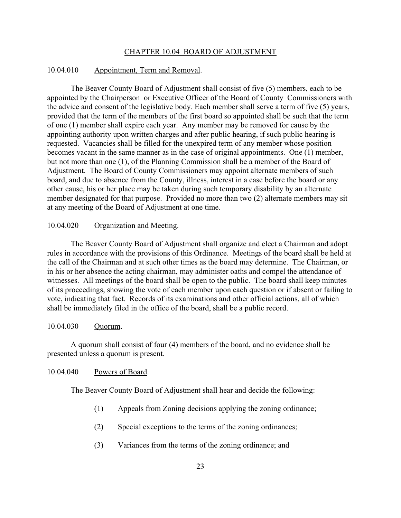#### CHAPTER 10.04 BOARD OF ADJUSTMENT

#### 10.04.010 Appointment, Term and Removal.

The Beaver County Board of Adjustment shall consist of five (5) members, each to be appointed by the Chairperson or Executive Officer of the Board of County Commissioners with the advice and consent of the legislative body. Each member shall serve a term of five (5) years, provided that the term of the members of the first board so appointed shall be such that the term of one (1) member shall expire each year. Any member may be removed for cause by the appointing authority upon written charges and after public hearing, if such public hearing is requested. Vacancies shall be filled for the unexpired term of any member whose position becomes vacant in the same manner as in the case of original appointments. One (1) member, but not more than one (1), of the Planning Commission shall be a member of the Board of Adjustment. The Board of County Commissioners may appoint alternate members of such board, and due to absence from the County, illness, interest in a case before the board or any other cause, his or her place may be taken during such temporary disability by an alternate member designated for that purpose. Provided no more than two (2) alternate members may sit at any meeting of the Board of Adjustment at one time.

#### 10.04.020 Organization and Meeting.

The Beaver County Board of Adjustment shall organize and elect a Chairman and adopt rules in accordance with the provisions of this Ordinance. Meetings of the board shall be held at the call of the Chairman and at such other times as the board may determine. The Chairman, or in his or her absence the acting chairman, may administer oaths and compel the attendance of witnesses. All meetings of the board shall be open to the public. The board shall keep minutes of its proceedings, showing the vote of each member upon each question or if absent or failing to vote, indicating that fact. Records of its examinations and other official actions, all of which shall be immediately filed in the office of the board, shall be a public record.

#### 10.04.030 Quorum.

A quorum shall consist of four (4) members of the board, and no evidence shall be presented unless a quorum is present.

#### 10.04.040 Powers of Board.

The Beaver County Board of Adjustment shall hear and decide the following:

- (1) Appeals from Zoning decisions applying the zoning ordinance;
- (2) Special exceptions to the terms of the zoning ordinances;
- (3) Variances from the terms of the zoning ordinance; and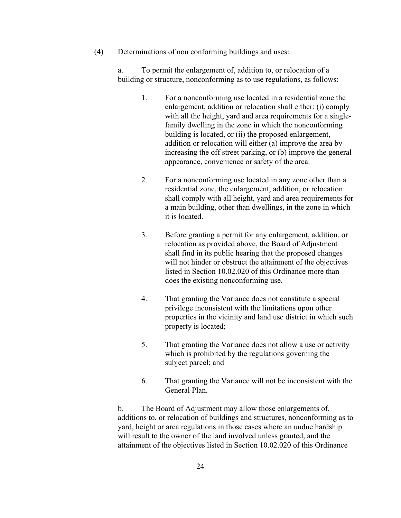(4) Determinations of non conforming buildings and uses:

a. To permit the enlargement of, addition to, or relocation of a building or structure, nonconforming as to use regulations, as follows:

- 1. For a nonconforming use located in a residential zone the enlargement, addition or relocation shall either: (i) comply with all the height, yard and area requirements for a singlefamily dwelling in the zone in which the nonconforming building is located, or (ii) the proposed enlargement, addition or relocation will either (a) improve the area by increasing the off street parking, or (b) improve the general appearance, convenience or safety of the area.
- 2. For a nonconforming use located in any zone other than a residential zone, the enlargement, addition, or relocation shall comply with all height, yard and area requirements for a main building, other than dwellings, in the zone in which it is located.
- 3. Before granting a permit for any enlargement, addition, or relocation as provided above, the Board of Adjustment shall find in its public hearing that the proposed changes will not hinder or obstruct the attainment of the objectives listed in Section 10.02.020 of this Ordinance more than does the existing nonconforming use.
- 4. That granting the Variance does not constitute a special privilege inconsistent with the limitations upon other properties in the vicinity and land use district in which such property is located;
- 5. That granting the Variance does not allow a use or activity which is prohibited by the regulations governing the subject parcel; and
- 6. That granting the Variance will not be inconsistent with the General Plan.

b. The Board of Adjustment may allow those enlargements of, additions to, or relocation of buildings and structures, nonconforming as to yard, height or area regulations in those cases where an undue hardship will result to the owner of the land involved unless granted, and the attainment of the objectives listed in Section 10.02.020 of this Ordinance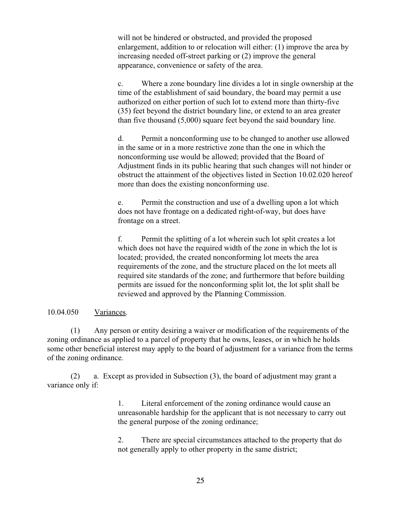will not be hindered or obstructed, and provided the proposed enlargement, addition to or relocation will either: (1) improve the area by increasing needed off-street parking or (2) improve the general appearance, convenience or safety of the area.

c. Where a zone boundary line divides a lot in single ownership at the time of the establishment of said boundary, the board may permit a use authorized on either portion of such lot to extend more than thirty-five (35) feet beyond the district boundary line, or extend to an area greater than five thousand (5,000) square feet beyond the said boundary line.

d. Permit a nonconforming use to be changed to another use allowed in the same or in a more restrictive zone than the one in which the nonconforming use would be allowed; provided that the Board of Adjustment finds in its public hearing that such changes will not hinder or obstruct the attainment of the objectives listed in Section 10.02.020 hereof more than does the existing nonconforming use.

e. Permit the construction and use of a dwelling upon a lot which does not have frontage on a dedicated right-of-way, but does have frontage on a street.

f. Permit the splitting of a lot wherein such lot split creates a lot which does not have the required width of the zone in which the lot is located; provided, the created nonconforming lot meets the area requirements of the zone, and the structure placed on the lot meets all required site standards of the zone; and furthermore that before building permits are issued for the nonconforming split lot, the lot split shall be reviewed and approved by the Planning Commission.

#### 10.04.050 Variances.

(1) Any person or entity desiring a waiver or modification of the requirements of the zoning ordinance as applied to a parcel of property that he owns, leases, or in which he holds some other beneficial interest may apply to the board of adjustment for a variance from the terms of the zoning ordinance.

 (2) a. Except as provided in Subsection (3), the board of adjustment may grant a variance only if:

> 1. Literal enforcement of the zoning ordinance would cause an unreasonable hardship for the applicant that is not necessary to carry out the general purpose of the zoning ordinance;

2. There are special circumstances attached to the property that do not generally apply to other property in the same district;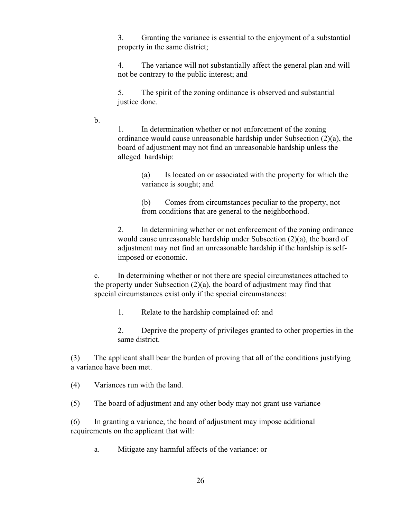3. Granting the variance is essential to the enjoyment of a substantial property in the same district;

4. The variance will not substantially affect the general plan and will not be contrary to the public interest; and

5. The spirit of the zoning ordinance is observed and substantial justice done.

b.

1. In determination whether or not enforcement of the zoning ordinance would cause unreasonable hardship under Subsection (2)(a), the board of adjustment may not find an unreasonable hardship unless the alleged hardship:

(a) Is located on or associated with the property for which the variance is sought; and

(b) Comes from circumstances peculiar to the property, not from conditions that are general to the neighborhood.

2. In determining whether or not enforcement of the zoning ordinance would cause unreasonable hardship under Subsection (2)(a), the board of adjustment may not find an unreasonable hardship if the hardship is selfimposed or economic.

c. In determining whether or not there are special circumstances attached to the property under Subsection (2)(a), the board of adjustment may find that special circumstances exist only if the special circumstances:

1. Relate to the hardship complained of: and

2. Deprive the property of privileges granted to other properties in the same district.

(3) The applicant shall bear the burden of proving that all of the conditions justifying a variance have been met.

(4) Variances run with the land.

(5) The board of adjustment and any other body may not grant use variance

(6) In granting a variance, the board of adjustment may impose additional requirements on the applicant that will:

a. Mitigate any harmful affects of the variance: or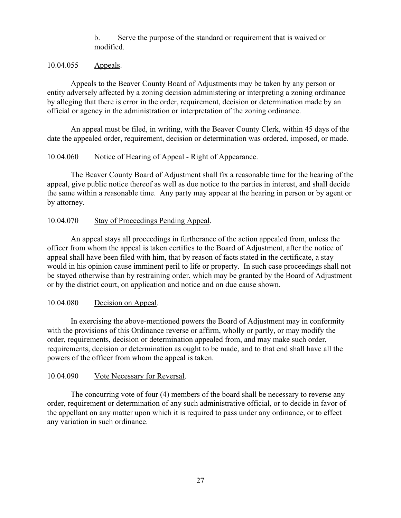b. Serve the purpose of the standard or requirement that is waived or modified.

#### 10.04.055 Appeals.

Appeals to the Beaver County Board of Adjustments may be taken by any person or entity adversely affected by a zoning decision administering or interpreting a zoning ordinance by alleging that there is error in the order, requirement, decision or determination made by an official or agency in the administration or interpretation of the zoning ordinance.

An appeal must be filed, in writing, with the Beaver County Clerk, within 45 days of the date the appealed order, requirement, decision or determination was ordered, imposed, or made.

#### 10.04.060 Notice of Hearing of Appeal - Right of Appearance.

The Beaver County Board of Adjustment shall fix a reasonable time for the hearing of the appeal, give public notice thereof as well as due notice to the parties in interest, and shall decide the same within a reasonable time. Any party may appear at the hearing in person or by agent or by attorney.

#### 10.04.070 Stay of Proceedings Pending Appeal.

An appeal stays all proceedings in furtherance of the action appealed from, unless the officer from whom the appeal is taken certifies to the Board of Adjustment, after the notice of appeal shall have been filed with him, that by reason of facts stated in the certificate, a stay would in his opinion cause imminent peril to life or property. In such case proceedings shall not be stayed otherwise than by restraining order, which may be granted by the Board of Adjustment or by the district court, on application and notice and on due cause shown.

#### 10.04.080 Decision on Appeal.

In exercising the above-mentioned powers the Board of Adjustment may in conformity with the provisions of this Ordinance reverse or affirm, wholly or partly, or may modify the order, requirements, decision or determination appealed from, and may make such order, requirements, decision or determination as ought to be made, and to that end shall have all the powers of the officer from whom the appeal is taken.

#### 10.04.090 Vote Necessary for Reversal.

The concurring vote of four (4) members of the board shall be necessary to reverse any order, requirement or determination of any such administrative official, or to decide in favor of the appellant on any matter upon which it is required to pass under any ordinance, or to effect any variation in such ordinance.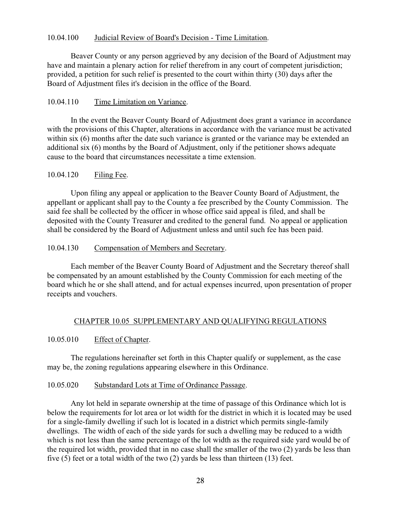## 10.04.100 Judicial Review of Board's Decision - Time Limitation.

Beaver County or any person aggrieved by any decision of the Board of Adjustment may have and maintain a plenary action for relief therefrom in any court of competent jurisdiction; provided, a petition for such relief is presented to the court within thirty (30) days after the Board of Adjustment files it's decision in the office of the Board.

## 10.04.110 Time Limitation on Variance.

In the event the Beaver County Board of Adjustment does grant a variance in accordance with the provisions of this Chapter, alterations in accordance with the variance must be activated within six (6) months after the date such variance is granted or the variance may be extended an additional six (6) months by the Board of Adjustment, only if the petitioner shows adequate cause to the board that circumstances necessitate a time extension.

## 10.04.120 Filing Fee.

Upon filing any appeal or application to the Beaver County Board of Adjustment, the appellant or applicant shall pay to the County a fee prescribed by the County Commission. The said fee shall be collected by the officer in whose office said appeal is filed, and shall be deposited with the County Treasurer and credited to the general fund. No appeal or application shall be considered by the Board of Adjustment unless and until such fee has been paid.

## 10.04.130 Compensation of Members and Secretary.

Each member of the Beaver County Board of Adjustment and the Secretary thereof shall be compensated by an amount established by the County Commission for each meeting of the board which he or she shall attend, and for actual expenses incurred, upon presentation of proper receipts and vouchers.

# CHAPTER 10.05 SUPPLEMENTARY AND QUALIFYING REGULATIONS

## 10.05.010 Effect of Chapter.

The regulations hereinafter set forth in this Chapter qualify or supplement, as the case may be, the zoning regulations appearing elsewhere in this Ordinance.

## 10.05.020 Substandard Lots at Time of Ordinance Passage.

Any lot held in separate ownership at the time of passage of this Ordinance which lot is below the requirements for lot area or lot width for the district in which it is located may be used for a single-family dwelling if such lot is located in a district which permits single-family dwellings. The width of each of the side yards for such a dwelling may be reduced to a width which is not less than the same percentage of the lot width as the required side yard would be of the required lot width, provided that in no case shall the smaller of the two (2) yards be less than five (5) feet or a total width of the two (2) yards be less than thirteen (13) feet.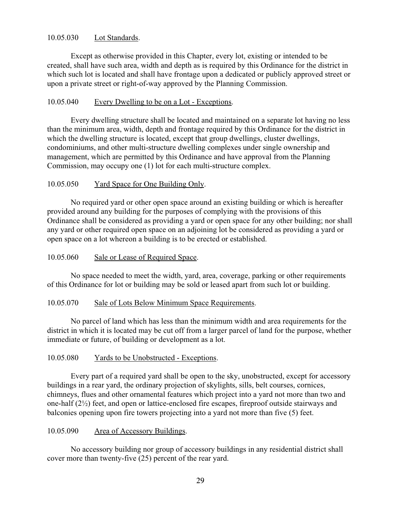## 10.05.030 Lot Standards.

Except as otherwise provided in this Chapter, every lot, existing or intended to be created, shall have such area, width and depth as is required by this Ordinance for the district in which such lot is located and shall have frontage upon a dedicated or publicly approved street or upon a private street or right-of-way approved by the Planning Commission.

## 10.05.040 Every Dwelling to be on a Lot - Exceptions.

Every dwelling structure shall be located and maintained on a separate lot having no less than the minimum area, width, depth and frontage required by this Ordinance for the district in which the dwelling structure is located, except that group dwellings, cluster dwellings, condominiums, and other multi-structure dwelling complexes under single ownership and management, which are permitted by this Ordinance and have approval from the Planning Commission, may occupy one (1) lot for each multi-structure complex.

## 10.05.050 Yard Space for One Building Only.

No required yard or other open space around an existing building or which is hereafter provided around any building for the purposes of complying with the provisions of this Ordinance shall be considered as providing a yard or open space for any other building; nor shall any yard or other required open space on an adjoining lot be considered as providing a yard or open space on a lot whereon a building is to be erected or established.

## 10.05.060 Sale or Lease of Required Space.

No space needed to meet the width, yard, area, coverage, parking or other requirements of this Ordinance for lot or building may be sold or leased apart from such lot or building.

# 10.05.070 Sale of Lots Below Minimum Space Requirements.

No parcel of land which has less than the minimum width and area requirements for the district in which it is located may be cut off from a larger parcel of land for the purpose, whether immediate or future, of building or development as a lot.

## 10.05.080 Yards to be Unobstructed - Exceptions.

Every part of a required yard shall be open to the sky, unobstructed, except for accessory buildings in a rear yard, the ordinary projection of skylights, sills, belt courses, cornices, chimneys, flues and other ornamental features which project into a yard not more than two and one-half (2½) feet, and open or lattice-enclosed fire escapes, fireproof outside stairways and balconies opening upon fire towers projecting into a yard not more than five (5) feet.

## 10.05.090 Area of Accessory Buildings.

No accessory building nor group of accessory buildings in any residential district shall cover more than twenty-five (25) percent of the rear yard.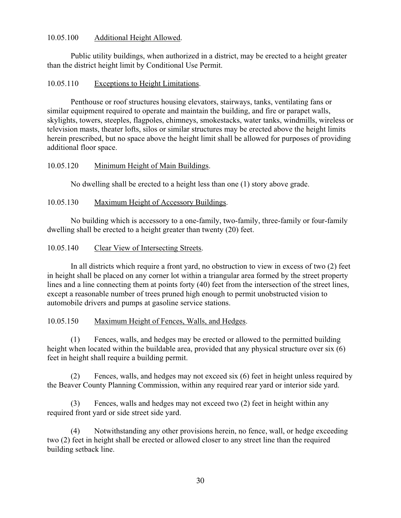## 10.05.100 Additional Height Allowed.

Public utility buildings, when authorized in a district, may be erected to a height greater than the district height limit by Conditional Use Permit.

## 10.05.110 Exceptions to Height Limitations.

Penthouse or roof structures housing elevators, stairways, tanks, ventilating fans or similar equipment required to operate and maintain the building, and fire or parapet walls, skylights, towers, steeples, flagpoles, chimneys, smokestacks, water tanks, windmills, wireless or television masts, theater lofts, silos or similar structures may be erected above the height limits herein prescribed, but no space above the height limit shall be allowed for purposes of providing additional floor space.

## 10.05.120 Minimum Height of Main Buildings.

No dwelling shall be erected to a height less than one (1) story above grade.

## 10.05.130 Maximum Height of Accessory Buildings.

No building which is accessory to a one-family, two-family, three-family or four-family dwelling shall be erected to a height greater than twenty (20) feet.

## 10.05.140 Clear View of Intersecting Streets.

In all districts which require a front yard, no obstruction to view in excess of two (2) feet in height shall be placed on any corner lot within a triangular area formed by the street property lines and a line connecting them at points forty (40) feet from the intersection of the street lines, except a reasonable number of trees pruned high enough to permit unobstructed vision to automobile drivers and pumps at gasoline service stations.

# 10.05.150 Maximum Height of Fences, Walls, and Hedges.

(1) Fences, walls, and hedges may be erected or allowed to the permitted building height when located within the buildable area, provided that any physical structure over six (6) feet in height shall require a building permit.

(2) Fences, walls, and hedges may not exceed six (6) feet in height unless required by the Beaver County Planning Commission, within any required rear yard or interior side yard.

(3) Fences, walls and hedges may not exceed two (2) feet in height within any required front yard or side street side yard.

(4) Notwithstanding any other provisions herein, no fence, wall, or hedge exceeding two (2) feet in height shall be erected or allowed closer to any street line than the required building setback line.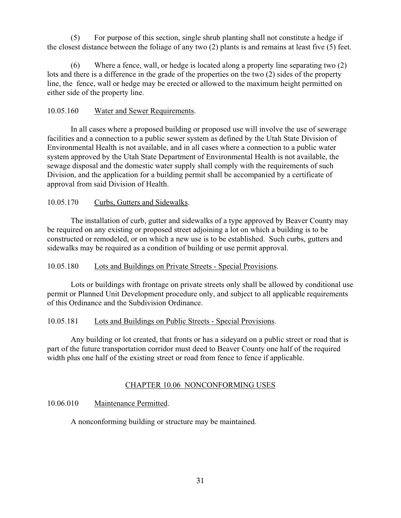(5) For purpose of this section, single shrub planting shall not constitute a hedge if the closest distance between the foliage of any two (2) plants is and remains at least five (5) feet.

(6) Where a fence, wall, or hedge is located along a property line separating two (2) lots and there is a difference in the grade of the properties on the two (2) sides of the property line, the fence, wall or hedge may be erected or allowed to the maximum height permitted on either side of the property line.

## 10.05.160 Water and Sewer Requirements.

In all cases where a proposed building or proposed use will involve the use of sewerage facilities and a connection to a public sewer system as defined by the Utah State Division of Environmental Health is not available, and in all cases where a connection to a public water system approved by the Utah State Department of Environmental Health is not available, the sewage disposal and the domestic water supply shall comply with the requirements of such Division, and the application for a building permit shall be accompanied by a certificate of approval from said Division of Health.

# 10.05.170 Curbs, Gutters and Sidewalks.

The installation of curb, gutter and sidewalks of a type approved by Beaver County may be required on any existing or proposed street adjoining a lot on which a building is to be constructed or remodeled, or on which a new use is to be established. Such curbs, gutters and sidewalks may be required as a condition of building or use permit approval.

## 10.05.180 Lots and Buildings on Private Streets - Special Provisions.

Lots or buildings with frontage on private streets only shall be allowed by conditional use permit or Planned Unit Development procedure only, and subject to all applicable requirements of this Ordinance and the Subdivision Ordinance.

## 10.05.181 Lots and Buildings on Public Streets - Special Provisions.

Any building or lot created, that fronts or has a sideyard on a public street or road that is part of the future transportation corridor must deed to Beaver County one half of the required width plus one half of the existing street or road from fence to fence if applicable.

## CHAPTER 10.06 NONCONFORMING USES

# 10.06.010 Maintenance Permitted.

A nonconforming building or structure may be maintained.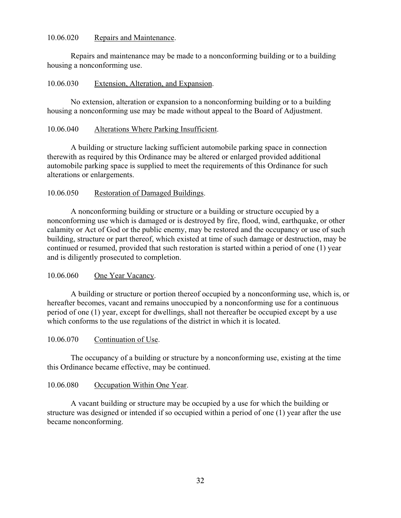### 10.06.020 Repairs and Maintenance.

Repairs and maintenance may be made to a nonconforming building or to a building housing a nonconforming use.

### 10.06.030 Extension, Alteration, and Expansion.

No extension, alteration or expansion to a nonconforming building or to a building housing a nonconforming use may be made without appeal to the Board of Adjustment.

### 10.06.040 Alterations Where Parking Insufficient.

A building or structure lacking sufficient automobile parking space in connection therewith as required by this Ordinance may be altered or enlarged provided additional automobile parking space is supplied to meet the requirements of this Ordinance for such alterations or enlargements.

## 10.06.050 Restoration of Damaged Buildings.

A nonconforming building or structure or a building or structure occupied by a nonconforming use which is damaged or is destroyed by fire, flood, wind, earthquake, or other calamity or Act of God or the public enemy, may be restored and the occupancy or use of such building, structure or part thereof, which existed at time of such damage or destruction, may be continued or resumed, provided that such restoration is started within a period of one (1) year and is diligently prosecuted to completion.

## 10.06.060 One Year Vacancy.

A building or structure or portion thereof occupied by a nonconforming use, which is, or hereafter becomes, vacant and remains unoccupied by a nonconforming use for a continuous period of one (1) year, except for dwellings, shall not thereafter be occupied except by a use which conforms to the use regulations of the district in which it is located.

## 10.06.070 Continuation of Use.

The occupancy of a building or structure by a nonconforming use, existing at the time this Ordinance became effective, may be continued.

## 10.06.080 Occupation Within One Year.

A vacant building or structure may be occupied by a use for which the building or structure was designed or intended if so occupied within a period of one (1) year after the use became nonconforming.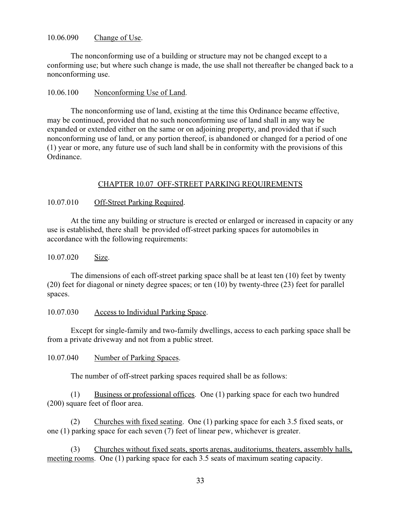### 10.06.090 Change of Use.

The nonconforming use of a building or structure may not be changed except to a conforming use; but where such change is made, the use shall not thereafter be changed back to a nonconforming use.

### 10.06.100 Nonconforming Use of Land.

The nonconforming use of land, existing at the time this Ordinance became effective, may be continued, provided that no such nonconforming use of land shall in any way be expanded or extended either on the same or on adjoining property, and provided that if such nonconforming use of land, or any portion thereof, is abandoned or changed for a period of one (1) year or more, any future use of such land shall be in conformity with the provisions of this Ordinance.

## CHAPTER 10.07 OFF-STREET PARKING REQUIREMENTS

### 10.07.010 Off-Street Parking Required.

At the time any building or structure is erected or enlarged or increased in capacity or any use is established, there shall be provided off-street parking spaces for automobiles in accordance with the following requirements:

### 10.07.020 Size.

The dimensions of each off-street parking space shall be at least ten (10) feet by twenty (20) feet for diagonal or ninety degree spaces; or ten (10) by twenty-three (23) feet for parallel spaces.

### 10.07.030 Access to Individual Parking Space.

Except for single-family and two-family dwellings, access to each parking space shall be from a private driveway and not from a public street.

10.07.040 Number of Parking Spaces.

The number of off-street parking spaces required shall be as follows:

(1) Business or professional offices. One (1) parking space for each two hundred (200) square feet of floor area.

(2) Churches with fixed seating. One (1) parking space for each 3.5 fixed seats, or one (1) parking space for each seven (7) feet of linear pew, whichever is greater.

(3) Churches without fixed seats, sports arenas, auditoriums, theaters, assembly halls, meeting rooms. One (1) parking space for each 3.5 seats of maximum seating capacity.

33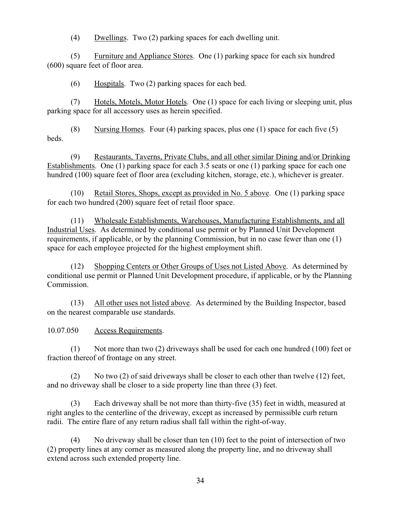(4) Dwellings. Two (2) parking spaces for each dwelling unit.

(5) Furniture and Appliance Stores. One (1) parking space for each six hundred (600) square feet of floor area.

(6) Hospitals. Two (2) parking spaces for each bed.

(7) Hotels, Motels, Motor Hotels. One (1) space for each living or sleeping unit, plus parking space for all accessory uses as herein specified.

(8) Nursing Homes. Four (4) parking spaces, plus one (1) space for each five  $(5)$ **beds** 

(9) Restaurants, Taverns, Private Clubs, and all other similar Dining and/or Drinking Establishments. One (1) parking space for each 3.5 seats or one (1) parking space for each one hundred (100) square feet of floor area (excluding kitchen, storage, etc.), whichever is greater.

(10) Retail Stores, Shops, except as provided in No. 5 above. One (1) parking space for each two hundred (200) square feet of retail floor space.

(11) Wholesale Establishments, Warehouses, Manufacturing Establishments, and all Industrial Uses. As determined by conditional use permit or by Planned Unit Development requirements, if applicable, or by the planning Commission, but in no case fewer than one (1) space for each employee projected for the highest employment shift.

(12) Shopping Centers or Other Groups of Uses not Listed Above. As determined by conditional use permit or Planned Unit Development procedure, if applicable, or by the Planning Commission.

(13) All other uses not listed above. As determined by the Building Inspector, based on the nearest comparable use standards.

10.07.050 Access Requirements.

(1) Not more than two (2) driveways shall be used for each one hundred (100) feet or fraction thereof of frontage on any street.

(2) No two (2) of said driveways shall be closer to each other than twelve (12) feet, and no driveway shall be closer to a side property line than three (3) feet.

(3) Each driveway shall be not more than thirty-five (35) feet in width, measured at right angles to the centerline of the driveway, except as increased by permissible curb return radii. The entire flare of any return radius shall fall within the right-of-way.

(4) No driveway shall be closer than ten (10) feet to the point of intersection of two (2) property lines at any corner as measured along the property line, and no driveway shall extend across such extended property line.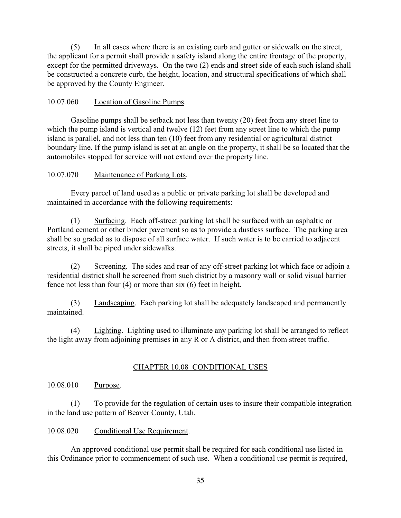(5) In all cases where there is an existing curb and gutter or sidewalk on the street, the applicant for a permit shall provide a safety island along the entire frontage of the property, except for the permitted driveways. On the two (2) ends and street side of each such island shall be constructed a concrete curb, the height, location, and structural specifications of which shall be approved by the County Engineer.

## 10.07.060 Location of Gasoline Pumps.

Gasoline pumps shall be setback not less than twenty (20) feet from any street line to which the pump island is vertical and twelve (12) feet from any street line to which the pump island is parallel, and not less than ten (10) feet from any residential or agricultural district boundary line. If the pump island is set at an angle on the property, it shall be so located that the automobiles stopped for service will not extend over the property line.

# 10.07.070 Maintenance of Parking Lots.

Every parcel of land used as a public or private parking lot shall be developed and maintained in accordance with the following requirements:

(1) Surfacing. Each off-street parking lot shall be surfaced with an asphaltic or Portland cement or other binder pavement so as to provide a dustless surface. The parking area shall be so graded as to dispose of all surface water. If such water is to be carried to adjacent streets, it shall be piped under sidewalks.

(2) Screening. The sides and rear of any off-street parking lot which face or adjoin a residential district shall be screened from such district by a masonry wall or solid visual barrier fence not less than four (4) or more than six (6) feet in height.

(3) Landscaping. Each parking lot shall be adequately landscaped and permanently maintained.

(4) Lighting. Lighting used to illuminate any parking lot shall be arranged to reflect the light away from adjoining premises in any R or A district, and then from street traffic.

# CHAPTER 10.08 CONDITIONAL USES

## 10.08.010 Purpose.

(1) To provide for the regulation of certain uses to insure their compatible integration in the land use pattern of Beaver County, Utah.

## 10.08.020 Conditional Use Requirement.

An approved conditional use permit shall be required for each conditional use listed in this Ordinance prior to commencement of such use. When a conditional use permit is required,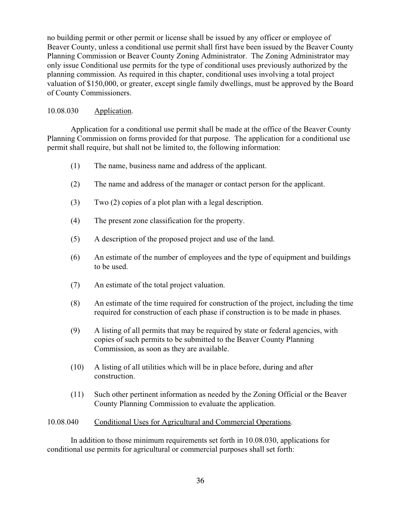no building permit or other permit or license shall be issued by any officer or employee of Beaver County, unless a conditional use permit shall first have been issued by the Beaver County Planning Commission or Beaver County Zoning Administrator. The Zoning Administrator may only issue Conditional use permits for the type of conditional uses previously authorized by the planning commission. As required in this chapter, conditional uses involving a total project valuation of \$150,000, or greater, except single family dwellings, must be approved by the Board of County Commissioners.

# 10.08.030 Application.

Application for a conditional use permit shall be made at the office of the Beaver County Planning Commission on forms provided for that purpose. The application for a conditional use permit shall require, but shall not be limited to, the following information:

- (1) The name, business name and address of the applicant.
- (2) The name and address of the manager or contact person for the applicant.
- (3) Two (2) copies of a plot plan with a legal description.
- (4) The present zone classification for the property.
- (5) A description of the proposed project and use of the land.
- (6) An estimate of the number of employees and the type of equipment and buildings to be used.
- (7) An estimate of the total project valuation.
- (8) An estimate of the time required for construction of the project, including the time required for construction of each phase if construction is to be made in phases.
- (9) A listing of all permits that may be required by state or federal agencies, with copies of such permits to be submitted to the Beaver County Planning Commission, as soon as they are available.
- (10) A listing of all utilities which will be in place before, during and after construction.
- (11) Such other pertinent information as needed by the Zoning Official or the Beaver County Planning Commission to evaluate the application.

# 10.08.040 Conditional Uses for Agricultural and Commercial Operations.

In addition to those minimum requirements set forth in 10.08.030, applications for conditional use permits for agricultural or commercial purposes shall set forth: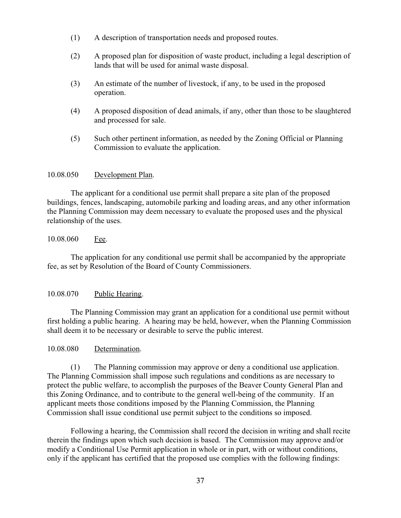- (1) A description of transportation needs and proposed routes.
- (2) A proposed plan for disposition of waste product, including a legal description of lands that will be used for animal waste disposal.
- (3) An estimate of the number of livestock, if any, to be used in the proposed operation.
- (4) A proposed disposition of dead animals, if any, other than those to be slaughtered and processed for sale.
- (5) Such other pertinent information, as needed by the Zoning Official or Planning Commission to evaluate the application.

## 10.08.050 Development Plan.

The applicant for a conditional use permit shall prepare a site plan of the proposed buildings, fences, landscaping, automobile parking and loading areas, and any other information the Planning Commission may deem necessary to evaluate the proposed uses and the physical relationship of the uses.

## 10.08.060 Fee.

The application for any conditional use permit shall be accompanied by the appropriate fee, as set by Resolution of the Board of County Commissioners.

## 10.08.070 Public Hearing.

The Planning Commission may grant an application for a conditional use permit without first holding a public hearing. A hearing may be held, however, when the Planning Commission shall deem it to be necessary or desirable to serve the public interest.

### 10.08.080 Determination.

(1) The Planning commission may approve or deny a conditional use application. The Planning Commission shall impose such regulations and conditions as are necessary to protect the public welfare, to accomplish the purposes of the Beaver County General Plan and this Zoning Ordinance, and to contribute to the general well-being of the community. If an applicant meets those conditions imposed by the Planning Commission, the Planning Commission shall issue conditional use permit subject to the conditions so imposed.

Following a hearing, the Commission shall record the decision in writing and shall recite therein the findings upon which such decision is based. The Commission may approve and/or modify a Conditional Use Permit application in whole or in part, with or without conditions, only if the applicant has certified that the proposed use complies with the following findings: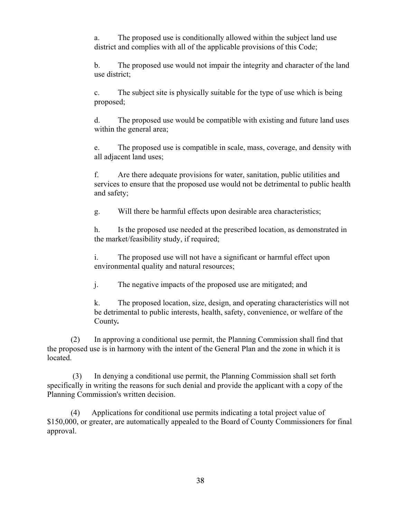a. The proposed use is conditionally allowed within the subject land use district and complies with all of the applicable provisions of this Code;

b. The proposed use would not impair the integrity and character of the land use district;

c. The subject site is physically suitable for the type of use which is being proposed;

d. The proposed use would be compatible with existing and future land uses within the general area;

e. The proposed use is compatible in scale, mass, coverage, and density with all adjacent land uses;

f. Are there adequate provisions for water, sanitation, public utilities and services to ensure that the proposed use would not be detrimental to public health and safety;

g. Will there be harmful effects upon desirable area characteristics;

h. Is the proposed use needed at the prescribed location, as demonstrated in the market/feasibility study, if required;

i. The proposed use will not have a significant or harmful effect upon environmental quality and natural resources;

j. The negative impacts of the proposed use are mitigated; and

k. The proposed location, size, design, and operating characteristics will not be detrimental to public interests, health, safety, convenience, or welfare of the County*.*

(2) In approving a conditional use permit, the Planning Commission shall find that the proposed use is in harmony with the intent of the General Plan and the zone in which it is located.

 (3) In denying a conditional use permit, the Planning Commission shall set forth specifically in writing the reasons for such denial and provide the applicant with a copy of the Planning Commission's written decision.

(4) Applications for conditional use permits indicating a total project value of \$150,000, or greater, are automatically appealed to the Board of County Commissioners for final approval.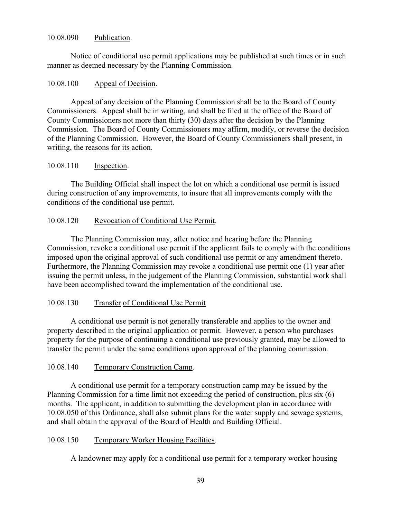### 10.08.090 Publication.

Notice of conditional use permit applications may be published at such times or in such manner as deemed necessary by the Planning Commission.

### 10.08.100 Appeal of Decision.

Appeal of any decision of the Planning Commission shall be to the Board of County Commissioners. Appeal shall be in writing, and shall be filed at the office of the Board of County Commissioners not more than thirty (30) days after the decision by the Planning Commission. The Board of County Commissioners may affirm, modify, or reverse the decision of the Planning Commission. However, the Board of County Commissioners shall present, in writing, the reasons for its action.

## 10.08.110 Inspection.

The Building Official shall inspect the lot on which a conditional use permit is issued during construction of any improvements, to insure that all improvements comply with the conditions of the conditional use permit.

## 10.08.120 Revocation of Conditional Use Permit.

The Planning Commission may, after notice and hearing before the Planning Commission, revoke a conditional use permit if the applicant fails to comply with the conditions imposed upon the original approval of such conditional use permit or any amendment thereto. Furthermore, the Planning Commission may revoke a conditional use permit one (1) year after issuing the permit unless, in the judgement of the Planning Commission, substantial work shall have been accomplished toward the implementation of the conditional use.

## 10.08.130 Transfer of Conditional Use Permit

A conditional use permit is not generally transferable and applies to the owner and property described in the original application or permit. However, a person who purchases property for the purpose of continuing a conditional use previously granted, may be allowed to transfer the permit under the same conditions upon approval of the planning commission.

## 10.08.140 Temporary Construction Camp.

A conditional use permit for a temporary construction camp may be issued by the Planning Commission for a time limit not exceeding the period of construction, plus six (6) months. The applicant, in addition to submitting the development plan in accordance with 10.08.050 of this Ordinance, shall also submit plans for the water supply and sewage systems, and shall obtain the approval of the Board of Health and Building Official.

## 10.08.150 Temporary Worker Housing Facilities.

A landowner may apply for a conditional use permit for a temporary worker housing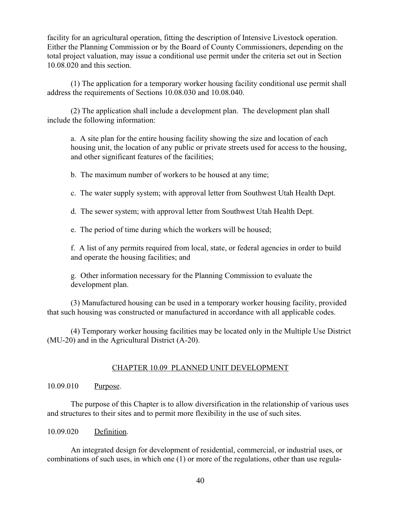facility for an agricultural operation, fitting the description of Intensive Livestock operation. Either the Planning Commission or by the Board of County Commissioners, depending on the total project valuation, may issue a conditional use permit under the criteria set out in Section 10.08.020 and this section.

(1) The application for a temporary worker housing facility conditional use permit shall address the requirements of Sections 10.08.030 and 10.08.040.

(2) The application shall include a development plan. The development plan shall include the following information:

a. A site plan for the entire housing facility showing the size and location of each housing unit, the location of any public or private streets used for access to the housing, and other significant features of the facilities;

b. The maximum number of workers to be housed at any time;

c. The water supply system; with approval letter from Southwest Utah Health Dept.

d. The sewer system; with approval letter from Southwest Utah Health Dept.

e. The period of time during which the workers will be housed;

f. A list of any permits required from local, state, or federal agencies in order to build and operate the housing facilities; and

g. Other information necessary for the Planning Commission to evaluate the development plan.

(3) Manufactured housing can be used in a temporary worker housing facility, provided that such housing was constructed or manufactured in accordance with all applicable codes.

(4) Temporary worker housing facilities may be located only in the Multiple Use District (MU-20) and in the Agricultural District (A-20).

## CHAPTER 10.09 PLANNED UNIT DEVELOPMENT

## 10.09.010 Purpose.

The purpose of this Chapter is to allow diversification in the relationship of various uses and structures to their sites and to permit more flexibility in the use of such sites.

## 10.09.020 Definition.

An integrated design for development of residential, commercial, or industrial uses, or combinations of such uses, in which one (1) or more of the regulations, other than use regula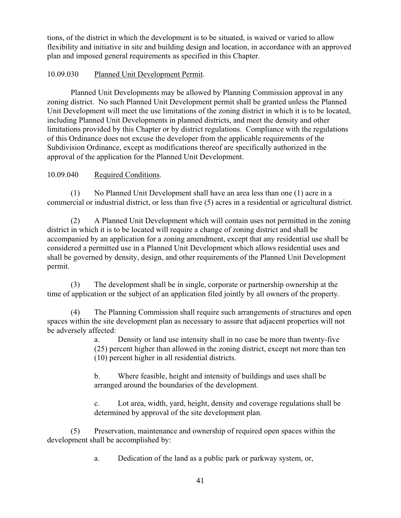tions, of the district in which the development is to be situated, is waived or varied to allow flexibility and initiative in site and building design and location, in accordance with an approved plan and imposed general requirements as specified in this Chapter.

# 10.09.030 Planned Unit Development Permit.

Planned Unit Developments may be allowed by Planning Commission approval in any zoning district. No such Planned Unit Development permit shall be granted unless the Planned Unit Development will meet the use limitations of the zoning district in which it is to be located, including Planned Unit Developments in planned districts, and meet the density and other limitations provided by this Chapter or by district regulations. Compliance with the regulations of this Ordinance does not excuse the developer from the applicable requirements of the Subdivision Ordinance, except as modifications thereof are specifically authorized in the approval of the application for the Planned Unit Development.

# 10.09.040 Required Conditions.

(1) No Planned Unit Development shall have an area less than one (1) acre in a commercial or industrial district, or less than five (5) acres in a residential or agricultural district.

(2) A Planned Unit Development which will contain uses not permitted in the zoning district in which it is to be located will require a change of zoning district and shall be accompanied by an application for a zoning amendment, except that any residential use shall be considered a permitted use in a Planned Unit Development which allows residential uses and shall be governed by density, design, and other requirements of the Planned Unit Development permit.

(3) The development shall be in single, corporate or partnership ownership at the time of application or the subject of an application filed jointly by all owners of the property.

(4) The Planning Commission shall require such arrangements of structures and open spaces within the site development plan as necessary to assure that adjacent properties will not be adversely affected:

> a. Density or land use intensity shall in no case be more than twenty-five (25) percent higher than allowed in the zoning district, except not more than ten (10) percent higher in all residential districts.

b. Where feasible, height and intensity of buildings and uses shall be arranged around the boundaries of the development.

c. Lot area, width, yard, height, density and coverage regulations shall be determined by approval of the site development plan.

(5) Preservation, maintenance and ownership of required open spaces within the development shall be accomplished by:

a. Dedication of the land as a public park or parkway system, or,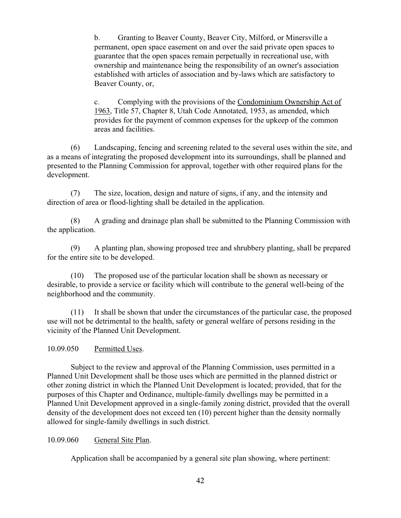b. Granting to Beaver County, Beaver City, Milford, or Minersville a permanent, open space easement on and over the said private open spaces to guarantee that the open spaces remain perpetually in recreational use, with ownership and maintenance being the responsibility of an owner's association established with articles of association and by-laws which are satisfactory to Beaver County, or,

c. Complying with the provisions of the Condominium Ownership Act of 1963, Title 57, Chapter 8, Utah Code Annotated, 1953, as amended, which provides for the payment of common expenses for the upkeep of the common areas and facilities.

(6) Landscaping, fencing and screening related to the several uses within the site, and as a means of integrating the proposed development into its surroundings, shall be planned and presented to the Planning Commission for approval, together with other required plans for the development.

(7) The size, location, design and nature of signs, if any, and the intensity and direction of area or flood-lighting shall be detailed in the application.

(8) A grading and drainage plan shall be submitted to the Planning Commission with the application.

(9) A planting plan, showing proposed tree and shrubbery planting, shall be prepared for the entire site to be developed.

(10) The proposed use of the particular location shall be shown as necessary or desirable, to provide a service or facility which will contribute to the general well-being of the neighborhood and the community.

(11) It shall be shown that under the circumstances of the particular case, the proposed use will not be detrimental to the health, safety or general welfare of persons residing in the vicinity of the Planned Unit Development.

# 10.09.050 Permitted Uses.

Subject to the review and approval of the Planning Commission, uses permitted in a Planned Unit Development shall be those uses which are permitted in the planned district or other zoning district in which the Planned Unit Development is located; provided, that for the purposes of this Chapter and Ordinance, multiple-family dwellings may be permitted in a Planned Unit Development approved in a single-family zoning district, provided that the overall density of the development does not exceed ten (10) percent higher than the density normally allowed for single-family dwellings in such district.

## 10.09.060 General Site Plan.

Application shall be accompanied by a general site plan showing, where pertinent: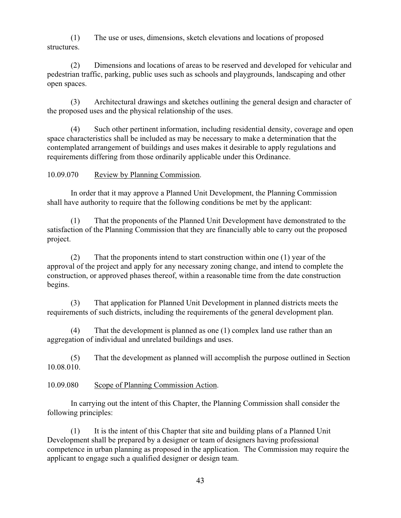(1) The use or uses, dimensions, sketch elevations and locations of proposed structures.

(2) Dimensions and locations of areas to be reserved and developed for vehicular and pedestrian traffic, parking, public uses such as schools and playgrounds, landscaping and other open spaces.

(3) Architectural drawings and sketches outlining the general design and character of the proposed uses and the physical relationship of the uses.

(4) Such other pertinent information, including residential density, coverage and open space characteristics shall be included as may be necessary to make a determination that the contemplated arrangement of buildings and uses makes it desirable to apply regulations and requirements differing from those ordinarily applicable under this Ordinance.

# 10.09.070 Review by Planning Commission.

In order that it may approve a Planned Unit Development, the Planning Commission shall have authority to require that the following conditions be met by the applicant:

(1) That the proponents of the Planned Unit Development have demonstrated to the satisfaction of the Planning Commission that they are financially able to carry out the proposed project.

(2) That the proponents intend to start construction within one (1) year of the approval of the project and apply for any necessary zoning change, and intend to complete the construction, or approved phases thereof, within a reasonable time from the date construction begins.

(3) That application for Planned Unit Development in planned districts meets the requirements of such districts, including the requirements of the general development plan.

(4) That the development is planned as one (1) complex land use rather than an aggregation of individual and unrelated buildings and uses.

(5) That the development as planned will accomplish the purpose outlined in Section 10.08.010.

## 10.09.080 Scope of Planning Commission Action.

In carrying out the intent of this Chapter, the Planning Commission shall consider the following principles:

(1) It is the intent of this Chapter that site and building plans of a Planned Unit Development shall be prepared by a designer or team of designers having professional competence in urban planning as proposed in the application. The Commission may require the applicant to engage such a qualified designer or design team.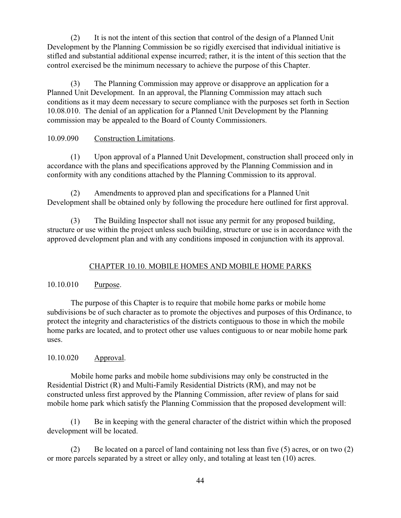(2) It is not the intent of this section that control of the design of a Planned Unit Development by the Planning Commission be so rigidly exercised that individual initiative is stifled and substantial additional expense incurred; rather, it is the intent of this section that the control exercised be the minimum necessary to achieve the purpose of this Chapter.

(3) The Planning Commission may approve or disapprove an application for a Planned Unit Development. In an approval, the Planning Commission may attach such conditions as it may deem necessary to secure compliance with the purposes set forth in Section 10.08.010. The denial of an application for a Planned Unit Development by the Planning commission may be appealed to the Board of County Commissioners.

# 10.09.090 Construction Limitations.

(1) Upon approval of a Planned Unit Development, construction shall proceed only in accordance with the plans and specifications approved by the Planning Commission and in conformity with any conditions attached by the Planning Commission to its approval.

(2) Amendments to approved plan and specifications for a Planned Unit Development shall be obtained only by following the procedure here outlined for first approval.

(3) The Building Inspector shall not issue any permit for any proposed building, structure or use within the project unless such building, structure or use is in accordance with the approved development plan and with any conditions imposed in conjunction with its approval.

# CHAPTER 10.10. MOBILE HOMES AND MOBILE HOME PARKS

# 10.10.010 Purpose.

The purpose of this Chapter is to require that mobile home parks or mobile home subdivisions be of such character as to promote the objectives and purposes of this Ordinance, to protect the integrity and characteristics of the districts contiguous to those in which the mobile home parks are located, and to protect other use values contiguous to or near mobile home park uses.

# 10.10.020 Approval.

Mobile home parks and mobile home subdivisions may only be constructed in the Residential District (R) and Multi-Family Residential Districts (RM), and may not be constructed unless first approved by the Planning Commission, after review of plans for said mobile home park which satisfy the Planning Commission that the proposed development will:

(1) Be in keeping with the general character of the district within which the proposed development will be located.

(2) Be located on a parcel of land containing not less than five (5) acres, or on two (2) or more parcels separated by a street or alley only, and totaling at least ten (10) acres.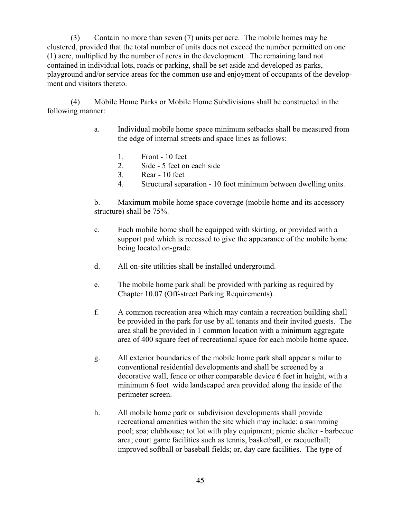(3) Contain no more than seven (7) units per acre. The mobile homes may be clustered, provided that the total number of units does not exceed the number permitted on one (1) acre, multiplied by the number of acres in the development. The remaining land not contained in individual lots, roads or parking, shall be set aside and developed as parks, playground and/or service areas for the common use and enjoyment of occupants of the development and visitors thereto.

(4) Mobile Home Parks or Mobile Home Subdivisions shall be constructed in the following manner:

- a. Individual mobile home space minimum setbacks shall be measured from the edge of internal streets and space lines as follows:
	- 1. Front 10 feet
	- 2. Side 5 feet on each side
	- 3. Rear 10 feet
	- 4. Structural separation 10 foot minimum between dwelling units.

b. Maximum mobile home space coverage (mobile home and its accessory structure) shall be 75%.

- c. Each mobile home shall be equipped with skirting, or provided with a support pad which is recessed to give the appearance of the mobile home being located on-grade.
- d. All on-site utilities shall be installed underground.
- e. The mobile home park shall be provided with parking as required by Chapter 10.07 (Off-street Parking Requirements).
- f. A common recreation area which may contain a recreation building shall be provided in the park for use by all tenants and their invited guests. The area shall be provided in 1 common location with a minimum aggregate area of 400 square feet of recreational space for each mobile home space.
- g. All exterior boundaries of the mobile home park shall appear similar to conventional residential developments and shall be screened by a decorative wall, fence or other comparable device 6 feet in height, with a minimum 6 foot wide landscaped area provided along the inside of the perimeter screen.
- h. All mobile home park or subdivision developments shall provide recreational amenities within the site which may include: a swimming pool; spa; clubhouse; tot lot with play equipment; picnic shelter - barbecue area; court game facilities such as tennis, basketball, or racquetball; improved softball or baseball fields; or, day care facilities. The type of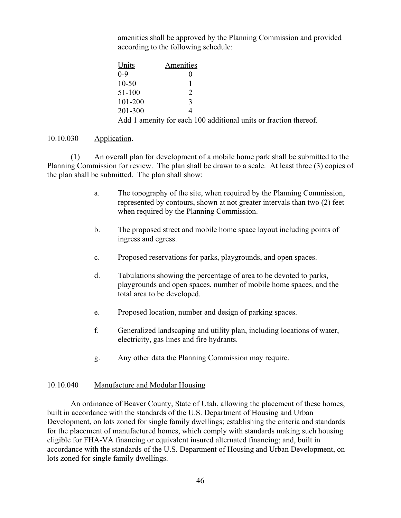amenities shall be approved by the Planning Commission and provided according to the following schedule:

| Units       | Amenities     |                                                                  |
|-------------|---------------|------------------------------------------------------------------|
| $0 - 9$     |               |                                                                  |
| $10 - 50$   |               |                                                                  |
| 51-100      | $\mathcal{D}$ |                                                                  |
| $101 - 200$ | ζ             |                                                                  |
| 201-300     |               |                                                                  |
|             |               | Add 1 amenity for each 100 additional units or fraction thereof. |

### 10.10.030 Application.

(1) An overall plan for development of a mobile home park shall be submitted to the Planning Commission for review. The plan shall be drawn to a scale. At least three (3) copies of the plan shall be submitted. The plan shall show:

- a. The topography of the site, when required by the Planning Commission, represented by contours, shown at not greater intervals than two (2) feet when required by the Planning Commission.
- b. The proposed street and mobile home space layout including points of ingress and egress.
- c. Proposed reservations for parks, playgrounds, and open spaces.
- d. Tabulations showing the percentage of area to be devoted to parks, playgrounds and open spaces, number of mobile home spaces, and the total area to be developed.
- e. Proposed location, number and design of parking spaces.
- f. Generalized landscaping and utility plan, including locations of water, electricity, gas lines and fire hydrants.
- g. Any other data the Planning Commission may require.

### 10.10.040 Manufacture and Modular Housing

An ordinance of Beaver County, State of Utah, allowing the placement of these homes, built in accordance with the standards of the U.S. Department of Housing and Urban Development, on lots zoned for single family dwellings; establishing the criteria and standards for the placement of manufactured homes, which comply with standards making such housing eligible for FHA-VA financing or equivalent insured alternated financing; and, built in accordance with the standards of the U.S. Department of Housing and Urban Development, on lots zoned for single family dwellings.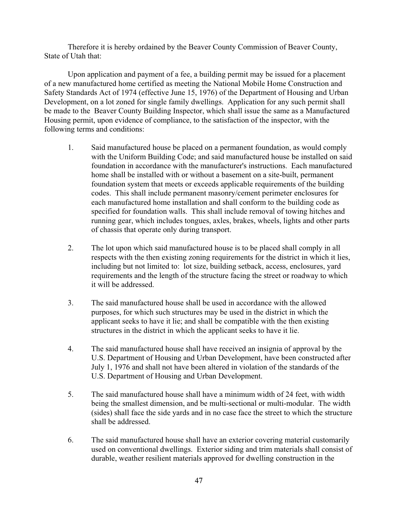Therefore it is hereby ordained by the Beaver County Commission of Beaver County, State of Utah that:

Upon application and payment of a fee, a building permit may be issued for a placement of a new manufactured home certified as meeting the National Mobile Home Construction and Safety Standards Act of 1974 (effective June 15, 1976) of the Department of Housing and Urban Development, on a lot zoned for single family dwellings. Application for any such permit shall be made to the Beaver County Building Inspector, which shall issue the same as a Manufactured Housing permit, upon evidence of compliance, to the satisfaction of the inspector, with the following terms and conditions:

- 1. Said manufactured house be placed on a permanent foundation, as would comply with the Uniform Building Code; and said manufactured house be installed on said foundation in accordance with the manufacturer's instructions. Each manufactured home shall be installed with or without a basement on a site-built, permanent foundation system that meets or exceeds applicable requirements of the building codes. This shall include permanent masonry/cement perimeter enclosures for each manufactured home installation and shall conform to the building code as specified for foundation walls. This shall include removal of towing hitches and running gear, which includes tongues, axles, brakes, wheels, lights and other parts of chassis that operate only during transport.
- 2. The lot upon which said manufactured house is to be placed shall comply in all respects with the then existing zoning requirements for the district in which it lies, including but not limited to: lot size, building setback, access, enclosures, yard requirements and the length of the structure facing the street or roadway to which it will be addressed.
- 3. The said manufactured house shall be used in accordance with the allowed purposes, for which such structures may be used in the district in which the applicant seeks to have it lie; and shall be compatible with the then existing structures in the district in which the applicant seeks to have it lie.
- 4. The said manufactured house shall have received an insignia of approval by the U.S. Department of Housing and Urban Development, have been constructed after July 1, 1976 and shall not have been altered in violation of the standards of the U.S. Department of Housing and Urban Development.
- 5. The said manufactured house shall have a minimum width of 24 feet, with width being the smallest dimension, and be multi-sectional or multi-modular. The width (sides) shall face the side yards and in no case face the street to which the structure shall be addressed.
- 6. The said manufactured house shall have an exterior covering material customarily used on conventional dwellings. Exterior siding and trim materials shall consist of durable, weather resilient materials approved for dwelling construction in the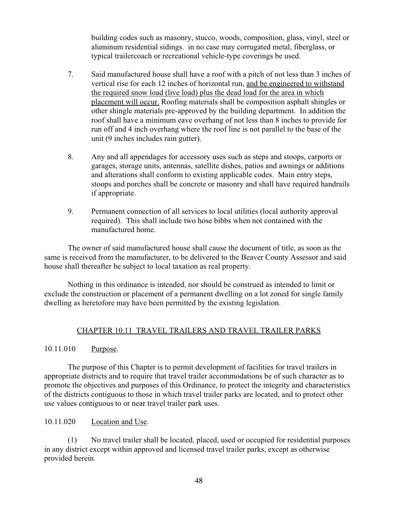building codes such as masonry, stucco, woods, composition, glass, vinyl, steel or aluminum residential sidings. in no case may corrugated metal, fiberglass, or typical trailercoach or recreational vehicle-type coverings be used.

- 7. Said manufactured house shall have a roof with a pitch of not less than 3 inches of vertical rise for each 12 inches of horizontal run, and be engineered to withstand the required snow load (live load) plus the dead load for the area in which placement will occur. Roofing materials shall be composition asphalt shingles or other shingle materials pre-approved by the building department. In addition the roof shall have a minimum eave overhang of not less than 8 inches to provide for run off and 4 inch overhang where the roof line is not parallel to the base of the unit (9 inches includes rain gutter).
- 8. Any and all appendages for accessory uses such as steps and stoops, carports or garages, storage units, antennas, satellite dishes, patios and awnings or additions and alterations shall conform to existing applicable codes. Main entry steps, stoops and porches shall be concrete or masonry and shall have required handrails if appropriate.
- 9. Permanent connection of all services to local utilities (local authority approval required). This shall include two hose bibbs when not contained with the manufactured home.

The owner of said manufactured house shall cause the document of title, as soon as the same is received from the manufacturer, to be delivered to the Beaver County Assessor and said house shall thereafter be subject to local taxation as real property.

Nothing in this ordinance is intended, nor should be construed as intended to limit or exclude the construction or placement of a permanent dwelling on a lot zoned for single family dwelling as heretofore may have been permitted by the existing legislation.

## CHAPTER 10.11 TRAVEL TRAILERS AND TRAVEL TRAILER PARKS

## 10.11.010 Purpose.

The purpose of this Chapter is to permit development of facilities for travel trailers in appropriate districts and to require that travel trailer accommodations be of such character as to promote the objectives and purposes of this Ordinance, to protect the integrity and characteristics of the districts contiguous to those in which travel trailer parks are located, and to protect other use values contiguous to or near travel trailer park uses.

## 10.11.020 Location and Use.

(1) No travel trailer shall be located, placed, used or occupied for residential purposes in any district except within approved and licensed travel trailer parks, except as otherwise provided herein.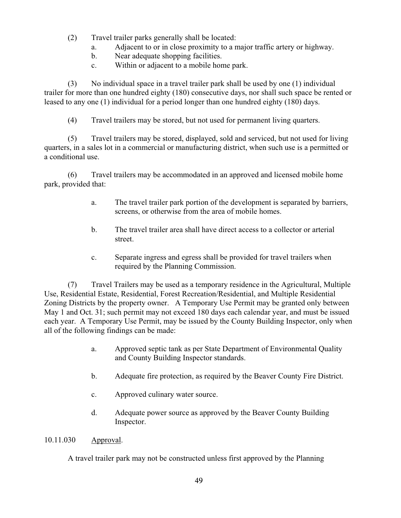- (2) Travel trailer parks generally shall be located:
	- a. Adjacent to or in close proximity to a major traffic artery or highway.
	- b. Near adequate shopping facilities.
	- c. Within or adjacent to a mobile home park.

(3) No individual space in a travel trailer park shall be used by one (1) individual trailer for more than one hundred eighty (180) consecutive days, nor shall such space be rented or leased to any one (1) individual for a period longer than one hundred eighty (180) days.

(4) Travel trailers may be stored, but not used for permanent living quarters.

(5) Travel trailers may be stored, displayed, sold and serviced, but not used for living quarters, in a sales lot in a commercial or manufacturing district, when such use is a permitted or a conditional use.

(6) Travel trailers may be accommodated in an approved and licensed mobile home park, provided that:

- a. The travel trailer park portion of the development is separated by barriers, screens, or otherwise from the area of mobile homes.
- b. The travel trailer area shall have direct access to a collector or arterial street.
- c. Separate ingress and egress shall be provided for travel trailers when required by the Planning Commission.

(7) Travel Trailers may be used as a temporary residence in the Agricultural, Multiple Use, Residential Estate, Residential, Forest Recreation/Residential, and Multiple Residential Zoning Districts by the property owner. A Temporary Use Permit may be granted only between May 1 and Oct. 31; such permit may not exceed 180 days each calendar year, and must be issued each year. A Temporary Use Permit, may be issued by the County Building Inspector, only when all of the following findings can be made:

- a. Approved septic tank as per State Department of Environmental Quality and County Building Inspector standards.
- b. Adequate fire protection, as required by the Beaver County Fire District.
- c. Approved culinary water source.
- d. Adequate power source as approved by the Beaver County Building Inspector.

10.11.030 Approval.

A travel trailer park may not be constructed unless first approved by the Planning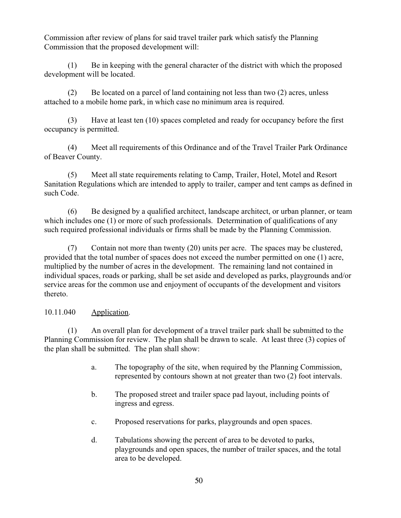Commission after review of plans for said travel trailer park which satisfy the Planning Commission that the proposed development will:

(1) Be in keeping with the general character of the district with which the proposed development will be located.

(2) Be located on a parcel of land containing not less than two (2) acres, unless attached to a mobile home park, in which case no minimum area is required.

(3) Have at least ten (10) spaces completed and ready for occupancy before the first occupancy is permitted.

(4) Meet all requirements of this Ordinance and of the Travel Trailer Park Ordinance of Beaver County.

(5) Meet all state requirements relating to Camp, Trailer, Hotel, Motel and Resort Sanitation Regulations which are intended to apply to trailer, camper and tent camps as defined in such Code.

(6) Be designed by a qualified architect, landscape architect, or urban planner, or team which includes one (1) or more of such professionals. Determination of qualifications of any such required professional individuals or firms shall be made by the Planning Commission.

(7) Contain not more than twenty (20) units per acre. The spaces may be clustered, provided that the total number of spaces does not exceed the number permitted on one (1) acre, multiplied by the number of acres in the development. The remaining land not contained in individual spaces, roads or parking, shall be set aside and developed as parks, playgrounds and/or service areas for the common use and enjoyment of occupants of the development and visitors thereto.

# 10.11.040 Application.

(1) An overall plan for development of a travel trailer park shall be submitted to the Planning Commission for review. The plan shall be drawn to scale. At least three (3) copies of the plan shall be submitted. The plan shall show:

- a. The topography of the site, when required by the Planning Commission, represented by contours shown at not greater than two (2) foot intervals.
- b. The proposed street and trailer space pad layout, including points of ingress and egress.
- c. Proposed reservations for parks, playgrounds and open spaces.
- d. Tabulations showing the percent of area to be devoted to parks, playgrounds and open spaces, the number of trailer spaces, and the total area to be developed.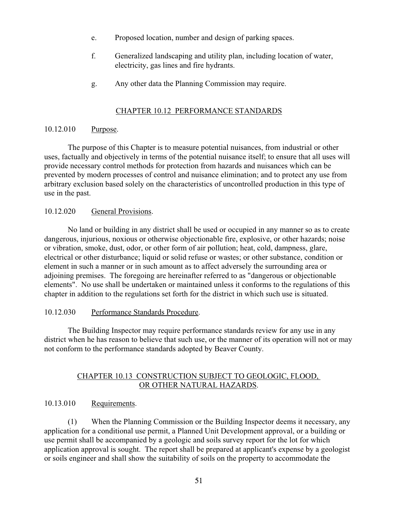- e. Proposed location, number and design of parking spaces.
- f. Generalized landscaping and utility plan, including location of water, electricity, gas lines and fire hydrants.
- g. Any other data the Planning Commission may require.

## CHAPTER 10.12 PERFORMANCE STANDARDS

### 10.12.010 Purpose.

The purpose of this Chapter is to measure potential nuisances, from industrial or other uses, factually and objectively in terms of the potential nuisance itself; to ensure that all uses will provide necessary control methods for protection from hazards and nuisances which can be prevented by modern processes of control and nuisance elimination; and to protect any use from arbitrary exclusion based solely on the characteristics of uncontrolled production in this type of use in the past.

## 10.12.020 General Provisions.

No land or building in any district shall be used or occupied in any manner so as to create dangerous, injurious, noxious or otherwise objectionable fire, explosive, or other hazards; noise or vibration, smoke, dust, odor, or other form of air pollution; heat, cold, dampness, glare, electrical or other disturbance; liquid or solid refuse or wastes; or other substance, condition or element in such a manner or in such amount as to affect adversely the surrounding area or adjoining premises. The foregoing are hereinafter referred to as "dangerous or objectionable elements". No use shall be undertaken or maintained unless it conforms to the regulations of this chapter in addition to the regulations set forth for the district in which such use is situated.

## 10.12.030 Performance Standards Procedure.

The Building Inspector may require performance standards review for any use in any district when he has reason to believe that such use, or the manner of its operation will not or may not conform to the performance standards adopted by Beaver County.

## CHAPTER 10.13 CONSTRUCTION SUBJECT TO GEOLOGIC, FLOOD, OR OTHER NATURAL HAZARDS.

# 10.13.010 Requirements.

(1) When the Planning Commission or the Building Inspector deems it necessary, any application for a conditional use permit, a Planned Unit Development approval, or a building or use permit shall be accompanied by a geologic and soils survey report for the lot for which application approval is sought. The report shall be prepared at applicant's expense by a geologist or soils engineer and shall show the suitability of soils on the property to accommodate the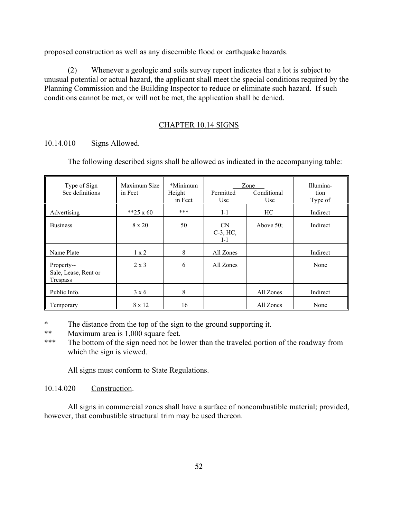proposed construction as well as any discernible flood or earthquake hazards.

(2) Whenever a geologic and soils survey report indicates that a lot is subject to unusual potential or actual hazard, the applicant shall meet the special conditions required by the Planning Commission and the Building Inspector to reduce or eliminate such hazard. If such conditions cannot be met, or will not be met, the application shall be denied.

## CHAPTER 10.14 SIGNS

## 10.14.010 Signs Allowed.

The following described signs shall be allowed as indicated in the accompanying table:

| Type of Sign<br>See definitions                | Maximum Size<br>in Feet | *Minimum<br>Height<br>in Feet | Permitted<br>Use                     | Zone<br>Conditional<br>Use | Illumina-<br>tion<br>Type of |
|------------------------------------------------|-------------------------|-------------------------------|--------------------------------------|----------------------------|------------------------------|
| Advertising                                    | **25 x 60               | ***                           | $I-1$                                | HC                         | Indirect                     |
| <b>Business</b>                                | 8 x 20                  | 50                            | <b>CN</b><br>$C-3$ , $HC$ ,<br>$I-1$ | Above $50$ ;               | Indirect                     |
| Name Plate                                     | $1 \times 2$            | 8                             | All Zones                            |                            | Indirect                     |
| Property--<br>Sale, Lease, Rent or<br>Trespass | $2 \times 3$            | 6                             | All Zones                            |                            | None                         |
| Public Info.                                   | $3 \times 6$            | 8                             |                                      | All Zones                  | Indirect                     |
| Temporary                                      | 8 x 12                  | 16                            |                                      | All Zones                  | None                         |

\* The distance from the top of the sign to the ground supporting it.<br>\*\* Maximum area is 1,000 square feet

Maximum area is 1,000 square feet.

\*\*\* The bottom of the sign need not be lower than the traveled portion of the roadway from which the sign is viewed.

All signs must conform to State Regulations.

## 10.14.020 Construction.

All signs in commercial zones shall have a surface of noncombustible material; provided, however, that combustible structural trim may be used thereon.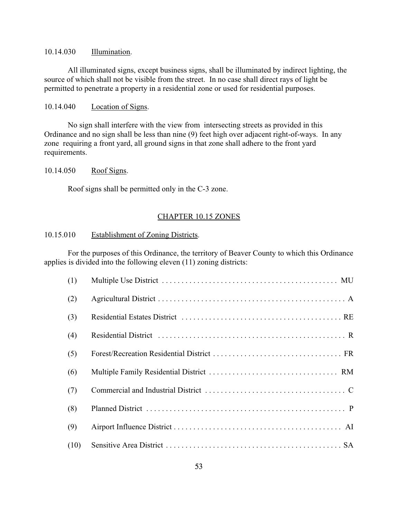### 10.14.030 Illumination.

All illuminated signs, except business signs, shall be illuminated by indirect lighting, the source of which shall not be visible from the street. In no case shall direct rays of light be permitted to penetrate a property in a residential zone or used for residential purposes.

#### 10.14.040 Location of Signs.

No sign shall interfere with the view from intersecting streets as provided in this Ordinance and no sign shall be less than nine (9) feet high over adjacent right-of-ways. In any zone requiring a front yard, all ground signs in that zone shall adhere to the front yard requirements.

## 10.14.050 Roof Signs.

Roof signs shall be permitted only in the C-3 zone.

## CHAPTER 10.15 ZONES

## 10.15.010 Establishment of Zoning Districts.

For the purposes of this Ordinance, the territory of Beaver County to which this Ordinance applies is divided into the following eleven (11) zoning districts:

| (1)  |  |
|------|--|
| (2)  |  |
| (3)  |  |
| (4)  |  |
| (5)  |  |
| (6)  |  |
| (7)  |  |
| (8)  |  |
| (9)  |  |
| (10) |  |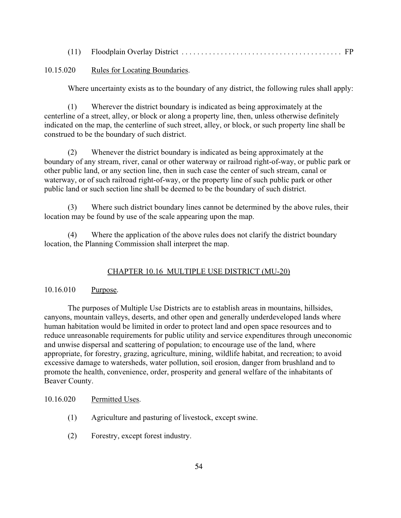|--|--|--|

### 10.15.020 Rules for Locating Boundaries.

Where uncertainty exists as to the boundary of any district, the following rules shall apply:

(1) Wherever the district boundary is indicated as being approximately at the centerline of a street, alley, or block or along a property line, then, unless otherwise definitely indicated on the map, the centerline of such street, alley, or block, or such property line shall be construed to be the boundary of such district.

(2) Whenever the district boundary is indicated as being approximately at the boundary of any stream, river, canal or other waterway or railroad right-of-way, or public park or other public land, or any section line, then in such case the center of such stream, canal or waterway, or of such railroad right-of-way, or the property line of such public park or other public land or such section line shall be deemed to be the boundary of such district.

(3) Where such district boundary lines cannot be determined by the above rules, their location may be found by use of the scale appearing upon the map.

(4) Where the application of the above rules does not clarify the district boundary location, the Planning Commission shall interpret the map.

### CHAPTER 10.16 MULTIPLE USE DISTRICT (MU-20)

## 10.16.010 Purpose.

The purposes of Multiple Use Districts are to establish areas in mountains, hillsides, canyons, mountain valleys, deserts, and other open and generally underdeveloped lands where human habitation would be limited in order to protect land and open space resources and to reduce unreasonable requirements for public utility and service expenditures through uneconomic and unwise dispersal and scattering of population; to encourage use of the land, where appropriate, for forestry, grazing, agriculture, mining, wildlife habitat, and recreation; to avoid excessive damage to watersheds, water pollution, soil erosion, danger from brushland and to promote the health, convenience, order, prosperity and general welfare of the inhabitants of Beaver County.

## 10.16.020 Permitted Uses.

- (1) Agriculture and pasturing of livestock, except swine.
- (2) Forestry, except forest industry.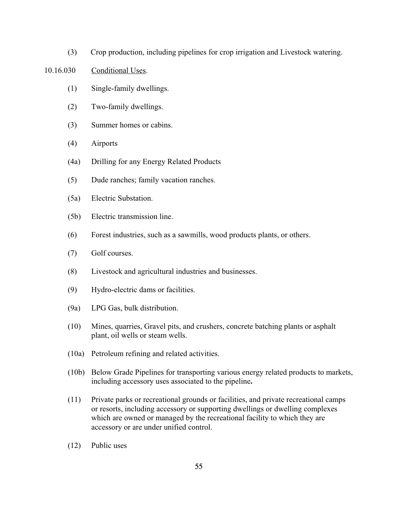(3) Crop production, including pipelines for crop irrigation and Livestock watering.

### 10.16.030 Conditional Uses.

- (1) Single-family dwellings.
- (2) Two-family dwellings.
- (3) Summer homes or cabins.
- (4) Airports
- (4a) Drilling for any Energy Related Products
- (5) Dude ranches; family vacation ranches.
- (5a) Electric Substation.
- (5b) Electric transmission line.
- (6) Forest industries, such as a sawmills, wood products plants, or others.
- (7) Golf courses.
- (8) Livestock and agricultural industries and businesses.
- (9) Hydro-electric dams or facilities.
- (9a) LPG Gas, bulk distribution.
- (10) Mines, quarries, Gravel pits, and crushers, concrete batching plants or asphalt plant, oil wells or steam wells.
- (10a) Petroleum refining and related activities.
- (10b) Below Grade Pipelines for transporting various energy related products to markets, including accessory uses associated to the pipeline**.**
- (11) Private parks or recreational grounds or facilities, and private recreational camps or resorts, including accessory or supporting dwellings or dwelling complexes which are owned or managed by the recreational facility to which they are accessory or are under unified control.
- (12) Public uses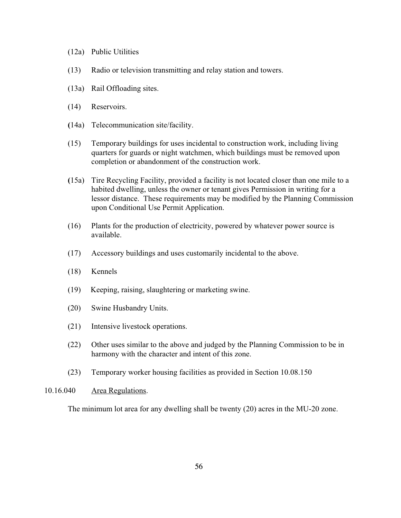- (12a) Public Utilities
- (13) Radio or television transmitting and relay station and towers.
- (13a) Rail Offloading sites.
- (14) Reservoirs.
- **(**14a) Telecommunication site/facility.
- (15) Temporary buildings for uses incidental to construction work, including living quarters for guards or night watchmen, which buildings must be removed upon completion or abandonment of the construction work.
- **(**15a) Tire Recycling Facility, provided a facility is not located closer than one mile to a habited dwelling, unless the owner or tenant gives Permission in writing for a lessor distance. These requirements may be modified by the Planning Commission upon Conditional Use Permit Application.
- (16) Plants for the production of electricity, powered by whatever power source is available.
- (17) Accessory buildings and uses customarily incidental to the above.
- (18) Kennels
- (19) Keeping, raising, slaughtering or marketing swine.
- (20) Swine Husbandry Units.
- (21) Intensive livestock operations.
- (22) Other uses similar to the above and judged by the Planning Commission to be in harmony with the character and intent of this zone.
- (23) Temporary worker housing facilities as provided in Section 10.08.150

### 10.16.040 Area Regulations.

The minimum lot area for any dwelling shall be twenty (20) acres in the MU-20 zone.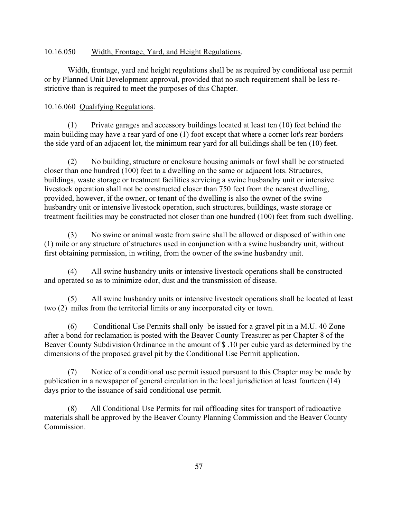### 10.16.050 Width, Frontage, Yard, and Height Regulations.

Width, frontage, yard and height regulations shall be as required by conditional use permit or by Planned Unit Development approval, provided that no such requirement shall be less restrictive than is required to meet the purposes of this Chapter.

#### 10.16.060 Qualifying Regulations.

(1) Private garages and accessory buildings located at least ten (10) feet behind the main building may have a rear yard of one (1) foot except that where a corner lot's rear borders the side yard of an adjacent lot, the minimum rear yard for all buildings shall be ten (10) feet.

(2) No building, structure or enclosure housing animals or fowl shall be constructed closer than one hundred (100) feet to a dwelling on the same or adjacent lots. Structures, buildings, waste storage or treatment facilities servicing a swine husbandry unit or intensive livestock operation shall not be constructed closer than 750 feet from the nearest dwelling, provided, however, if the owner, or tenant of the dwelling is also the owner of the swine husbandry unit or intensive livestock operation, such structures, buildings, waste storage or treatment facilities may be constructed not closer than one hundred (100) feet from such dwelling.

(3) No swine or animal waste from swine shall be allowed or disposed of within one (1) mile or any structure of structures used in conjunction with a swine husbandry unit, without first obtaining permission, in writing, from the owner of the swine husbandry unit.

(4) All swine husbandry units or intensive livestock operations shall be constructed and operated so as to minimize odor, dust and the transmission of disease.

(5) All swine husbandry units or intensive livestock operations shall be located at least two (2) miles from the territorial limits or any incorporated city or town.

(6) Conditional Use Permits shall only be issued for a gravel pit in a M.U. 40 Zone after a bond for reclamation is posted with the Beaver County Treasurer as per Chapter 8 of the Beaver County Subdivision Ordinance in the amount of \$ .10 per cubic yard as determined by the dimensions of the proposed gravel pit by the Conditional Use Permit application.

(7) Notice of a conditional use permit issued pursuant to this Chapter may be made by publication in a newspaper of general circulation in the local jurisdiction at least fourteen (14) days prior to the issuance of said conditional use permit.

(8) All Conditional Use Permits for rail offloading sites for transport of radioactive materials shall be approved by the Beaver County Planning Commission and the Beaver County Commission.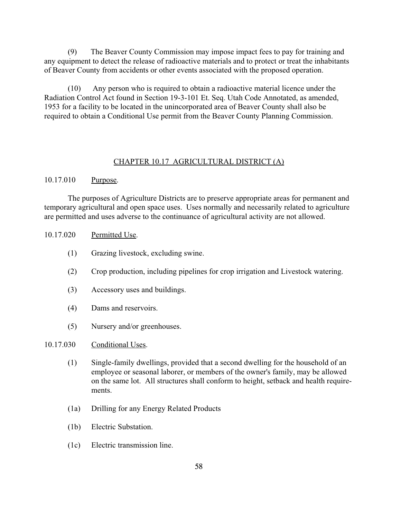(9) The Beaver County Commission may impose impact fees to pay for training and any equipment to detect the release of radioactive materials and to protect or treat the inhabitants of Beaver County from accidents or other events associated with the proposed operation.

(10) Any person who is required to obtain a radioactive material licence under the Radiation Control Act found in Section 19-3-101 Et. Seq. Utah Code Annotated, as amended, 1953 for a facility to be located in the unincorporated area of Beaver County shall also be required to obtain a Conditional Use permit from the Beaver County Planning Commission.

## CHAPTER 10.17 AGRICULTURAL DISTRICT (A)

### 10.17.010 Purpose.

The purposes of Agriculture Districts are to preserve appropriate areas for permanent and temporary agricultural and open space uses. Uses normally and necessarily related to agriculture are permitted and uses adverse to the continuance of agricultural activity are not allowed.

#### 10.17.020 Permitted Use.

- (1) Grazing livestock, excluding swine.
- (2) Crop production, including pipelines for crop irrigation and Livestock watering.
- (3) Accessory uses and buildings.
- (4) Dams and reservoirs.
- (5) Nursery and/or greenhouses.

### 10.17.030 Conditional Uses.

- (1) Single-family dwellings, provided that a second dwelling for the household of an employee or seasonal laborer, or members of the owner's family, may be allowed on the same lot. All structures shall conform to height, setback and health requirements.
- (1a) Drilling for any Energy Related Products
- (1b) Electric Substation.
- (1c) Electric transmission line.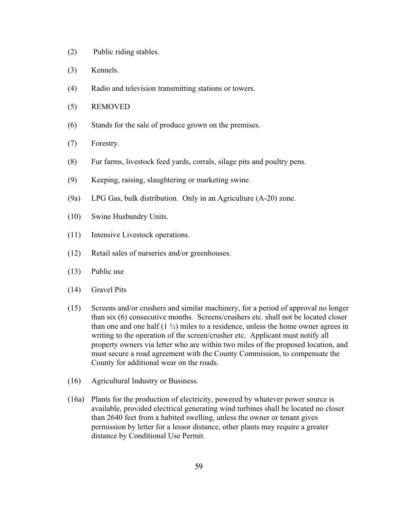- (2) Public riding stables.
- (3) Kennels.
- (4) Radio and television transmitting stations or towers.
- (5) REMOVED
- (6) Stands for the sale of produce grown on the premises.
- (7) Forestry.
- (8) Fur farms, livestock feed yards, corrals, silage pits and poultry pens.
- (9) Keeping, raising, slaughtering or marketing swine.
- (9a) LPG Gas, bulk distribution. Only in an Agriculture (A-20) zone.
- (10) Swine Husbandry Units.
- (11) Intensive Livestock operations.
- (12) Retail sales of nurseries and/or greenhouses.
- (13) Public use
- (14) Gravel Pits
- (15) Screens and/or crushers and similar machinery, for a period of approval no longer than six (6) consecutive months. Screens/crushers etc. shall not be located closer than one and one half  $(1 \frac{1}{2})$  miles to a residence, unless the home owner agrees in writing to the operation of the screen/crusher etc. Applicant must notify all property owners via letter who are within two miles of the proposed location, and must secure a road agreement with the County Commission, to compensate the County for additional wear on the roads.
- (16) Agricultural Industry or Business.
- (16a) Plants for the production of electricity, powered by whatever power source is available, provided electrical generating wind turbines shall be located no closer than 2640 feet from a habited swelling, unless the owner or tenant gives permission by letter for a lessor distance, other plants may require a greater distance by Conditional Use Permit.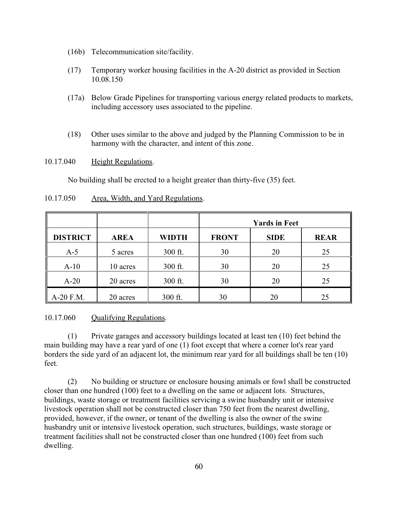- (16b) Telecommunication site/facility.
- (17) Temporary worker housing facilities in the A-20 district as provided in Section 10.08.150
- (17a) Below Grade Pipelines for transporting various energy related products to markets, including accessory uses associated to the pipeline.
- (18) Other uses similar to the above and judged by the Planning Commission to be in harmony with the character, and intent of this zone.

## 10.17.040 Height Regulations.

No building shall be erected to a height greater than thirty-five (35) feet.

|                 |             |              | <b>Yards in Feet</b> |             |             |
|-----------------|-------------|--------------|----------------------|-------------|-------------|
| <b>DISTRICT</b> | <b>AREA</b> | <b>WIDTH</b> | <b>FRONT</b>         | <b>SIDE</b> | <b>REAR</b> |
| $A-5$           | 5 acres     | 300 ft.      | 30                   | 20          | 25          |
| $A-10$          | 10 acres    | 300 ft.      | 30                   | 20          | 25          |
| $A-20$          | 20 acres    | 300 ft.      | 30                   | 20          | 25          |
| A-20 F.M.       | 20 acres    | 300 ft.      | 30                   | 20          | 25          |

## 10.17.050 Area, Width, and Yard Regulations.

10.17.060 Qualifying Regulations.

(1) Private garages and accessory buildings located at least ten (10) feet behind the main building may have a rear yard of one (1) foot except that where a corner lot's rear yard borders the side yard of an adjacent lot, the minimum rear yard for all buildings shall be ten (10) feet.

(2) No building or structure or enclosure housing animals or fowl shall be constructed closer than one hundred (100) feet to a dwelling on the same or adjacent lots. Structures, buildings, waste storage or treatment facilities servicing a swine husbandry unit or intensive livestock operation shall not be constructed closer than 750 feet from the nearest dwelling, provided, however, if the owner, or tenant of the dwelling is also the owner of the swine husbandry unit or intensive livestock operation, such structures, buildings, waste storage or treatment facilities shall not be constructed closer than one hundred (100) feet from such dwelling.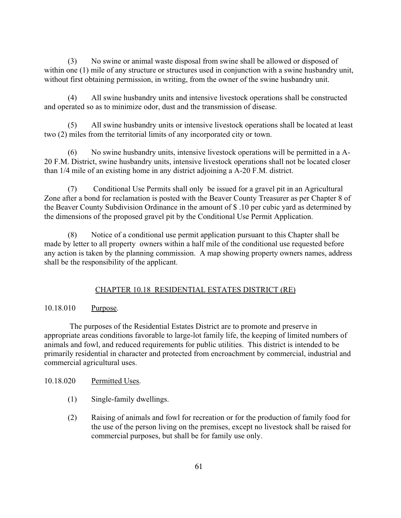(3) No swine or animal waste disposal from swine shall be allowed or disposed of within one (1) mile of any structure or structures used in conjunction with a swine husbandry unit, without first obtaining permission, in writing, from the owner of the swine husbandry unit.

(4) All swine husbandry units and intensive livestock operations shall be constructed and operated so as to minimize odor, dust and the transmission of disease.

(5) All swine husbandry units or intensive livestock operations shall be located at least two (2) miles from the territorial limits of any incorporated city or town.

(6) No swine husbandry units, intensive livestock operations will be permitted in a A-20 F.M. District, swine husbandry units, intensive livestock operations shall not be located closer than 1/4 mile of an existing home in any district adjoining a A-20 F.M. district.

(7) Conditional Use Permits shall only be issued for a gravel pit in an Agricultural Zone after a bond for reclamation is posted with the Beaver County Treasurer as per Chapter 8 of the Beaver County Subdivision Ordinance in the amount of \$ .10 per cubic yard as determined by the dimensions of the proposed gravel pit by the Conditional Use Permit Application.

(8) Notice of a conditional use permit application pursuant to this Chapter shall be made by letter to all property owners within a half mile of the conditional use requested before any action is taken by the planning commission. A map showing property owners names, address shall be the responsibility of the applicant.

# CHAPTER 10.18 RESIDENTIAL ESTATES DISTRICT (RE)

## 10.18.010 Purpose.

 The purposes of the Residential Estates District are to promote and preserve in appropriate areas conditions favorable to large-lot family life, the keeping of limited numbers of animals and fowl, and reduced requirements for public utilities. This district is intended to be primarily residential in character and protected from encroachment by commercial, industrial and commercial agricultural uses.

## 10.18.020 Permitted Uses.

- (1) Single-family dwellings.
- (2) Raising of animals and fowl for recreation or for the production of family food for the use of the person living on the premises, except no livestock shall be raised for commercial purposes, but shall be for family use only.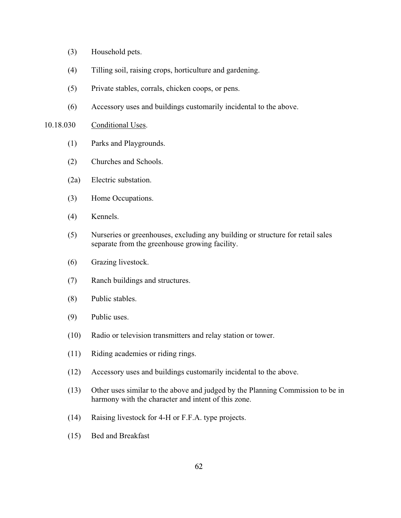- (3) Household pets.
- (4) Tilling soil, raising crops, horticulture and gardening.
- (5) Private stables, corrals, chicken coops, or pens.
- (6) Accessory uses and buildings customarily incidental to the above.

#### 10.18.030 Conditional Uses.

- (1) Parks and Playgrounds.
- (2) Churches and Schools.
- (2a) Electric substation.
- (3) Home Occupations.
- (4) Kennels.
- (5) Nurseries or greenhouses, excluding any building or structure for retail sales separate from the greenhouse growing facility.
- (6) Grazing livestock.
- (7) Ranch buildings and structures.
- (8) Public stables.
- (9) Public uses.
- (10) Radio or television transmitters and relay station or tower.
- (11) Riding academies or riding rings.
- (12) Accessory uses and buildings customarily incidental to the above.
- (13) Other uses similar to the above and judged by the Planning Commission to be in harmony with the character and intent of this zone.
- (14) Raising livestock for 4-H or F.F.A. type projects.
- (15) Bed and Breakfast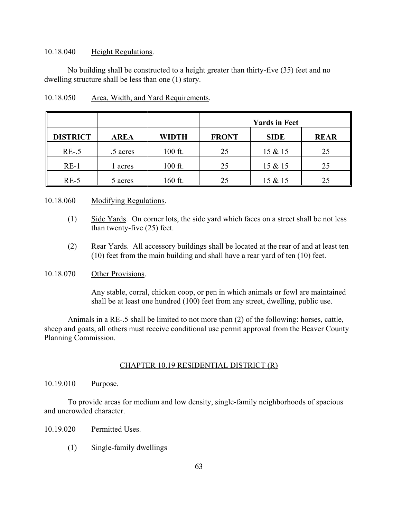### 10.18.040 Height Regulations.

No building shall be constructed to a height greater than thirty-five (35) feet and no dwelling structure shall be less than one (1) story.

|                 |             |              | <b>Yards in Feet</b> |             |             |
|-----------------|-------------|--------------|----------------------|-------------|-------------|
| <b>DISTRICT</b> | <b>AREA</b> | <b>WIDTH</b> | <b>FRONT</b>         | <b>SIDE</b> | <b>REAR</b> |
| $RE-.5$         | .5 acres    | 100 ft.      | 25                   | 15 & 15     | 25          |
| $RE-1$          | acres       | 100 ft.      | 25                   | 15 & 15     | 25          |
| $RE-5$          | 5 acres     | 160 ft.      | 25                   | 15 & 15     | 25          |

## 10.18.050 Area, Width, and Yard Requirements.

### 10.18.060 Modifying Regulations.

- (1) Side Yards. On corner lots, the side yard which faces on a street shall be not less than twenty-five (25) feet.
- (2) Rear Yards. All accessory buildings shall be located at the rear of and at least ten (10) feet from the main building and shall have a rear yard of ten (10) feet.

## 10.18.070 Other Provisions.

Any stable, corral, chicken coop, or pen in which animals or fowl are maintained shall be at least one hundred (100) feet from any street, dwelling, public use.

Animals in a RE-.5 shall be limited to not more than (2) of the following: horses, cattle, sheep and goats, all others must receive conditional use permit approval from the Beaver County Planning Commission.

### CHAPTER 10.19 RESIDENTIAL DISTRICT (R)

### 10.19.010 Purpose.

To provide areas for medium and low density, single-family neighborhoods of spacious and uncrowded character.

- 10.19.020 Permitted Uses.
	- (1) Single-family dwellings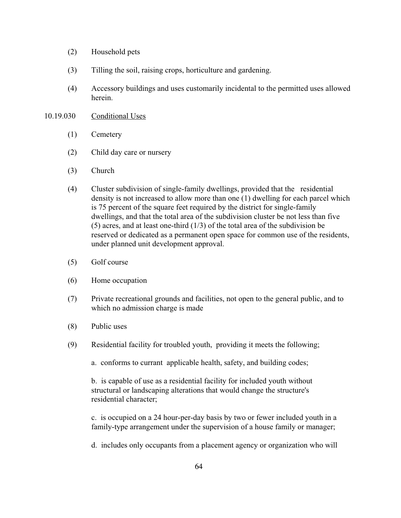- (2) Household pets
- (3) Tilling the soil, raising crops, horticulture and gardening.
- (4) Accessory buildings and uses customarily incidental to the permitted uses allowed herein.

#### 10.19.030 Conditional Uses

- (1) Cemetery
- (2) Child day care or nursery
- (3) Church
- (4) Cluster subdivision of single-family dwellings, provided that the residential density is not increased to allow more than one (1) dwelling for each parcel which is 75 percent of the square feet required by the district for single-family dwellings, and that the total area of the subdivision cluster be not less than five (5) acres, and at least one-third (1/3) of the total area of the subdivision be reserved or dedicated as a permanent open space for common use of the residents, under planned unit development approval.
- (5) Golf course
- (6) Home occupation
- (7) Private recreational grounds and facilities, not open to the general public, and to which no admission charge is made
- (8) Public uses
- (9) Residential facility for troubled youth, providing it meets the following;
	- a. conforms to currant applicable health, safety, and building codes;

b. is capable of use as a residential facility for included youth without structural or landscaping alterations that would change the structure's residential character;

c. is occupied on a 24 hour-per-day basis by two or fewer included youth in a family-type arrangement under the supervision of a house family or manager;

d. includes only occupants from a placement agency or organization who will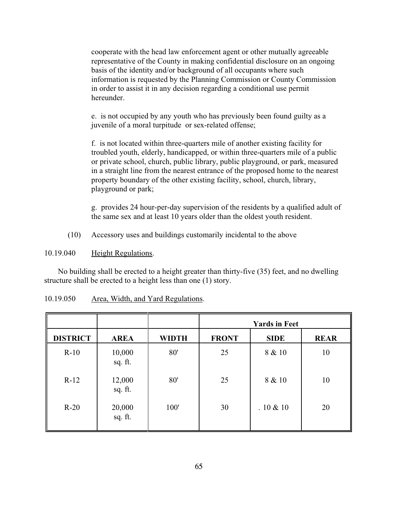cooperate with the head law enforcement agent or other mutually agreeable representative of the County in making confidential disclosure on an ongoing basis of the identity and/or background of all occupants where such information is requested by the Planning Commission or County Commission in order to assist it in any decision regarding a conditional use permit hereunder.

e. is not occupied by any youth who has previously been found guilty as a juvenile of a moral turpitude or sex-related offense;

f. is not located within three-quarters mile of another existing facility for troubled youth, elderly, handicapped, or within three-quarters mile of a public or private school, church, public library, public playground, or park, measured in a straight line from the nearest entrance of the proposed home to the nearest property boundary of the other existing facility, school, church, library, playground or park;

g. provides 24 hour-per-day supervision of the residents by a qualified adult of the same sex and at least 10 years older than the oldest youth resident.

(10) Accessory uses and buildings customarily incidental to the above

10.19.040 Height Regulations.

 No building shall be erected to a height greater than thirty-five (35) feet, and no dwelling structure shall be erected to a height less than one (1) story.

|                 |                   |              |              | <b>Yards in Feet</b> |             |
|-----------------|-------------------|--------------|--------------|----------------------|-------------|
| <b>DISTRICT</b> | <b>AREA</b>       | <b>WIDTH</b> | <b>FRONT</b> | <b>SIDE</b>          | <b>REAR</b> |
| $R-10$          | 10,000<br>sq. ft. | 80'          | 25           | 8 & 10               | 10          |
| $R-12$          | 12,000<br>sq. ft. | 80'          | 25           | 8 & 10               | 10          |
| $R-20$          | 20,000<br>sq. ft. | 100'         | 30           | .10 & 10             | 20          |

| 10.19.050 |  |  | Area, Width, and Yard Regulations. |
|-----------|--|--|------------------------------------|
|           |  |  |                                    |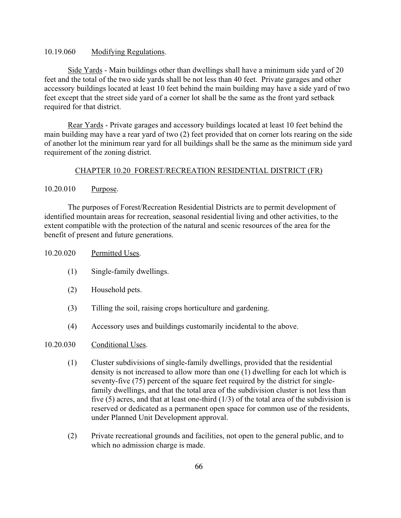## 10.19.060 Modifying Regulations.

Side Yards - Main buildings other than dwellings shall have a minimum side yard of 20 feet and the total of the two side yards shall be not less than 40 feet. Private garages and other accessory buildings located at least 10 feet behind the main building may have a side yard of two feet except that the street side yard of a corner lot shall be the same as the front yard setback required for that district.

Rear Yards - Private garages and accessory buildings located at least 10 feet behind the main building may have a rear yard of two (2) feet provided that on corner lots rearing on the side of another lot the minimum rear yard for all buildings shall be the same as the minimum side yard requirement of the zoning district.

## CHAPTER 10.20 FOREST/RECREATION RESIDENTIAL DISTRICT (FR)

## 10.20.010 Purpose.

The purposes of Forest/Recreation Residential Districts are to permit development of identified mountain areas for recreation, seasonal residential living and other activities, to the extent compatible with the protection of the natural and scenic resources of the area for the benefit of present and future generations.

## 10.20.020 Permitted Uses.

- (1) Single-family dwellings.
- (2) Household pets.
- (3) Tilling the soil, raising crops horticulture and gardening.
- (4) Accessory uses and buildings customarily incidental to the above.

## 10.20.030 Conditional Uses.

- (1) Cluster subdivisions of single-family dwellings, provided that the residential density is not increased to allow more than one (1) dwelling for each lot which is seventy-five (75) percent of the square feet required by the district for single family dwellings, and that the total area of the subdivision cluster is not less than five  $(5)$  acres, and that at least one-third  $(1/3)$  of the total area of the subdivision is reserved or dedicated as a permanent open space for common use of the residents, under Planned Unit Development approval.
- (2) Private recreational grounds and facilities, not open to the general public, and to which no admission charge is made.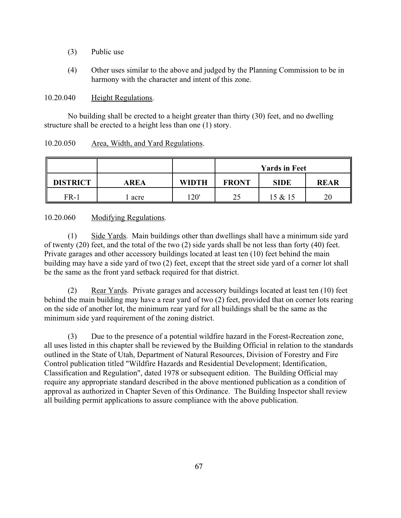- (3) Public use
- (4) Other uses similar to the above and judged by the Planning Commission to be in harmony with the character and intent of this zone.

10.20.040 Height Regulations.

No building shall be erected to a height greater than thirty (30) feet, and no dwelling structure shall be erected to a height less than one (1) story.

## 10.20.050 Area, Width, and Yard Regulations.

|                 |      |              |              | <b>Yards in Feet</b> |             |
|-----------------|------|--------------|--------------|----------------------|-------------|
| <b>DISTRICT</b> | AREA | <b>WIDTH</b> | <b>FRONT</b> | <b>SIDE</b>          | <b>REAR</b> |
| FR-1            | acre | 120'         | 24           | 15 & 15              | 20          |

10.20.060 Modifying Regulations.

(1) Side Yards. Main buildings other than dwellings shall have a minimum side yard of twenty (20) feet, and the total of the two (2) side yards shall be not less than forty (40) feet. Private garages and other accessory buildings located at least ten (10) feet behind the main building may have a side yard of two (2) feet, except that the street side yard of a corner lot shall be the same as the front yard setback required for that district.

(2) Rear Yards. Private garages and accessory buildings located at least ten (10) feet behind the main building may have a rear yard of two (2) feet, provided that on corner lots rearing on the side of another lot, the minimum rear yard for all buildings shall be the same as the minimum side yard requirement of the zoning district.

(3) Due to the presence of a potential wildfire hazard in the Forest-Recreation zone, all uses listed in this chapter shall be reviewed by the Building Official in relation to the standards outlined in the State of Utah, Department of Natural Resources, Division of Forestry and Fire Control publication titled "Wildfire Hazards and Residential Development; Identification, Classification and Regulation", dated 1978 or subsequent edition. The Building Official may require any appropriate standard described in the above mentioned publication as a condition of approval as authorized in Chapter Seven of this Ordinance. The Building Inspector shall review all building permit applications to assure compliance with the above publication.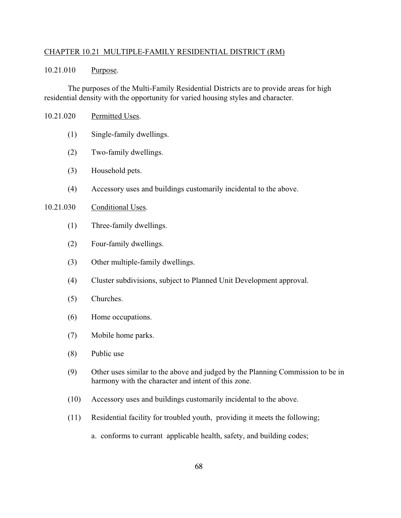### CHAPTER 10.21 MULTIPLE-FAMILY RESIDENTIAL DISTRICT (RM)

## 10.21.010 Purpose.

The purposes of the Multi-Family Residential Districts are to provide areas for high residential density with the opportunity for varied housing styles and character.

- 10.21.020 Permitted Uses.
	- (1) Single-family dwellings.
	- (2) Two-family dwellings.
	- (3) Household pets.
	- (4) Accessory uses and buildings customarily incidental to the above.

#### 10.21.030 Conditional Uses.

- (1) Three-family dwellings.
- (2) Four-family dwellings.
- (3) Other multiple-family dwellings.
- (4) Cluster subdivisions, subject to Planned Unit Development approval.
- (5) Churches.
- (6) Home occupations.
- (7) Mobile home parks.
- (8) Public use
- (9) Other uses similar to the above and judged by the Planning Commission to be in harmony with the character and intent of this zone.
- (10) Accessory uses and buildings customarily incidental to the above.
- (11) Residential facility for troubled youth, providing it meets the following;
	- a. conforms to currant applicable health, safety, and building codes;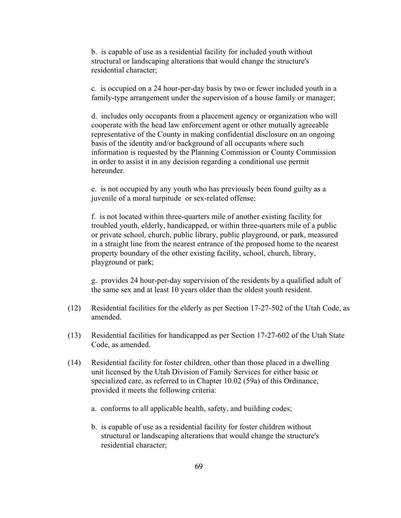b. is capable of use as a residential facility for included youth without structural or landscaping alterations that would change the structure's residential character;

c. is occupied on a 24 hour-per-day basis by two or fewer included youth in a family-type arrangement under the supervision of a house family or manager;

d. includes only occupants from a placement agency or organization who will cooperate with the head law enforcement agent or other mutually agreeable representative of the County in making confidential disclosure on an ongoing basis of the identity and/or background of all occupants where such information is requested by the Planning Commission or County Commission in order to assist it in any decision regarding a conditional use permit hereunder.

e. is not occupied by any youth who has previously been found guilty as a juvenile of a moral turpitude or sex-related offense;

f. is not located within three-quarters mile of another existing facility for troubled youth, elderly, handicapped, or within three-quarters mile of a public or private school, church, public library, public playground, or park, measured in a straight line from the nearest entrance of the proposed home to the nearest property boundary of the other existing facility, school, church, library, playground or park;

g. provides 24 hour-per-day supervision of the residents by a qualified adult of the same sex and at least 10 years older than the oldest youth resident.

- (12) Residential facilities for the elderly as per Section 17-27-502 of the Utah Code, as amended.
- (13) Residential facilities for handicapped as per Section 17-27-602 of the Utah State Code, as amended.
- (14) Residential facility for foster children, other than those placed in a dwelling unit licensed by the Utah Division of Family Services for either basic or specialized care, as referred to in Chapter 10.02 (59a) of this Ordinance, provided it meets the following criteria:
	- a. conforms to all applicable health, safety, and building codes;
	- b. is capable of use as a residential facility for foster children without structural or landscaping alterations that would change the structure's residential character;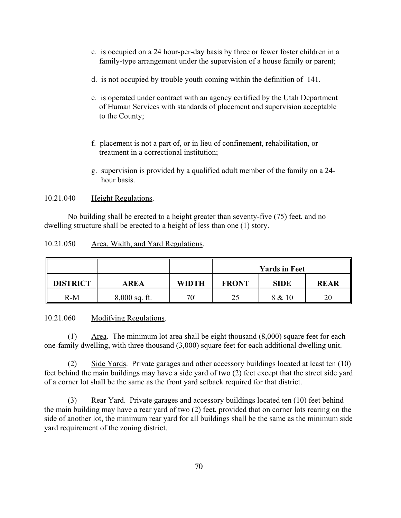- c. is occupied on a 24 hour-per-day basis by three or fewer foster children in a family-type arrangement under the supervision of a house family or parent;
- d. is not occupied by trouble youth coming within the definition of 141.
- e. is operated under contract with an agency certified by the Utah Department of Human Services with standards of placement and supervision acceptable to the County;
- f. placement is not a part of, or in lieu of confinement, rehabilitation, or treatment in a correctional institution;
- g. supervision is provided by a qualified adult member of the family on a 24 hour basis.

10.21.040 Height Regulations.

No building shall be erected to a height greater than seventy-five (75) feet, and no dwelling structure shall be erected to a height of less than one (1) story.

|--|

|                 |                 |              | <b>Yards in Feet</b> |             |    |  |  |  |  |  |
|-----------------|-----------------|--------------|----------------------|-------------|----|--|--|--|--|--|
| <b>DISTRICT</b> | AREA            | <b>WIDTH</b> | <b>FRONT</b>         | <b>REAR</b> |    |  |  |  |  |  |
| $R-M$           | $8,000$ sq. ft. | 70'          | 25                   | 8 & 10      | 20 |  |  |  |  |  |

10.21.060 Modifying Regulations.

(1) Area. The minimum lot area shall be eight thousand (8,000) square feet for each one-family dwelling, with three thousand (3,000) square feet for each additional dwelling unit.

(2) Side Yards. Private garages and other accessory buildings located at least ten (10) feet behind the main buildings may have a side yard of two (2) feet except that the street side yard of a corner lot shall be the same as the front yard setback required for that district.

(3) Rear Yard. Private garages and accessory buildings located ten (10) feet behind the main building may have a rear yard of two (2) feet, provided that on corner lots rearing on the side of another lot, the minimum rear yard for all buildings shall be the same as the minimum side yard requirement of the zoning district.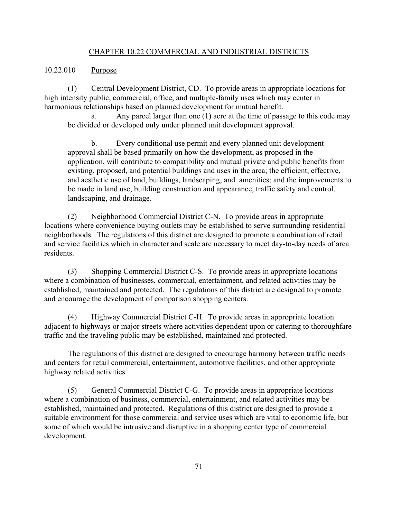### CHAPTER 10.22 COMMERCIAL AND INDUSTRIAL DISTRICTS

### 10.22.010 Purpose

(1) Central Development District, CD. To provide areas in appropriate locations for high intensity public, commercial, office, and multiple-family uses which may center in harmonious relationships based on planned development for mutual benefit.

a. Any parcel larger than one (1) acre at the time of passage to this code may be divided or developed only under planned unit development approval.

b. Every conditional use permit and every planned unit development approval shall be based primarily on how the development, as proposed in the application, will contribute to compatibility and mutual private and public benefits from existing, proposed, and potential buildings and uses in the area; the efficient, effective, and aesthetic use of land, buildings, landscaping, and amenities; and the improvements to be made in land use, building construction and appearance, traffic safety and control, landscaping, and drainage.

(2) Neighborhood Commercial District C-N. To provide areas in appropriate locations where convenience buying outlets may be established to serve surrounding residential neighborhoods. The regulations of this district are designed to promote a combination of retail and service facilities which in character and scale are necessary to meet day-to-day needs of area residents.

(3) Shopping Commercial District C-S. To provide areas in appropriate locations where a combination of businesses, commercial, entertainment, and related activities may be established, maintained and protected. The regulations of this district are designed to promote and encourage the development of comparison shopping centers.

(4) Highway Commercial District C-H. To provide areas in appropriate location adjacent to highways or major streets where activities dependent upon or catering to thoroughfare traffic and the traveling public may be established, maintained and protected.

The regulations of this district are designed to encourage harmony between traffic needs and centers for retail commercial, entertainment, automotive facilities, and other appropriate highway related activities.

(5) General Commercial District C-G. To provide areas in appropriate locations where a combination of business, commercial, entertainment, and related activities may be established, maintained and protected. Regulations of this district are designed to provide a suitable environment for those commercial and service uses which are vital to economic life, but some of which would be intrusive and disruptive in a shopping center type of commercial development.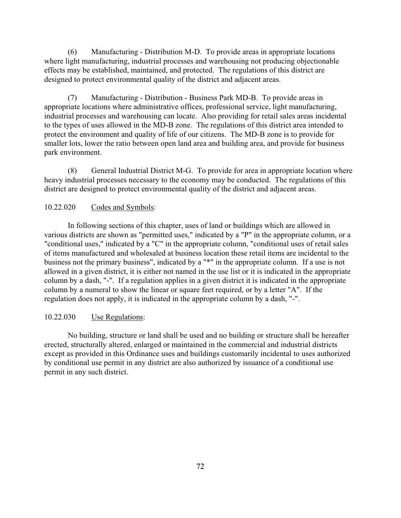(6) Manufacturing - Distribution M-D. To provide areas in appropriate locations where light manufacturing, industrial processes and warehousing not producing objectionable effects may be established, maintained, and protected. The regulations of this district are designed to protect environmental quality of the district and adjacent areas.

(7) Manufacturing - Distribution - Business Park MD-B. To provide areas in appropriate locations where administrative offices, professional service, light manufacturing, industrial processes and warehousing can locate. Also providing for retail sales areas incidental to the types of uses allowed in the MD-B zone. The regulations of this district area intended to protect the environment and quality of life of our citizens. The MD-B zone is to provide for smaller lots, lower the ratio between open land area and building area, and provide for business park environment.

(8) General Industrial District M-G. To provide for area in appropriate location where heavy industrial processes necessary to the economy may be conducted. The regulations of this district are designed to protect environmental quality of the district and adjacent areas.

#### 10.22.020 Codes and Symbols:

In following sections of this chapter, uses of land or buildings which are allowed in various districts are shown as "permitted uses," indicated by a "P" in the appropriate column, or a "conditional uses," indicated by a "C" in the appropriate column, "conditional uses of retail sales of items manufactured and wholesaled at business location these retail items are incidental to the business not the primary business", indicated by a "\*" in the appropriate column. If a use is not allowed in a given district, it is either not named in the use list or it is indicated in the appropriate column by a dash, "-". If a regulation applies in a given district it is indicated in the appropriate column by a numeral to show the linear or square feet required, or by a letter "A". If the regulation does not apply, it is indicated in the appropriate column by a dash, "-".

## 10.22.030 Use Regulations:

No building, structure or land shall be used and no building or structure shall be hereafter erected, structurally altered, enlarged or maintained in the commercial and industrial districts except as provided in this Ordinance uses and buildings customarily incidental to uses authorized by conditional use permit in any district are also authorized by issuance of a conditional use permit in any such district.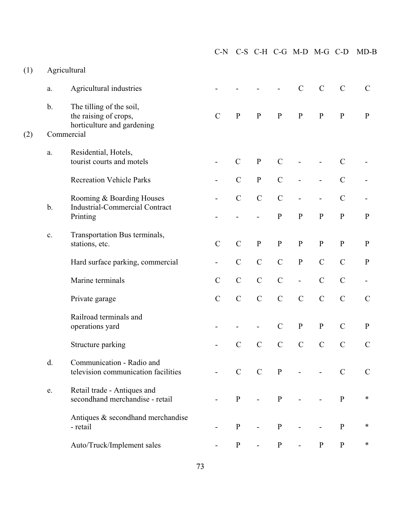|     |                |                                                                                 | $C-N$         |               |               |               |               | C-S C-H C-G M-D M-G C-D |               | $MD-B$        |
|-----|----------------|---------------------------------------------------------------------------------|---------------|---------------|---------------|---------------|---------------|-------------------------|---------------|---------------|
| (1) |                | Agricultural                                                                    |               |               |               |               |               |                         |               |               |
|     | a.             | Agricultural industries                                                         |               |               |               |               | $\mathcal{C}$ | $\mathbf C$             | $\mathbf C$   | $\mathcal{C}$ |
|     | $\mathbf b$ .  | The tilling of the soil,<br>the raising of crops,<br>horticulture and gardening | $\mathcal{C}$ | ${\bf P}$     | ${\bf P}$     | ${\bf P}$     | ${\bf P}$     | ${\bf P}$               | ${\bf P}$     | ${\bf P}$     |
| (2) |                | Commercial                                                                      |               |               |               |               |               |                         |               |               |
|     | a.             | Residential, Hotels,<br>tourist courts and motels                               |               | $\mathcal{C}$ | ${\bf P}$     | $\mathcal{C}$ |               |                         | $\mathcal{C}$ |               |
|     |                | <b>Recreation Vehicle Parks</b>                                                 |               | $\mathbf C$   | ${\bf P}$     | $\mathcal{C}$ |               |                         | $\mathcal{C}$ |               |
|     |                | Rooming & Boarding Houses                                                       |               | $\mathcal{C}$ | $\mathcal{C}$ | $\mathcal{C}$ |               |                         | $\mathcal{C}$ |               |
|     | $b$ .          | <b>Industrial-Commercial Contract</b><br>Printing                               |               |               |               | ${\bf P}$     | $\, {\bf P}$  | ${\bf P}$               | ${\bf P}$     | ${\bf P}$     |
|     | $\mathbf{c}$ . | Transportation Bus terminals,<br>stations, etc.                                 | $\mathcal{C}$ | $\mathcal{C}$ | ${\bf P}$     | ${\bf P}$     | ${\bf P}$     | ${\bf P}$               | ${\bf P}$     | ${\bf P}$     |
|     |                | Hard surface parking, commercial                                                |               | $\mathbf C$   | $\mathcal{C}$ | $\mathcal{C}$ | ${\bf P}$     | $\mathbf C$             | $\mathcal{C}$ | ${\bf P}$     |
|     |                | Marine terminals                                                                | $\mathbf C$   | $\mathbf C$   | $\mathsf C$   | $\mathcal{C}$ | $\frac{1}{2}$ | $\mathbf C$             | $\mathcal{C}$ |               |
|     |                | Private garage                                                                  | $\mathbf C$   | $\mathcal{C}$ | $\mathcal{C}$ | $\mathcal{C}$ | $\mathcal{C}$ | $\mathbf C$             | $\mathcal{C}$ | $\mathbf C$   |
|     |                | Railroad terminals and<br>operations yard                                       |               |               |               | $\mathcal{C}$ | ${\bf P}$     | ${\bf P}$               | $\mathcal{C}$ | ${\bf P}$     |
|     |                | Structure parking                                                               |               | $\mathcal{C}$ | $\mathcal{C}$ | $\mathbf C$   | $\mathbf C$   | $\overline{C}$          | $\mathcal{C}$ | $\mathcal{C}$ |
|     | d.             | Communication - Radio and<br>television communication facilities                |               | $\mathbf C$   | $\mathbf C$   | $\, {\bf P}$  |               |                         | $\mathcal{C}$ | $\mathbf C$   |
|     | e.             | Retail trade - Antiques and<br>secondhand merchandise - retail                  |               | ${\bf P}$     |               | ${\bf P}$     |               |                         | ${\bf P}$     | $\ast$        |
|     |                | Antiques & secondhand merchandise<br>- retail                                   |               | ${\bf P}$     |               | ${\bf P}$     |               |                         | ${\bf P}$     | $\ast$        |
|     |                | Auto/Truck/Implement sales                                                      |               | $\mathbf{P}$  |               | ${\bf P}$     |               | $\mathbf{P}$            | ${\bf P}$     | $\ast$        |
|     |                |                                                                                 |               |               |               |               |               |                         |               |               |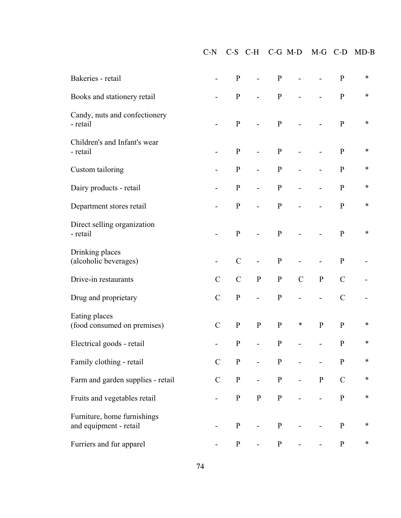C-N C-S C-H C-G M-D M-G C-D MD-B

| Bakeries - retail                                     |               | ${\bf P}$     |           | $\mathbf{P}$ |                |             | $\mathbf{P}$  | $\ast$ |
|-------------------------------------------------------|---------------|---------------|-----------|--------------|----------------|-------------|---------------|--------|
| Books and stationery retail                           |               | ${\bf P}$     |           | ${\bf P}$    |                |             | ${\bf P}$     | $\ast$ |
| Candy, nuts and confectionery<br>- retail             |               | ${\bf P}$     |           | $\mathbf{P}$ |                |             | ${\bf P}$     | $\ast$ |
| Children's and Infant's wear<br>- retail              |               | ${\bf P}$     |           | ${\bf P}$    |                |             | ${\bf P}$     | $\ast$ |
| Custom tailoring                                      |               | ${\bf P}$     |           | $\mathbf{P}$ | -              |             | ${\bf P}$     | $\ast$ |
| Dairy products - retail                               |               | ${\bf P}$     |           | ${\bf P}$    |                |             | ${\bf P}$     | $\ast$ |
| Department stores retail                              |               | ${\bf P}$     |           | ${\bf P}$    |                |             | ${\bf P}$     | $\ast$ |
| Direct selling organization<br>- retail               |               | ${\bf P}$     |           | $\mathbf{P}$ |                |             | ${\bf P}$     | $\ast$ |
| Drinking places<br>(alcoholic beverages)              | -             | $\mathbf C$   |           | ${\bf P}$    |                |             | ${\bf P}$     |        |
| Drive-in restaurants                                  | $\mathcal{C}$ | $\mathcal{C}$ | ${\bf P}$ | ${\bf P}$    | $\mathcal{C}$  | ${\bf P}$   | $\mathcal{C}$ |        |
| Drug and proprietary                                  | $\mathcal{C}$ | ${\bf P}$     |           | $\mathbf{P}$ |                |             | $\mathcal{C}$ |        |
| Eating places<br>(food consumed on premises)          | $\mathcal{C}$ | ${\bf P}$     | ${\bf P}$ | ${\bf P}$    | $\ast$         | $\mathbf P$ | $\, {\bf P}$  | $\ast$ |
| Electrical goods - retail                             |               | ${\bf P}$     |           | ${\bf P}$    |                |             | ${\bf P}$     | $\ast$ |
| Family clothing - retail                              | $\mathcal{C}$ | $\mathbf{P}$  | $\sim$    | P            | $\blacksquare$ | -           | P             | $\ast$ |
| Farm and garden supplies - retail                     | $\mathcal{C}$ | ${\bf P}$     |           | $\, {\bf P}$ |                | ${\bf P}$   | $\mathcal{C}$ | $\ast$ |
| Fruits and vegetables retail                          |               | ${\bf P}$     | ${\bf P}$ | ${\bf P}$    |                |             | ${\bf P}$     | $\ast$ |
| Furniture, home furnishings<br>and equipment - retail |               | ${\bf P}$     |           | $\mathbf P$  |                |             | ${\bf P}$     | $\ast$ |
| Furriers and fur apparel                              |               | ${\bf P}$     |           | ${\bf P}$    |                |             | ${\bf P}$     | $\ast$ |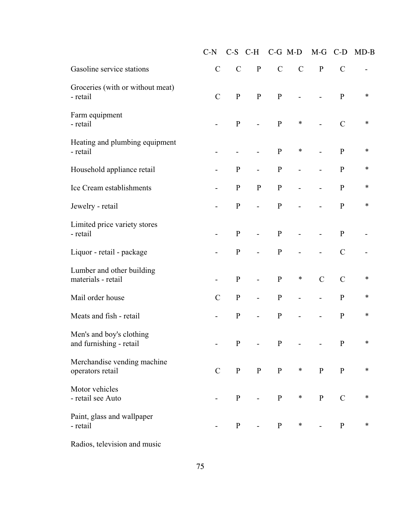|                                                     | $C-N$         |              | $C-S$ $C-H$              |               | $C-G$ M-D     | $M-G$          | $C-D$         | $MD-B$ |
|-----------------------------------------------------|---------------|--------------|--------------------------|---------------|---------------|----------------|---------------|--------|
| Gasoline service stations                           | $\mathcal{C}$ | $\mathbf C$  | ${\bf P}$                | $\mathcal{C}$ | $\mathcal{C}$ | $\mathbf{P}$   | $\mathcal{C}$ |        |
| Groceries (with or without meat)<br>- retail        | $\mathcal{C}$ | $\mathbf{P}$ | ${\bf P}$                | $\mathbf{P}$  |               |                | $\mathbf{P}$  | ∗      |
| Farm equipment<br>- retail                          |               | $\mathbf{P}$ |                          | $\, {\bf p}$  | $\ast$        | $\overline{a}$ | $\mathcal{C}$ | ∗      |
| Heating and plumbing equipment<br>- retail          |               |              |                          | $\mathbf{P}$  | $\ast$        |                | $\mathbf{P}$  | ∗      |
| Household appliance retail                          |               | $\mathbf P$  |                          | ${\bf P}$     |               |                | $\mathbf{P}$  | $\ast$ |
| Ice Cream establishments                            |               | ${\bf P}$    | ${\bf P}$                | ${\bf P}$     |               |                | ${\bf P}$     | $\ast$ |
| Jewelry - retail                                    |               | $\, {\bf P}$ | $\overline{a}$           | ${\bf P}$     |               |                | $\mathbf{P}$  | ∗      |
| Limited price variety stores<br>- retail            |               | $\mathbf{P}$ | $\overline{\phantom{0}}$ | $\mathbf{P}$  |               | $\overline{a}$ | $\mathbf{P}$  |        |
| Liquor - retail - package                           |               | ${\bf P}$    |                          | ${\bf P}$     |               |                | $\mathcal{C}$ |        |
| Lumber and other building<br>materials - retail     |               | ${\bf P}$    |                          | ${\bf P}$     | $\ast$        | $\overline{C}$ | $\mathcal{C}$ | $\ast$ |
| Mail order house                                    | $\mathbf C$   | $\, {\bf P}$ |                          | ${\bf P}$     |               |                | ${\bf P}$     | $\ast$ |
| Meats and fish - retail                             |               | $\mathbf P$  | $\overline{\phantom{0}}$ | ${\bf P}$     |               | -              | $\mathbf{P}$  | $\ast$ |
| Men's and boy's clothing<br>and furnishing - retail |               | $\mathbf{P}$ |                          | $\mathbf{P}$  |               |                | $\mathbf{P}$  | ∗      |
| Merchandise vending machine<br>operators retail     | $\mathcal{C}$ | $\mathbf{P}$ | ${\bf P}$                | $\mathbf{P}$  | $\ast$        | ${\bf P}$      | ${\bf P}$     | $\ast$ |
| Motor vehicles<br>- retail see Auto                 |               | $\mathbf{P}$ |                          | $\mathbf{P}$  | $\ast$        | ${\bf P}$      | $\mathcal{C}$ | $\ast$ |
| Paint, glass and wallpaper<br>- retail              |               | $\mathbf{P}$ |                          | $\, {\bf p}$  | $\ast$        |                | ${\bf P}$     | $\ast$ |

Radios, television and music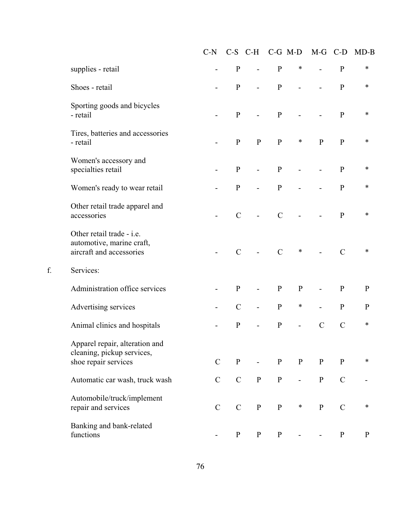|                                                                                      | $C-N$                    |               | $C-S$ $C-H$                  |                | $C-G$ M-D                | M-G C-D                  |               | $MD-B$       |
|--------------------------------------------------------------------------------------|--------------------------|---------------|------------------------------|----------------|--------------------------|--------------------------|---------------|--------------|
| supplies - retail                                                                    | $\overline{\phantom{0}}$ | $\mathbf{P}$  | $\overline{a}$               | ${\bf P}$      | $\ast$                   | $\overline{a}$           | $\mathbf{P}$  | $\ast$       |
| Shoes - retail                                                                       |                          | ${\bf P}$     | $\overline{a}$               | ${\bf P}$      |                          |                          | ${\bf P}$     | $\ast$       |
| Sporting goods and bicycles<br>- retail                                              |                          | $\mathbf{P}$  | $\overline{a}$               | ${\bf P}$      |                          |                          | ${\bf P}$     | $\ast$       |
| Tires, batteries and accessories<br>- retail                                         |                          | $\mathbf{P}$  | $\mathbf{P}$                 | ${\bf P}$      | $\ast$                   | $\mathbf{P}$             | ${\bf P}$     | ∗            |
| Women's accessory and<br>specialties retail                                          |                          | $\mathbf{P}$  | $\frac{1}{2}$                | ${\bf P}$      | $\overline{\phantom{0}}$ | $\overline{\phantom{0}}$ | $\mathbf{P}$  | ∗            |
| Women's ready to wear retail                                                         |                          | $\, {\bf P}$  |                              | ${\bf P}$      |                          |                          | ${\bf P}$     | $\ast$       |
| Other retail trade apparel and<br>accessories                                        |                          | $\mathcal{C}$ |                              | $\mathcal{C}$  |                          |                          | $\mathbf{P}$  | ∗            |
| Other retail trade - i.e.<br>automotive, marine craft,<br>aircraft and accessories   |                          | $\mathcal{C}$ |                              | $\overline{C}$ | $\ast$                   |                          | $\mathcal{C}$ | $\ast$       |
| Services:                                                                            |                          |               |                              |                |                          |                          |               |              |
| Administration office services                                                       |                          | $\mathbf{P}$  | $\qquad \qquad \blacksquare$ | $\mathbf{P}$   | ${\bf P}$                | $\overline{\phantom{0}}$ | $\mathbf{P}$  | $\mathbf{P}$ |
| Advertising services                                                                 |                          | $\mathcal{C}$ | $\overline{a}$               | ${\bf P}$      | $\ast$                   |                          | ${\bf P}$     | ${\bf P}$    |
| Animal clinics and hospitals                                                         |                          | ${\bf P}$     |                              | ${\bf P}$      | $\overline{a}$           | $\mathcal{C}$            | $\mathcal{C}$ | ∗            |
| Apparel repair, alteration and<br>cleaning, pickup services,<br>shoe repair services | $\mathbf C$              | ${\bf P}$     |                              | $\, {\bf P}$   | $\mathbf{P}$             | ${\bf P}$                | ${\bf P}$     | $\ast$       |
| Automatic car wash, truck wash                                                       | $\mathbf C$              | $\mathbf C$   | ${\bf P}$                    | ${\bf P}$      |                          | $\, {\bf P}$             | $\mathcal{C}$ |              |
| Automobile/truck/implement<br>repair and services                                    | $\mathcal{C}$            | $\mathbf C$   | ${\bf P}$                    | ${\bf P}$      | $\ast$                   | ${\bf P}$                | $\mathcal{C}$ | $\ast$       |
| Banking and bank-related<br>functions                                                |                          | ${\bf P}$     | $\mathbf{P}$                 | ${\bf P}$      |                          |                          | ${\bf P}$     | $\, {\bf P}$ |

 $\mathbf{f}$ .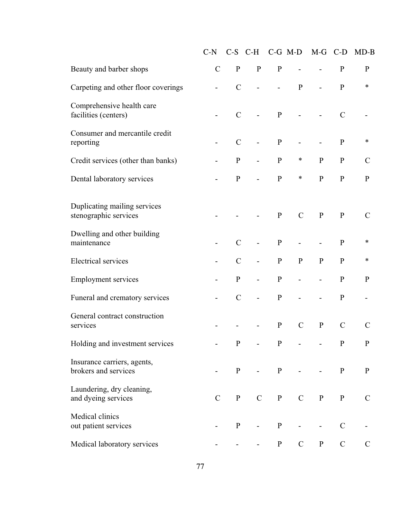|                                                       | $C-N$         |               | $C-S$ $C-H$              |              | $C-G$ M-D      | $M-G$     | $C-D$         | $MD-B$        |
|-------------------------------------------------------|---------------|---------------|--------------------------|--------------|----------------|-----------|---------------|---------------|
| Beauty and barber shops                               | $\mathcal{C}$ | ${\bf P}$     | ${\bf P}$                | ${\bf P}$    | $\overline{a}$ |           | $\mathbf{P}$  | ${\bf P}$     |
| Carpeting and other floor coverings                   |               | $\mathcal{C}$ |                          |              | $\mathbf{P}$   |           | $\mathbf{P}$  | $\ast$        |
| Comprehensive health care<br>facilities (centers)     |               | $\mathcal{C}$ |                          | ${\bf P}$    |                | -         | $\mathcal{C}$ |               |
| Consumer and mercantile credit<br>reporting           |               | $\mathcal{C}$ |                          | ${\bf P}$    |                | -         | $\mathbf{P}$  | $\ast$        |
| Credit services (other than banks)                    |               | ${\bf P}$     |                          | ${\bf P}$    | ∗              | ${\bf P}$ | $\mathbf{P}$  | $\mathcal{C}$ |
| Dental laboratory services                            |               | $\mathbf P$   |                          | ${\bf P}$    | ∗              | ${\bf P}$ | $\mathbf{P}$  | ${\bf P}$     |
| Duplicating mailing services<br>stenographic services |               |               |                          | ${\bf P}$    | $\mathcal{C}$  | ${\bf P}$ | $\mathbf{P}$  | $\mathcal{C}$ |
| Dwelling and other building<br>maintenance            |               | $\mathcal{C}$ |                          | ${\bf P}$    |                |           | ${\bf P}$     | $\ast$        |
| <b>Electrical services</b>                            |               | $\mathcal{C}$ | $\overline{\phantom{0}}$ | ${\bf P}$    | ${\bf P}$      | ${\bf P}$ | ${\bf P}$     | $\ast$        |
| <b>Employment services</b>                            |               | $\mathbf{P}$  |                          | ${\bf P}$    |                |           | $\mathbf{P}$  | ${\bf P}$     |
| Funeral and crematory services                        |               | $\mathcal{C}$ |                          | ${\bf P}$    |                |           | ${\bf P}$     |               |
| General contract construction<br>services             |               |               |                          | ${\bf P}$    | $\mathcal{C}$  | ${\bf P}$ | $\mathcal{C}$ | $\mathcal{C}$ |
| Holding and investment services                       |               | $\mathbf{P}$  |                          | $\mathbf{P}$ |                |           | $\mathbf{P}$  | $\mathbf{P}$  |
| Insurance carriers, agents,<br>brokers and services   |               | $\mathbf{P}$  |                          | $\mathbf{P}$ |                |           | $\mathbf P$   | ${\bf P}$     |
| Laundering, dry cleaning,<br>and dyeing services      | $\mathcal{C}$ | $\mathbf{P}$  | $\mathcal{C}$            | $\mathbf{P}$ | $\mathcal{C}$  | ${\bf P}$ | ${\bf P}$     | $\mathcal{C}$ |
| Medical clinics<br>out patient services               |               | $\mathbf{P}$  |                          | ${\bf P}$    |                |           | $\mathcal{C}$ |               |
| Medical laboratory services                           |               |               |                          | $\mathbf{P}$ | $\mathcal{C}$  | ${\bf P}$ | $\mathbf C$   | $\mathcal{C}$ |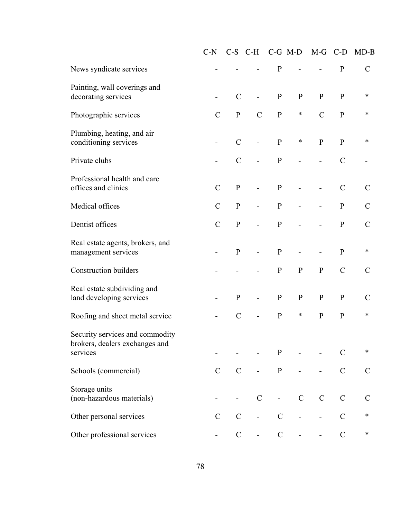|                                                                               | $C-N$         |               | $C-S$ $C-H$              |                          | $C-G$ M-D     | $M-G$                    | $C-D$          | $MD-B$        |
|-------------------------------------------------------------------------------|---------------|---------------|--------------------------|--------------------------|---------------|--------------------------|----------------|---------------|
| News syndicate services                                                       |               |               |                          | ${\bf P}$                |               |                          | ${\bf P}$      | $\mathcal{C}$ |
| Painting, wall coverings and<br>decorating services                           |               | $\mathbf C$   | $\overline{\phantom{0}}$ | ${\bf P}$                | ${\bf P}$     | ${\bf P}$                | $\mathbf{P}$   | ∗             |
| Photographic services                                                         | $\mathcal{C}$ | $\mathbf{P}$  | $\mathcal{C}$            | ${\bf P}$                | $\ast$        | $\mathcal{C}$            | $\mathbf{P}$   | $\ast$        |
| Plumbing, heating, and air<br>conditioning services                           |               | $\mathbf C$   |                          | ${\bf P}$                | $\ast$        | ${\bf P}$                | $\mathbf{P}$   | $\ast$        |
| Private clubs                                                                 |               | $\mathcal{C}$ |                          | ${\bf P}$                |               |                          | $\mathcal{C}$  |               |
| Professional health and care<br>offices and clinics                           | $\mathcal{C}$ | ${\bf P}$     |                          | ${\bf P}$                |               |                          | $\mathcal{C}$  | $\mathcal{C}$ |
| Medical offices                                                               | $\mathcal{C}$ | $\mathbf{P}$  |                          | ${\bf P}$                |               |                          | $\mathbf{P}$   | $\mathcal{C}$ |
| Dentist offices                                                               | $\mathcal{C}$ | $\mathbf{P}$  |                          | ${\bf P}$                |               |                          | $\mathbf{P}$   | $\mathcal{C}$ |
| Real estate agents, brokers, and<br>management services                       |               | $\mathbf{P}$  |                          | ${\bf P}$                |               |                          | ${\bf P}$      | ∗             |
| <b>Construction builders</b>                                                  |               |               |                          | ${\bf P}$                | ${\bf P}$     | ${\bf P}$                | $\mathcal{C}$  | $\mathcal{C}$ |
| Real estate subdividing and<br>land developing services                       |               | ${\bf P}$     |                          | ${\bf P}$                | ${\bf P}$     | ${\bf P}$                | ${\bf P}$      | $\mathcal{C}$ |
| Roofing and sheet metal service                                               |               | $\mathbf C$   |                          | ${\bf P}$                | $\ast$        | ${\bf P}$                | ${\bf P}$      | $\ast$        |
| Security services and commodity<br>brokers, dealers exchanges and<br>services |               |               |                          | ${\bf P}$                |               |                          | $\overline{C}$ | ∗             |
| Schools (commercial)                                                          | $\mathcal{C}$ | $\mathcal{C}$ |                          | ${\bf P}$                |               | $\overline{\phantom{0}}$ | $\mathcal{C}$  | $\mathcal{C}$ |
| Storage units<br>(non-hazardous materials)                                    |               |               | $\mathcal{C}$            | $\overline{\phantom{a}}$ | $\mathcal{C}$ | $\mathbf C$              | $\mathcal{C}$  | $\mathcal{C}$ |
| Other personal services                                                       | $\mathcal{C}$ | $\mathbf C$   |                          | $\mathcal{C}$            |               |                          | $\mathcal{C}$  | $\ast$        |
| Other professional services                                                   |               | $\mathbf C$   |                          | $\mathsf C$              |               |                          | $\mathcal{C}$  | $\ast$        |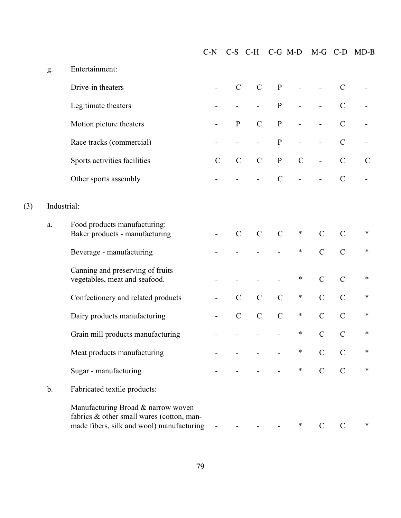|             |                                                                                                                              | $C-N$         |               | $C-S$ $C-H$   |                | $C-G$ M-D     | $M-G$                    | $C-D$         | $MD-B$        |
|-------------|------------------------------------------------------------------------------------------------------------------------------|---------------|---------------|---------------|----------------|---------------|--------------------------|---------------|---------------|
| g.          | Entertainment:                                                                                                               |               |               |               |                |               |                          |               |               |
|             | Drive-in theaters                                                                                                            |               | $\mathcal{C}$ | $\mathbf C$   | ${\bf P}$      |               |                          | $\mathcal{C}$ |               |
|             | Legitimate theaters                                                                                                          |               |               |               | ${\bf P}$      |               |                          | $\mathcal{C}$ |               |
|             | Motion picture theaters                                                                                                      |               | $\mathbf{P}$  | $\mathcal{C}$ | ${\bf P}$      |               |                          | $\mathcal{C}$ |               |
|             | Race tracks (commercial)                                                                                                     |               |               |               | ${\bf P}$      |               | $\overline{\phantom{0}}$ | $\mathcal{C}$ |               |
|             | Sports activities facilities                                                                                                 | $\mathcal{C}$ | $\mathsf C$   | $\mathcal{C}$ | ${\bf P}$      | $\mathcal{C}$ | $\overline{a}$           | $\mathbf C$   | $\mathcal{C}$ |
|             | Other sports assembly                                                                                                        |               |               |               | $\overline{C}$ |               |                          | $\mathcal{C}$ |               |
| Industrial: |                                                                                                                              |               |               |               |                |               |                          |               |               |
| a.          | Food products manufacturing:<br>Baker products - manufacturing                                                               |               | $\mathcal{C}$ | $\mathbf C$   | $\mathcal{C}$  | $\ast$        | $\mathcal{C}$            | $\mathcal{C}$ | ∗             |
|             | Beverage - manufacturing                                                                                                     |               |               |               |                | $\ast$        | $\mathcal{C}$            | $\mathcal{C}$ | $\ast$        |
|             | Canning and preserving of fruits<br>vegetables, meat and seafood.                                                            |               |               |               |                | $\ast$        | $\mathcal{C}$            | $\mathcal{C}$ | $\ast$        |
|             | Confectionery and related products                                                                                           |               | $\mathbf C$   | $\mathcal{C}$ | $\mathcal{C}$  | $\ast$        | $\mathcal{C}$            | $\mathcal{C}$ | ∗             |
|             | Dairy products manufacturing                                                                                                 |               | $\mathcal{C}$ | $\mathcal{C}$ | $\mathcal{C}$  | $\ast$        | $\mathcal{C}$            | $\mathcal{C}$ | ∗             |
|             | Grain mill products manufacturing                                                                                            |               |               |               |                | $\ast$        | $\mathbf C$              | $\mathcal{C}$ | $\ast$        |
|             | Meat products manufacturing                                                                                                  |               |               |               |                |               |                          |               | ∗             |
|             | Sugar - manufacturing                                                                                                        |               |               |               |                | $\ast$        | $\mathcal{C}$            | $\mathcal{C}$ | $\ast$        |
| b.          | Fabricated textile products:                                                                                                 |               |               |               |                |               |                          |               |               |
|             | Manufacturing Broad & narrow woven<br>fabrics & other small wares (cotton, man-<br>made fibers, silk and wool) manufacturing |               |               |               |                | $\ast$        | C                        | $\mathcal{C}$ | ∗             |

 $(3)$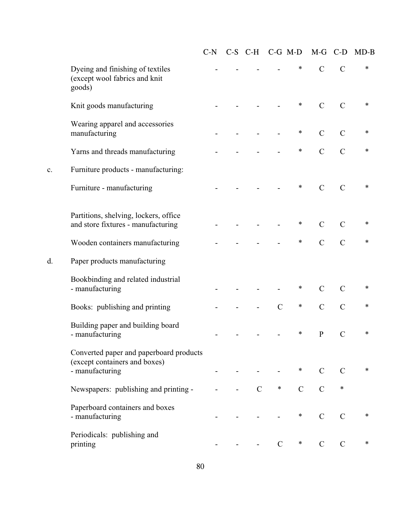|                |                                                                                             | $C-N$ |               | C-S C-H C-G M-D |             | $M-G$          | $C-D$          | $MD-B$ |
|----------------|---------------------------------------------------------------------------------------------|-------|---------------|-----------------|-------------|----------------|----------------|--------|
|                | Dyeing and finishing of textiles<br>(except wool fabrics and knit<br>goods)                 |       |               |                 | $\ast$      | $\overline{C}$ | $\overline{C}$ | $\ast$ |
|                | Knit goods manufacturing                                                                    |       |               |                 | $\ast$      | $\mathcal{C}$  | $\overline{C}$ | $\ast$ |
|                | Wearing apparel and accessories<br>manufacturing                                            |       |               |                 | $\ast$      | $\overline{C}$ | $\mathcal{C}$  | $\ast$ |
|                | Yarns and threads manufacturing                                                             |       |               |                 | $\ast$      | $\overline{C}$ | $\overline{C}$ | ∗      |
| $\mathbf{c}$ . | Furniture products - manufacturing:                                                         |       |               |                 |             |                |                |        |
|                | Furniture - manufacturing                                                                   |       |               |                 | $\ast$      | $\mathcal{C}$  | $\mathcal{C}$  | $\ast$ |
|                | Partitions, shelving, lockers, office<br>and store fixtures - manufacturing                 |       |               |                 | $\ast$      | $\overline{C}$ | $\mathcal{C}$  | $\ast$ |
|                | Wooden containers manufacturing                                                             |       |               |                 | $\ast$      | $\overline{C}$ | $\overline{C}$ | $\ast$ |
| d.             | Paper products manufacturing                                                                |       |               |                 |             |                |                |        |
|                | Bookbinding and related industrial<br>- manufacturing                                       |       |               |                 | $\ast$      | $\mathcal{C}$  | $\mathcal{C}$  | $\ast$ |
|                | Books: publishing and printing                                                              |       |               | $\overline{C}$  | $\ast$      | $\overline{C}$ | $\overline{C}$ | $\ast$ |
|                | Building paper and building board<br>- manufacturing                                        |       |               |                 | ∗           | ${\bf P}$      | $\mathcal{C}$  | $\ast$ |
|                | Converted paper and paperboard products<br>(except containers and boxes)<br>- manufacturing |       |               |                 | $\ast$      | $\mathcal{C}$  | $\mathbf C$    | $\ast$ |
|                | Newspapers: publishing and printing -                                                       |       | $\mathcal{C}$ | $\ast$          | $\mathbf C$ | $\overline{C}$ | $\ast$         |        |
|                | Paperboard containers and boxes<br>- manufacturing                                          |       |               |                 | $\ast$      | $\mathcal{C}$  | $\mathcal{C}$  | $\ast$ |
|                | Periodicals: publishing and<br>printing                                                     |       |               | $\mathcal{C}$   | $\ast$      | $\mathcal{C}$  | $\mathbf C$    | $\ast$ |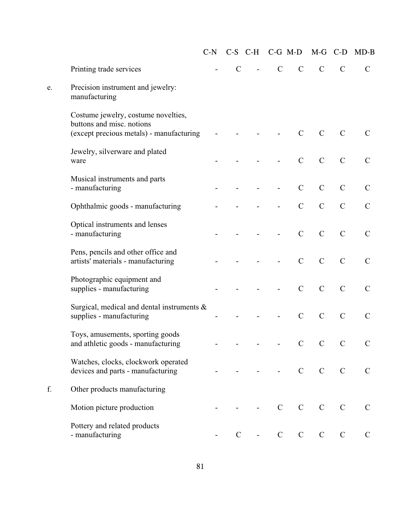|    |                                                                                                              | $C-N$ |               | $C-S$ $C-H$    | $C-G$ M-D     |               | $M-G$          | $C-D$          | $MD-B$        |
|----|--------------------------------------------------------------------------------------------------------------|-------|---------------|----------------|---------------|---------------|----------------|----------------|---------------|
|    | Printing trade services                                                                                      |       | $\mathcal{C}$ | $\overline{a}$ | $\mathcal{C}$ | $\mathcal{C}$ | $\mathcal{C}$  | $\mathcal{C}$  | $\mathcal{C}$ |
| e. | Precision instrument and jewelry:<br>manufacturing                                                           |       |               |                |               |               |                |                |               |
|    | Costume jewelry, costume novelties,<br>buttons and misc. notions<br>(except precious metals) - manufacturing |       |               |                |               | $\mathcal{C}$ | $\mathcal{C}$  | $\mathcal{C}$  | $\mathcal{C}$ |
|    | Jewelry, silverware and plated<br>ware                                                                       |       |               |                |               | $\mathbf C$   | $\mathcal{C}$  | $\overline{C}$ | $\mathcal{C}$ |
|    | Musical instruments and parts<br>- manufacturing                                                             |       |               |                |               | $\mathcal{C}$ | $\overline{C}$ | $\overline{C}$ | $\mathcal{C}$ |
|    | Ophthalmic goods - manufacturing                                                                             |       |               |                |               | $\mathcal{C}$ | $\mathcal{C}$  | $\overline{C}$ | $\mathcal{C}$ |
|    | Optical instruments and lenses<br>- manufacturing                                                            |       |               |                |               | $\mathcal{C}$ | $\mathcal{C}$  | $\mathcal{C}$  | $\mathcal{C}$ |
|    | Pens, pencils and other office and<br>artists' materials - manufacturing                                     |       |               |                |               | $\mathcal{C}$ | $\mathcal{C}$  | $\overline{C}$ | $\mathcal{C}$ |
|    | Photographic equipment and<br>supplies - manufacturing                                                       |       |               |                |               | $\mathcal{C}$ | $\mathcal{C}$  | $\overline{C}$ | $\mathcal{C}$ |
|    | Surgical, medical and dental instruments $\&$<br>supplies - manufacturing                                    |       |               |                |               | $\mathcal{C}$ | $\mathcal{C}$  | $\mathcal{C}$  | $\mathcal{C}$ |
|    | Toys, amusements, sporting goods<br>and athletic goods - manufacturing                                       |       |               |                |               | $\mathbf C$   | $\overline{C}$ | $\mathcal{C}$  | $\mathcal{C}$ |
|    | Watches, clocks, clockwork operated<br>devices and parts - manufacturing                                     |       |               |                |               | $\mathcal{C}$ | $\mathcal{C}$  | $\mathbf C$    | $\mathsf{C}$  |
| f. | Other products manufacturing                                                                                 |       |               |                |               |               |                |                |               |
|    | Motion picture production                                                                                    |       |               |                | $\mathcal{C}$ | $\mathbf C$   | $\mathcal{C}$  | $\mathbf C$    | $\mathbf C$   |
|    | Pottery and related products<br>- manufacturing                                                              |       | $\mathcal{C}$ |                | $\mathbf C$   | $\mathbf C$   | $\mathbf C$    | $\mathbf C$    | $\mathbf C$   |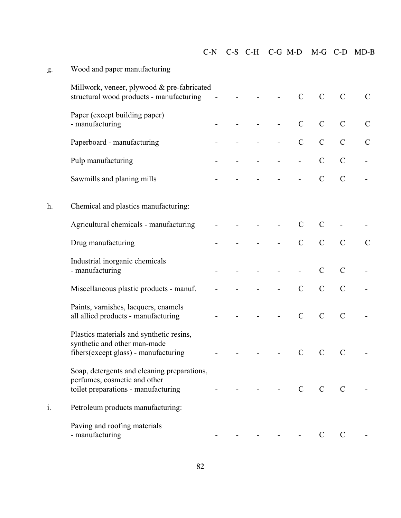|  | C-N C-S C-H C-G M-D M-G C-D MD-B |  |  |
|--|----------------------------------|--|--|
|  |                                  |  |  |

| g. | Wood and paper manufacturing                                                                                       |  |   |                |               |               |               |
|----|--------------------------------------------------------------------------------------------------------------------|--|---|----------------|---------------|---------------|---------------|
|    | Millwork, veneer, plywood & pre-fabricated<br>structural wood products - manufacturing                             |  |   | $\mathcal{C}$  | $\mathcal{C}$ | $\mathcal{C}$ | $\mathcal{C}$ |
|    | Paper (except building paper)<br>- manufacturing                                                                   |  | - | $\mathcal{C}$  | $\mathcal{C}$ | $\mathcal{C}$ | $\mathcal{C}$ |
|    | Paperboard - manufacturing                                                                                         |  |   | $\mathcal{C}$  | $\mathcal{C}$ | $\mathcal{C}$ | $\mathcal{C}$ |
|    | Pulp manufacturing                                                                                                 |  |   |                | $\mathbf C$   | $\mathcal{C}$ |               |
|    | Sawmills and planing mills                                                                                         |  |   |                | $\mathcal{C}$ | $\mathcal{C}$ |               |
| h. | Chemical and plastics manufacturing:                                                                               |  |   |                |               |               |               |
|    | Agricultural chemicals - manufacturing                                                                             |  |   | $\mathcal{C}$  | $\mathcal{C}$ |               |               |
|    | Drug manufacturing                                                                                                 |  |   | $\mathcal{C}$  | $\mathcal{C}$ | $\mathbf C$   | $\mathcal{C}$ |
|    | Industrial inorganic chemicals<br>- manufacturing                                                                  |  |   |                | $\mathcal{C}$ | $\mathcal{C}$ |               |
|    | Miscellaneous plastic products - manuf.                                                                            |  |   | $\mathcal{C}$  | $\mathcal{C}$ | $\mathcal{C}$ |               |
|    | Paints, varnishes, lacquers, enamels<br>all allied products - manufacturing                                        |  |   | $\mathcal{C}$  | $\mathcal{C}$ | $\mathcal{C}$ |               |
|    | Plastics materials and synthetic resins,<br>synthetic and other man-made<br>fibers(except glass) - manufacturing   |  |   | $\mathcal{C}$  | $\mathbf C$   | $\mathcal{C}$ |               |
|    | Soap, detergents and cleaning preparations,<br>perfumes, cosmetic and other<br>toilet preparations - manufacturing |  |   | $\overline{C}$ | $C$ $C$       |               |               |
| i. | Petroleum products manufacturing:                                                                                  |  |   |                |               |               |               |
|    | Paving and roofing materials<br>- manufacturing                                                                    |  |   |                | $\mathcal{C}$ | C             |               |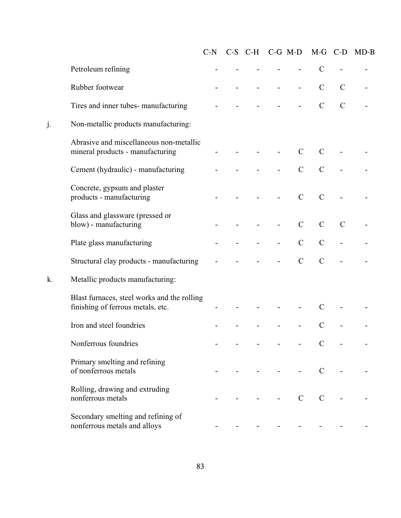|    |                                                                                  | $C-N$ | C-S C-H C-G M-D |                |                          | $M-G$          | $C-D$         | $MD-B$ |
|----|----------------------------------------------------------------------------------|-------|-----------------|----------------|--------------------------|----------------|---------------|--------|
|    | Petroleum refining                                                               |       |                 |                |                          | $\mathcal{C}$  |               |        |
|    | Rubber footwear                                                                  |       |                 |                | $\overline{\phantom{0}}$ | $\mathcal{C}$  | $\mathcal{C}$ |        |
|    | Tires and inner tubes- manufacturing                                             |       |                 |                |                          | $\mathcal{C}$  | $\mathbf C$   |        |
|    | Non-metallic products manufacturing:                                             |       |                 |                |                          |                |               |        |
|    | Abrasive and miscellaneous non-metallic<br>mineral products - manufacturing      |       |                 |                | $\mathcal{C}$            | $\mathcal{C}$  |               |        |
|    | Cement (hydraulic) - manufacturing                                               |       |                 |                | $\mathcal{C}$            | $\overline{C}$ |               |        |
|    | Concrete, gypsum and plaster<br>products - manufacturing                         |       |                 |                | $\mathcal{C}$            | $\mathcal{C}$  |               |        |
|    | Glass and glassware (pressed or<br>blow) - manufacturing                         |       |                 | $\overline{a}$ | $\mathcal{C}$            | $\mathcal{C}$  | $\mathcal{C}$ |        |
|    | Plate glass manufacturing                                                        |       |                 |                | $\mathcal{C}$            | $\mathcal{C}$  |               |        |
|    | Structural clay products - manufacturing                                         |       |                 |                | $\mathcal{C}$            | $\overline{C}$ |               |        |
| k. | Metallic products manufacturing:                                                 |       |                 |                |                          |                |               |        |
|    | Blast furnaces, steel works and the rolling<br>finishing of ferrous metals, etc. |       |                 |                |                          | $\mathcal{C}$  |               |        |
|    | Iron and steel foundries                                                         |       |                 |                |                          | $\mathcal{C}$  |               |        |
|    | Nonferrous foundries                                                             |       |                 |                |                          |                |               |        |
|    | Primary smelting and refining<br>of nonferrous metals                            |       |                 |                |                          | $\mathcal{C}$  |               |        |
|    | Rolling, drawing and extruding<br>nonferrous metals                              |       |                 |                | $\mathcal{C}$            | $\mathcal{C}$  |               |        |
|    | Secondary smelting and refining of<br>nonferrous metals and alloys               |       |                 |                |                          |                |               |        |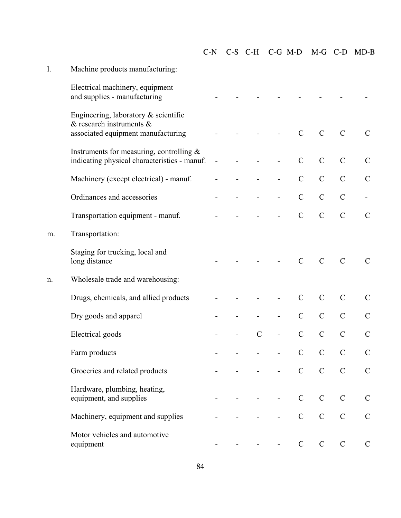| 1. | Machine products manufacturing:                                                                                 |  |               |                          |               |               |               |               |
|----|-----------------------------------------------------------------------------------------------------------------|--|---------------|--------------------------|---------------|---------------|---------------|---------------|
|    | Electrical machinery, equipment<br>and supplies - manufacturing                                                 |  |               |                          |               |               |               |               |
|    | Engineering, laboratory $\&$ scientific<br>$\&$ research instruments $\&$<br>associated equipment manufacturing |  |               |                          | $\mathcal{C}$ | $\mathcal{C}$ | $\mathcal{C}$ | $\mathcal{C}$ |
|    | Instruments for measuring, controlling $\&$<br>indicating physical characteristics - manuf.                     |  |               |                          | $\mathcal{C}$ | $\mathbf C$   | $\mathcal{C}$ | $\mathcal{C}$ |
|    | Machinery (except electrical) - manuf.                                                                          |  |               | $\overline{\phantom{0}}$ | $\mathcal{C}$ | $\mathcal{C}$ | $\mathcal{C}$ | $\mathcal{C}$ |
|    | Ordinances and accessories                                                                                      |  |               |                          | $\mathcal{C}$ | $\mathcal{C}$ | $\mathcal{C}$ |               |
|    | Transportation equipment - manuf.                                                                               |  |               |                          | $\mathcal{C}$ | $\mathcal{C}$ | $\mathcal{C}$ | $\mathcal{C}$ |
| m. | Transportation:                                                                                                 |  |               |                          |               |               |               |               |
|    | Staging for trucking, local and<br>long distance                                                                |  |               |                          | $\mathbf C$   | $\mathcal{C}$ | $\mathcal{C}$ | $\mathcal{C}$ |
| n. | Wholesale trade and warehousing:                                                                                |  |               |                          |               |               |               |               |
|    | Drugs, chemicals, and allied products                                                                           |  |               |                          | $\mathcal{C}$ | $\mathbf C$   | $\mathcal{C}$ | $\mathbf C$   |
|    | Dry goods and apparel                                                                                           |  |               |                          | $\mathcal{C}$ | $\mathbf C$   | $\mathcal{C}$ | $\mathcal{C}$ |
|    | Electrical goods                                                                                                |  | $\mathcal{C}$ |                          | $\mathcal{C}$ | $\mathcal{C}$ | $\mathcal{C}$ | $\mathcal{C}$ |
|    | Farm products                                                                                                   |  |               | <b>Contract Contract</b> | $\mathbf{C}$  | $\mathbf C$   | $\mathcal{C}$ | $\mathbf C$   |
|    | Groceries and related products                                                                                  |  |               |                          | $\mathbf C$   | $\mathcal{C}$ | $\mathcal{C}$ | $\mathcal{C}$ |
|    | Hardware, plumbing, heating,<br>equipment, and supplies                                                         |  |               |                          | $\mathcal{C}$ | $\mathcal{C}$ | $\mathcal{C}$ | $\mathcal{C}$ |
|    | Machinery, equipment and supplies                                                                               |  |               |                          | $\mathcal{C}$ | $\mathcal{C}$ | $\mathcal{C}$ | $\mathcal{C}$ |
|    | Motor vehicles and automotive<br>equipment                                                                      |  |               |                          | $\mathbf C$   | $\mathbf C$   | $\mathbf C$   | $\mathcal{C}$ |

C-N C-S C-H C-G M-D M-G C-D MD-B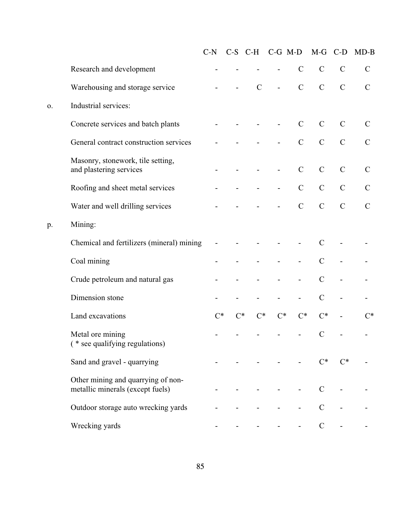|    |                                                                        | $C-N$ |       | $C-S$ $C-H$   |                   | $C-G$ M-D                | $M-G$          | $C-D$         | $MD-B$        |
|----|------------------------------------------------------------------------|-------|-------|---------------|-------------------|--------------------------|----------------|---------------|---------------|
|    | Research and development                                               |       |       |               |                   | $\mathcal{C}$            | $\mathcal{C}$  | $\mathcal{C}$ | $\mathcal{C}$ |
|    | Warehousing and storage service                                        |       |       | $\mathcal{C}$ | $\frac{1}{2}$     | $\mathcal{C}$            | $\mathcal{C}$  | $\mathcal{C}$ | $\mathcal{C}$ |
| 0. | Industrial services:                                                   |       |       |               |                   |                          |                |               |               |
|    | Concrete services and batch plants                                     |       |       |               |                   | $\mathcal{C}$            | $\mathcal{C}$  | $\mathcal{C}$ | $\mathcal{C}$ |
|    | General contract construction services                                 |       |       |               |                   | $\mathcal{C}$            | $\mathcal{C}$  | $\mathcal{C}$ | $\mathcal{C}$ |
|    | Masonry, stonework, tile setting,<br>and plastering services           |       |       |               | $\qquad \qquad -$ | $\mathcal{C}$            | $\mathcal{C}$  | $\mathcal{C}$ | $\mathcal{C}$ |
|    | Roofing and sheet metal services                                       |       |       |               |                   | $\mathcal{C}$            | $\mathcal{C}$  | $\mathcal{C}$ | $\mathsf{C}$  |
|    | Water and well drilling services                                       |       |       |               |                   | $\mathcal{C}$            | $\mathcal{C}$  | $\mathcal{C}$ | $\mathcal{C}$ |
| p. | Mining:                                                                |       |       |               |                   |                          |                |               |               |
|    | Chemical and fertilizers (mineral) mining                              |       |       |               |                   |                          | $\mathcal{C}$  |               |               |
|    | Coal mining                                                            |       |       |               |                   | $\overline{\phantom{0}}$ | $\mathcal{C}$  |               |               |
|    | Crude petroleum and natural gas                                        |       |       |               |                   | $\overline{\phantom{0}}$ | $\mathcal{C}$  |               |               |
|    | Dimension stone                                                        |       |       |               |                   |                          | $\mathcal{C}$  |               |               |
|    | Land excavations                                                       | $C^*$ | $C^*$ | $C^*$         | $C^*$             | $C^*$                    | $C^*$          |               | $C^*$         |
|    | Metal ore mining<br>* see qualifying regulations)                      |       |       |               |                   |                          | $\mathcal{C}$  |               |               |
|    | Sand and gravel - quarrying                                            |       |       |               |                   |                          | $\mathsf{C}^*$ | $\cap^*$      |               |
|    | Other mining and quarrying of non-<br>metallic minerals (except fuels) |       |       |               |                   |                          | $\mathcal{C}$  |               |               |
|    | Outdoor storage auto wrecking yards                                    |       |       |               |                   |                          | $\overline{C}$ |               |               |
|    | Wrecking yards                                                         |       |       |               |                   |                          | $\mathbf C$    |               |               |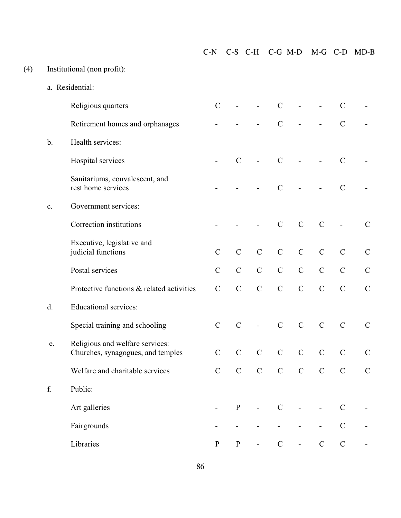a. Residential: Religious quarters C - - C - C -Retirement homes and orphanages - - - C - - C b. Health services: Hospital services **C** - C - C - C -Sanitariums, convalescent, and rest home services - - - C - C c. Government services: Correction institutions - - - C C C - C Executive, legislative and judicial functions C C C C C C C C Postal services C C C C C C C C Protective functions & related activities C C C C C C C C C C d. Educational services: Special training and schooling C C C - C C C C C C e. Religious and welfare services: Churches, synagogues, and temples C C C C C C C C Welfare and charitable services C C C C C C C C f. Public:

C-N C-S C-H C-G M-D M-G C-D MD-B

(4) Institutional (non profit):

Art galleries **a**  $-P$  - C - - C -

Fairgrounds **Fairgrounds - - - - - - C** -

 $Libraries$   $P$   $P$  -  $C$  -  $C$  -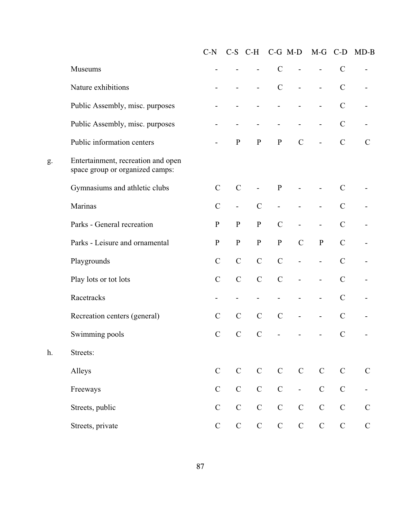|    |                                                                       | $C-N$         |                          | $C-S$ $C-H$                  |               | $C-G$ M-D                | $M-G$                    | $C-D$         | $MD-B$        |
|----|-----------------------------------------------------------------------|---------------|--------------------------|------------------------------|---------------|--------------------------|--------------------------|---------------|---------------|
|    | Museums                                                               |               |                          | -                            | $\mathcal{C}$ | $\overline{\phantom{0}}$ | $\overline{\phantom{0}}$ | $\mathcal{C}$ |               |
|    | Nature exhibitions                                                    |               |                          | $\qquad \qquad \blacksquare$ | $\mathcal{C}$ | $\overline{\phantom{0}}$ | $\overline{\phantom{0}}$ | $\mathbf C$   |               |
|    | Public Assembly, misc. purposes                                       |               |                          |                              |               |                          |                          | $\mathbf C$   |               |
|    | Public Assembly, misc. purposes                                       |               |                          |                              |               |                          | -                        | $\mathcal{C}$ |               |
|    | Public information centers                                            |               | ${\bf P}$                | ${\bf P}$                    | ${\bf P}$     | $\mathcal{C}$            | $\overline{\phantom{0}}$ | $\mathsf C$   | $\mathcal{C}$ |
| g. | Entertainment, recreation and open<br>space group or organized camps: |               |                          |                              |               |                          |                          |               |               |
|    | Gymnasiums and athletic clubs                                         | $\mathcal{C}$ | $\mathcal{C}$            |                              | $\mathbf{P}$  |                          |                          | $\mathbf C$   |               |
|    | Marinas                                                               | $\mathcal{C}$ | $\overline{\phantom{a}}$ | $\mathcal{C}$                |               |                          |                          | $\mathbf C$   |               |
|    | Parks - General recreation                                            | $\mathbf{P}$  | ${\bf P}$                | ${\bf P}$                    | $\mathcal{C}$ |                          |                          | $\mathcal{C}$ |               |
|    | Parks - Leisure and ornamental                                        | ${\bf P}$     | ${\bf P}$                | ${\bf P}$                    | ${\bf P}$     | $\mathcal{C}$            | ${\bf P}$                | $\mathbf C$   |               |
|    | Playgrounds                                                           | $\mathbf C$   | $\mathcal{C}$            | $\mathcal{C}$                | $\mathcal{C}$ | $\overline{\phantom{0}}$ | $\overline{\phantom{0}}$ | $\mathcal{C}$ |               |
|    | Play lots or tot lots                                                 | $\mathbf C$   | $\mathcal{C}$            | $\mathcal{C}$                | $\mathcal{C}$ |                          |                          | $\mathcal{C}$ |               |
|    | Racetracks                                                            |               |                          |                              |               |                          |                          | $\mathbf C$   |               |
|    | Recreation centers (general)                                          | $\mathbf C$   | $\mathbf C$              | $\mathcal{C}$                | $\mathcal{C}$ | $\overline{\phantom{0}}$ | $\overline{\phantom{0}}$ | $\mathcal{C}$ |               |
|    | Swimming pools                                                        | $\mathbf C$   | $\mathcal{C}$            | $\mathcal{C}$                |               |                          |                          | $\mathcal{C}$ |               |
| h. | Streets:                                                              |               |                          |                              |               |                          |                          |               |               |
|    | Alleys                                                                | $\mathbf C$   | $\mathsf{C}$             | $\mathbf C$                  | $\mathcal{C}$ | ${\bf C}$                | $\mathbf C$              | $\mathbf C$   | $\mathcal{C}$ |
|    | Freeways                                                              | $\mathbf C$   | $\mathbf C$              | ${\bf C}$                    | ${\bf C}$     | $\blacksquare$           | $\mathbf C$              | $\mathbf C$   |               |
|    | Streets, public                                                       | $\mathbf C$   | $\mathbf C$              | ${\bf C}$                    | $\mathbf C$   | $\mathsf C$              | $\mathbf C$              | $\mathcal{C}$ | $\mathcal{C}$ |
|    | Streets, private                                                      | $\mathcal{C}$ | $\mathsf{C}$             | $\mathbf C$                  | $\mathbf C$   | $\mathbf C$              | $\mathbf C$              | $\mathbf C$   | $\mathcal{C}$ |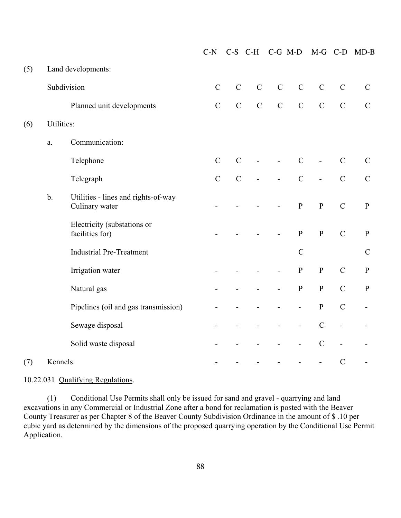|     |            |                                                       | $C-N$          |               | $C-S$ $C-H$   |                          | $C-G$ M-D                | $M-G$                    | $C-D$                    | $MD-B$                   |
|-----|------------|-------------------------------------------------------|----------------|---------------|---------------|--------------------------|--------------------------|--------------------------|--------------------------|--------------------------|
| (5) |            | Land developments:                                    |                |               |               |                          |                          |                          |                          |                          |
|     |            | Subdivision                                           | $\mathbf C$    | $\mathbf C$   | $\mathsf C$   | $\mathcal{C}$            | $\mathcal{C}$            | $\mathcal{C}$            | $\mathcal{C}$            | ${\bf C}$                |
|     |            | Planned unit developments                             | $\overline{C}$ | $\mathcal{C}$ | $\mathcal{C}$ | $\mathbf C$              | $\mathcal{C}$            | $\mathcal{C}$            | $\mathcal{C}$            | $\mathbf C$              |
| (6) | Utilities: |                                                       |                |               |               |                          |                          |                          |                          |                          |
|     | a.         | Communication:                                        |                |               |               |                          |                          |                          |                          |                          |
|     |            | Telephone                                             | $\mathbf C$    | $\mathbf C$   |               | $\overline{\phantom{0}}$ | $\mathcal{C}$            | $\overline{\phantom{a}}$ | $\mathcal{C}$            | $\mathbf C$              |
|     |            | Telegraph                                             | $\mathbf C$    | $\mathcal{C}$ |               | $\overline{\phantom{0}}$ | $\mathcal{C}$            | $\overline{a}$           | $\mathcal{C}$            | ${\bf C}$                |
|     | b.         | Utilities - lines and rights-of-way<br>Culinary water |                |               |               |                          | $\, {\bf p}$             | ${\bf P}$                | $\mathcal{C}$            | ${\bf P}$                |
|     |            | Electricity (substations or<br>facilities for)        |                |               |               |                          | ${\bf P}$                | $\, {\bf P}$             | $\mathcal{C}$            | $\, {\bf P}$             |
|     |            | <b>Industrial Pre-Treatment</b>                       |                |               |               |                          | $\mathcal{C}$            |                          |                          | $\mathbf C$              |
|     |            | Irrigation water                                      |                |               |               |                          | ${\bf P}$                | ${\bf P}$                | $\mathcal{C}$            | ${\bf P}$                |
|     |            | Natural gas                                           |                |               |               |                          | ${\bf P}$                | ${\bf P}$                | $\mathcal{C}$            | ${\bf P}$                |
|     |            | Pipelines (oil and gas transmission)                  |                |               |               |                          | $\overline{\phantom{0}}$ | ${\bf P}$                | $\mathcal{C}$            |                          |
|     |            | Sewage disposal                                       |                |               |               |                          | $\qquad \qquad -$        | $\mathcal{C}$            | $\overline{\phantom{a}}$ | $\overline{\phantom{0}}$ |
|     |            | Solid waste disposal                                  |                |               |               |                          | $\qquad \qquad -$        | $\mathcal{C}$            | $\frac{1}{2}$            |                          |
| (7) | Kennels.   |                                                       |                |               |               |                          |                          | $\overline{\phantom{0}}$ | $\mathcal{C}$            |                          |

10.22.031 Qualifying Regulations.

(1) Conditional Use Permits shall only be issued for sand and gravel - quarrying and land excavations in any Commercial or Industrial Zone after a bond for reclamation is posted with the Beaver County Treasurer as per Chapter 8 of the Beaver County Subdivision Ordinance in the amount of \$ .10 per cubic yard as determined by the dimensions of the proposed quarrying operation by the Conditional Use Permit Application.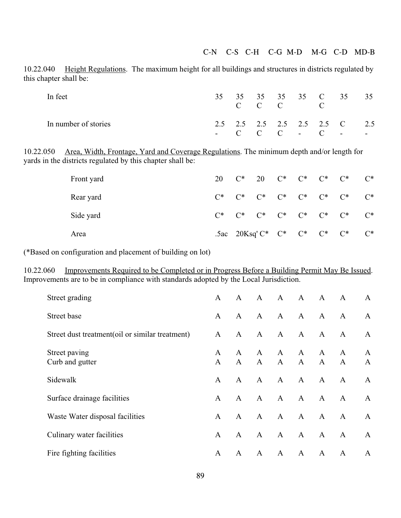10.22.040 Height Regulations. The maximum height for all buildings and structures in districts regulated by this chapter shall be:

| In feet              |  |  | $C$ $C$ $C$ $C$ | 35 35 35 35 35 C 35 35                                  |  |
|----------------------|--|--|-----------------|---------------------------------------------------------|--|
| In number of stories |  |  |                 | 2.5 2.5 2.5 2.5 2.5 2.5 C 2.5<br>$-C-C-C$ $-C$ $-C$ $-$ |  |

10.22.050 Area, Width, Frontage, Yard and Coverage Regulations. The minimum depth and/or length for yards in the districts regulated by this chapter shall be:

| Front yard |  |  | 20 C* 20 C* C* C* C*                      |                                                       | $C^*$ |
|------------|--|--|-------------------------------------------|-------------------------------------------------------|-------|
| Rear yard  |  |  | $C^*$ $C^*$ $C^*$ $C^*$ $C^*$ $C^*$ $C^*$ |                                                       | $C^*$ |
| Side yard  |  |  |                                           | $C^*$ $C^*$ $C^*$ $C^*$ $C^*$ $C^*$ $C^*$             | $C^*$ |
| Area       |  |  |                                           | .5ac 20Ksq' $C^*$ $C^*$ $C^*$ $C^*$ $C^*$ $C^*$ $C^*$ |       |

(\*Based on configuration and placement of building on lot)

10.22.060 Improvements Required to be Completed or in Progress Before a Building Permit May Be Issued. Improvements are to be in compliance with standards adopted by the Local Jurisdiction.

| Street grading                                  | $\mathbf{A}$      | A                 | A            | A            | A                 | $\mathbf{A}$                 | A                 | A            |
|-------------------------------------------------|-------------------|-------------------|--------------|--------------|-------------------|------------------------------|-------------------|--------------|
| Street base                                     | $\mathbf{A}$      | $\mathbf{A}$      | A            | $\mathbf{A}$ | A                 | $\mathbf{A}$                 | $\mathbf{A}$      | $\mathbf{A}$ |
| Street dust treatment(oil or similar treatment) | $\mathbf{A}$      | $\mathbf{A}$      | $\mathbf{A}$ | $\mathbf{A}$ | A                 | $\mathbf{A}$                 | $\mathbf{A}$      | $\mathbf{A}$ |
| Street paving<br>Curb and gutter                | A<br>$\mathbf{A}$ | A<br>$\mathbf{A}$ | A<br>A       | A<br>A       | A<br>$\mathbf{A}$ | $\mathbf{A}$<br>$\mathbf{A}$ | A<br>$\mathbf{A}$ | A<br>A       |
| Sidewalk                                        | $\mathbf{A}$      | A                 | $\mathbf{A}$ | $\mathbf{A}$ | $\mathbf{A}$      | $\mathbf{A}$                 | $\mathbf{A}$      | $\mathbf{A}$ |
| Surface drainage facilities                     | $\mathsf{A}$      | $\mathbf{A}$      | $\mathbf{A}$ | $\mathbf{A}$ | $\mathbf{A}$      | $\mathbf{A}$                 | $\mathbf{A}$      | $\mathbf{A}$ |
| Waste Water disposal facilities                 | $\mathbf{A}$      | $\mathbf{A}$      | $\mathbf{A}$ | $\mathbf{A}$ | A                 | $\mathbf{A}$                 | $\mathbf{A}$      | A            |
| Culinary water facilities                       | A                 | $\mathbf{A}$      | $\mathbf{A}$ | $\mathbf{A}$ | A                 | $\mathbf{A}$                 | $\mathbf{A}$      | A            |
| Fire fighting facilities                        | A                 | $\mathbf{A}$      | $\mathbf{A}$ | $\mathbf{A}$ | $\mathbf{A}$      | $\mathbf{A}$                 | $\mathbf{A}$      | A            |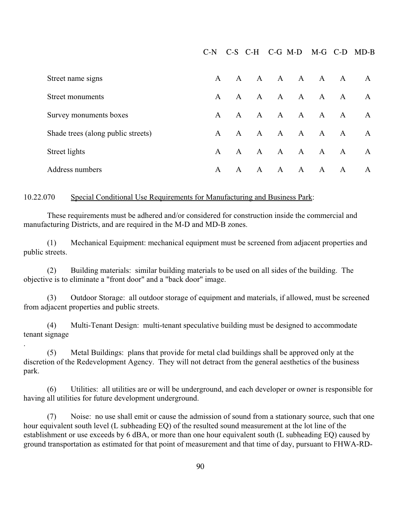C-N C-S C-H C-G M-D M-G C-D MD-B

| Street name signs                  | $\mathsf{A}$ | A            |              | A A A A      |              |                | $\mathbf{A}$ | A            |
|------------------------------------|--------------|--------------|--------------|--------------|--------------|----------------|--------------|--------------|
| Street monuments                   | $\mathsf{A}$ | $\mathsf{A}$ |              | A A A        |              | $\overline{A}$ | $\mathbf{A}$ | A            |
| Survey monuments boxes             | $\mathsf{A}$ | $\mathbf{A}$ |              | A A A        |              | $\mathbf{A}$   | $\mathbf{A}$ | $\mathsf{A}$ |
| Shade trees (along public streets) | A            | A            |              | A A          | $\mathbf{A}$ | $\mathbf{A}$   | $\mathbf{A}$ | A            |
| Street lights                      | $\mathsf{A}$ | A            |              | A A A        |              | $\mathbf{A}$   | $\mathbf{A}$ | A            |
| Address numbers                    | A            | $\mathsf{A}$ | $\mathsf{A}$ | $\mathbf{A}$ | $\mathbf{A}$ | A              | A            | A            |

#### 10.22.070 Special Conditional Use Requirements for Manufacturing and Business Park:

These requirements must be adhered and/or considered for construction inside the commercial and manufacturing Districts, and are required in the M-D and MD-B zones.

(1) Mechanical Equipment: mechanical equipment must be screened from adjacent properties and public streets.

(2) Building materials: similar building materials to be used on all sides of the building. The objective is to eliminate a "front door" and a "back door" image.

(3) Outdoor Storage: all outdoor storage of equipment and materials, if allowed, must be screened from adjacent properties and public streets.

(4) Multi-Tenant Design: multi-tenant speculative building must be designed to accommodate tenant signage

.

(5) Metal Buildings: plans that provide for metal clad buildings shall be approved only at the discretion of the Redevelopment Agency. They will not detract from the general aesthetics of the business park.

(6) Utilities: all utilities are or will be underground, and each developer or owner is responsible for having all utilities for future development underground.

(7) Noise: no use shall emit or cause the admission of sound from a stationary source, such that one hour equivalent south level (L subheading EQ) of the resulted sound measurement at the lot line of the establishment or use exceeds by 6 dBA, or more than one hour equivalent south (L subheading EQ) caused by ground transportation as estimated for that point of measurement and that time of day, pursuant to FHWA-RD-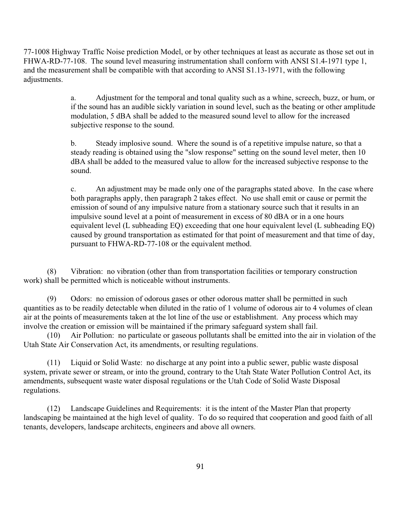77-1008 Highway Traffic Noise prediction Model, or by other techniques at least as accurate as those set out in FHWA-RD-77-108. The sound level measuring instrumentation shall conform with ANSI S1.4-1971 type 1, and the measurement shall be compatible with that according to ANSI S1.13-1971, with the following adjustments.

> a. Adjustment for the temporal and tonal quality such as a whine, screech, buzz, or hum, or if the sound has an audible sickly variation in sound level, such as the beating or other amplitude modulation, 5 dBA shall be added to the measured sound level to allow for the increased subjective response to the sound.

b. Steady implosive sound. Where the sound is of a repetitive impulse nature, so that a steady reading is obtained using the "slow response" setting on the sound level meter, then 10 dBA shall be added to the measured value to allow for the increased subjective response to the sound.

c. An adjustment may be made only one of the paragraphs stated above. In the case where both paragraphs apply, then paragraph 2 takes effect. No use shall emit or cause or permit the emission of sound of any impulsive nature from a stationary source such that it results in an impulsive sound level at a point of measurement in excess of 80 dBA or in a one hours equivalent level (L subheading EQ) exceeding that one hour equivalent level (L subheading EQ) caused by ground transportation as estimated for that point of measurement and that time of day, pursuant to FHWA-RD-77-108 or the equivalent method.

(8) Vibration: no vibration (other than from transportation facilities or temporary construction work) shall be permitted which is noticeable without instruments.

(9) Odors: no emission of odorous gases or other odorous matter shall be permitted in such quantities as to be readily detectable when diluted in the ratio of 1 volume of odorous air to 4 volumes of clean air at the points of measurements taken at the lot line of the use or establishment. Any process which may involve the creation or emission will be maintained if the primary safeguard system shall fail.

(10) Air Pollution: no particulate or gaseous pollutants shall be emitted into the air in violation of the Utah State Air Conservation Act, its amendments, or resulting regulations.

(11) Liquid or Solid Waste: no discharge at any point into a public sewer, public waste disposal system, private sewer or stream, or into the ground, contrary to the Utah State Water Pollution Control Act, its amendments, subsequent waste water disposal regulations or the Utah Code of Solid Waste Disposal regulations.

(12) Landscape Guidelines and Requirements: it is the intent of the Master Plan that property landscaping be maintained at the high level of quality. To do so required that cooperation and good faith of all tenants, developers, landscape architects, engineers and above all owners.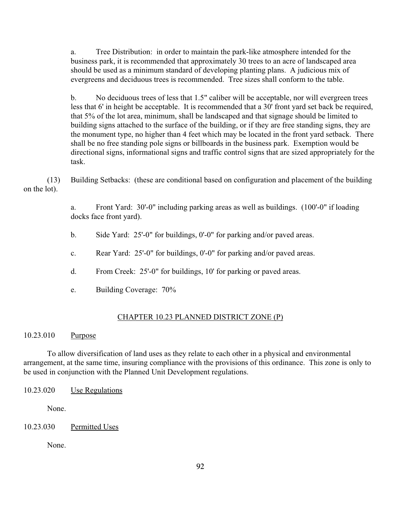a. Tree Distribution: in order to maintain the park-like atmosphere intended for the business park, it is recommended that approximately 30 trees to an acre of landscaped area should be used as a minimum standard of developing planting plans. A judicious mix of evergreens and deciduous trees is recommended. Tree sizes shall conform to the table.

b. No deciduous trees of less that 1.5" caliber will be acceptable, nor will evergreen trees less that 6' in height be acceptable. It is recommended that a 30' front yard set back be required, that 5% of the lot area, minimum, shall be landscaped and that signage should be limited to building signs attached to the surface of the building, or if they are free standing signs, they are the monument type, no higher than 4 feet which may be located in the front yard setback. There shall be no free standing pole signs or billboards in the business park. Exemption would be directional signs, informational signs and traffic control signs that are sized appropriately for the task.

(13) Building Setbacks: (these are conditional based on configuration and placement of the building on the lot).

> a. Front Yard: 30'-0" including parking areas as well as buildings. (100'-0" if loading docks face front yard).

- b. Side Yard: 25'-0" for buildings, 0'-0" for parking and/or paved areas.
- c. Rear Yard: 25'-0" for buildings, 0'-0" for parking and/or paved areas.
- d. From Creek: 25'-0" for buildings, 10' for parking or paved areas.
- e. Building Coverage: 70%

## CHAPTER 10.23 PLANNED DISTRICT ZONE (P)

## 10.23.010 Purpose

To allow diversification of land uses as they relate to each other in a physical and environmental arrangement, at the same time, insuring compliance with the provisions of this ordinance. This zone is only to be used in conjunction with the Planned Unit Development regulations.

```
10.23.020 Use Regulations
```
None.

## 10.23.030 Permitted Uses

None.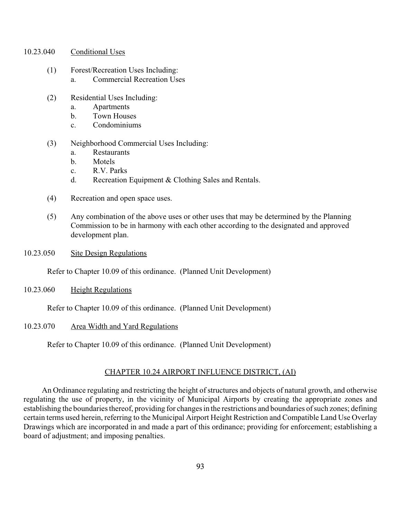- 10.23.040 Conditional Uses
	- (1) Forest/Recreation Uses Including: a. Commercial Recreation Uses
	- (2) Residential Uses Including:
		- a. Apartments
		- b. Town Houses
		- c. Condominiums
	- (3) Neighborhood Commercial Uses Including:
		- a. Restaurants
		- b. Motels
		- c. R.V. Parks
		- d. Recreation Equipment & Clothing Sales and Rentals.
	- (4) Recreation and open space uses.
	- (5) Any combination of the above uses or other uses that may be determined by the Planning Commission to be in harmony with each other according to the designated and approved development plan.
- 10.23.050 Site Design Regulations

Refer to Chapter 10.09 of this ordinance. (Planned Unit Development)

10.23.060 Height Regulations

Refer to Chapter 10.09 of this ordinance. (Planned Unit Development)

### 10.23.070 Area Width and Yard Regulations

Refer to Chapter 10.09 of this ordinance. (Planned Unit Development)

### CHAPTER 10.24 AIRPORT INFLUENCE DISTRICT, (AI)

 An Ordinance regulating and restricting the height of structures and objects of natural growth, and otherwise regulating the use of property, in the vicinity of Municipal Airports by creating the appropriate zones and establishing the boundaries thereof, providing for changes in the restrictions and boundaries of such zones; defining certain terms used herein, referring to the Municipal Airport Height Restriction and Compatible Land Use Overlay Drawings which are incorporated in and made a part of this ordinance; providing for enforcement; establishing a board of adjustment; and imposing penalties.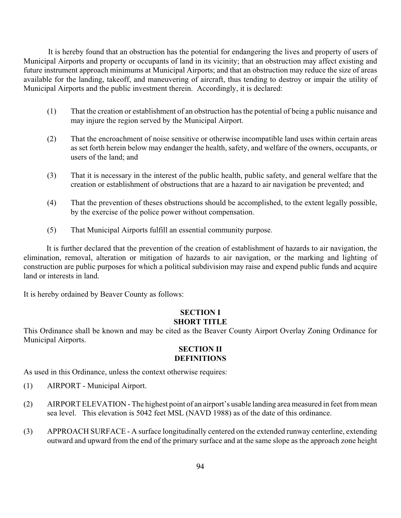It is hereby found that an obstruction has the potential for endangering the lives and property of users of Municipal Airports and property or occupants of land in its vicinity; that an obstruction may affect existing and future instrument approach minimums at Municipal Airports; and that an obstruction may reduce the size of areas available for the landing, takeoff, and maneuvering of aircraft, thus tending to destroy or impair the utility of Municipal Airports and the public investment therein. Accordingly, it is declared:

- (1) That the creation or establishment of an obstruction has the potential of being a public nuisance and may injure the region served by the Municipal Airport.
- (2) That the encroachment of noise sensitive or otherwise incompatible land uses within certain areas as set forth herein below may endanger the health, safety, and welfare of the owners, occupants, or users of the land; and
- (3) That it is necessary in the interest of the public health, public safety, and general welfare that the creation or establishment of obstructions that are a hazard to air navigation be prevented; and
- (4) That the prevention of theses obstructions should be accomplished, to the extent legally possible, by the exercise of the police power without compensation.
- (5) That Municipal Airports fulfill an essential community purpose.

 It is further declared that the prevention of the creation of establishment of hazards to air navigation, the elimination, removal, alteration or mitigation of hazards to air navigation, or the marking and lighting of construction are public purposes for which a political subdivision may raise and expend public funds and acquire land or interests in land.

It is hereby ordained by Beaver County as follows:

### **SECTION I SHORT TITLE**

This Ordinance shall be known and may be cited as the Beaver County Airport Overlay Zoning Ordinance for Municipal Airports.

## **SECTION II DEFINITIONS**

As used in this Ordinance, unless the context otherwise requires:

- (1) AIRPORT Municipal Airport.
- (2) AIRPORT ELEVATION The highest point of an airport's usable landing area measured in feet from mean sea level. This elevation is 5042 feet MSL (NAVD 1988) as of the date of this ordinance.
- (3) APPROACH SURFACE A surface longitudinally centered on the extended runway centerline, extending outward and upward from the end of the primary surface and at the same slope as the approach zone height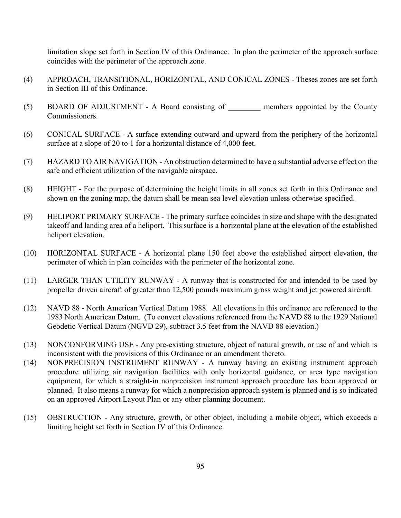limitation slope set forth in Section IV of this Ordinance. In plan the perimeter of the approach surface coincides with the perimeter of the approach zone.

- (4) APPROACH, TRANSITIONAL, HORIZONTAL, AND CONICAL ZONES Theses zones are set forth in Section III of this Ordinance.
- (5) BOARD OF ADJUSTMENT A Board consisting of <u>members</u> appointed by the County Commissioners.
- (6) CONICAL SURFACE A surface extending outward and upward from the periphery of the horizontal surface at a slope of 20 to 1 for a horizontal distance of 4,000 feet.
- (7) HAZARD TO AIR NAVIGATION An obstruction determined to have a substantial adverse effect on the safe and efficient utilization of the navigable airspace.
- (8) HEIGHT For the purpose of determining the height limits in all zones set forth in this Ordinance and shown on the zoning map, the datum shall be mean sea level elevation unless otherwise specified.
- (9) HELIPORT PRIMARY SURFACE The primary surface coincides in size and shape with the designated takeoff and landing area of a heliport. This surface is a horizontal plane at the elevation of the established heliport elevation.
- (10) HORIZONTAL SURFACE A horizontal plane 150 feet above the established airport elevation, the perimeter of which in plan coincides with the perimeter of the horizontal zone.
- (11) LARGER THAN UTILITY RUNWAY A runway that is constructed for and intended to be used by propeller driven aircraft of greater than 12,500 pounds maximum gross weight and jet powered aircraft.
- (12) NAVD 88 North American Vertical Datum 1988. All elevations in this ordinance are referenced to the 1983 North American Datum. (To convert elevations referenced from the NAVD 88 to the 1929 National Geodetic Vertical Datum (NGVD 29), subtract 3.5 feet from the NAVD 88 elevation.)
- (13) NONCONFORMING USE Any pre-existing structure, object of natural growth, or use of and which is inconsistent with the provisions of this Ordinance or an amendment thereto.
- (14) NONPRECISION INSTRUMENT RUNWAY A runway having an existing instrument approach procedure utilizing air navigation facilities with only horizontal guidance, or area type navigation equipment, for which a straight-in nonprecision instrument approach procedure has been approved or planned. It also means a runway for which a nonprecision approach system is planned and is so indicated on an approved Airport Layout Plan or any other planning document.
- (15) OBSTRUCTION Any structure, growth, or other object, including a mobile object, which exceeds a limiting height set forth in Section IV of this Ordinance.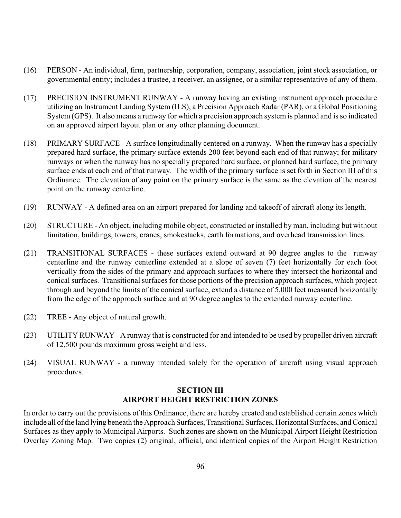- (16) PERSON An individual, firm, partnership, corporation, company, association, joint stock association, or governmental entity; includes a trustee, a receiver, an assignee, or a similar representative of any of them.
- (17) PRECISION INSTRUMENT RUNWAY A runway having an existing instrument approach procedure utilizing an Instrument Landing System (ILS), a Precision Approach Radar (PAR), or a Global Positioning System (GPS). It also means a runway for which a precision approach system is planned and is so indicated on an approved airport layout plan or any other planning document.
- (18) PRIMARY SURFACE A surface longitudinally centered on a runway. When the runway has a specially prepared hard surface, the primary surface extends 200 feet beyond each end of that runway; for military runways or when the runway has no specially prepared hard surface, or planned hard surface, the primary surface ends at each end of that runway. The width of the primary surface is set forth in Section III of this Ordinance. The elevation of any point on the primary surface is the same as the elevation of the nearest point on the runway centerline.
- (19) RUNWAY A defined area on an airport prepared for landing and takeoff of aircraft along its length.
- (20) STRUCTURE An object, including mobile object, constructed or installed by man, including but without limitation, buildings, towers, cranes, smokestacks, earth formations, and overhead transmission lines.
- (21) TRANSITIONAL SURFACES these surfaces extend outward at 90 degree angles to the runway centerline and the runway centerline extended at a slope of seven (7) feet horizontally for each foot vertically from the sides of the primary and approach surfaces to where they intersect the horizontal and conical surfaces. Transitional surfaces for those portions of the precision approach surfaces, which project through and beyond the limits of the conical surface, extend a distance of 5,000 feet measured horizontally from the edge of the approach surface and at 90 degree angles to the extended runway centerline.
- (22) TREE Any object of natural growth.
- (23) UTILITY RUNWAY A runway that is constructed for and intended to be used by propeller driven aircraft of 12,500 pounds maximum gross weight and less.
- (24) VISUAL RUNWAY a runway intended solely for the operation of aircraft using visual approach procedures.

## **SECTION III AIRPORT HEIGHT RESTRICTION ZONES**

In order to carry out the provisions of this Ordinance, there are hereby created and established certain zones which include all of the land lying beneath the Approach Surfaces, Transitional Surfaces, Horizontal Surfaces, and Conical Surfaces as they apply to Municipal Airports. Such zones are shown on the Municipal Airport Height Restriction Overlay Zoning Map. Two copies (2) original, official, and identical copies of the Airport Height Restriction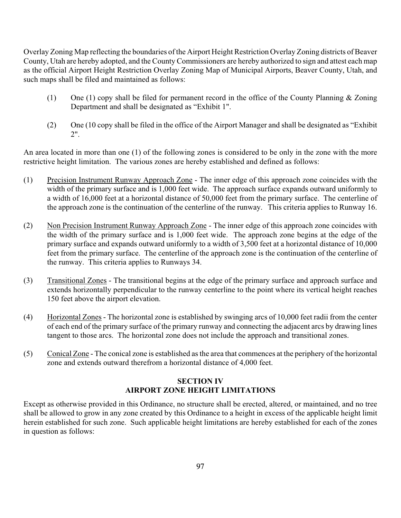Overlay Zoning Map reflecting the boundaries of the Airport Height Restriction Overlay Zoning districts of Beaver County, Utah are hereby adopted, and the County Commissioners are hereby authorized to sign and attest each map as the official Airport Height Restriction Overlay Zoning Map of Municipal Airports, Beaver County, Utah, and such maps shall be filed and maintained as follows:

- (1) One (1) copy shall be filed for permanent record in the office of the County Planning & Zoning Department and shall be designated as "Exhibit 1".
- (2) One (10 copy shall be filed in the office of the Airport Manager and shall be designated as "Exhibit 2".

An area located in more than one (1) of the following zones is considered to be only in the zone with the more restrictive height limitation. The various zones are hereby established and defined as follows:

- (1) Precision Instrument Runway Approach Zone The inner edge of this approach zone coincides with the width of the primary surface and is 1,000 feet wide. The approach surface expands outward uniformly to a width of 16,000 feet at a horizontal distance of 50,000 feet from the primary surface. The centerline of the approach zone is the continuation of the centerline of the runway. This criteria applies to Runway 16.
- (2) Non Precision Instrument Runway Approach Zone The inner edge of this approach zone coincides with the width of the primary surface and is 1,000 feet wide. The approach zone begins at the edge of the primary surface and expands outward uniformly to a width of 3,500 feet at a horizontal distance of 10,000 feet from the primary surface. The centerline of the approach zone is the continuation of the centerline of the runway. This criteria applies to Runways 34.
- (3) Transitional Zones The transitional begins at the edge of the primary surface and approach surface and extends horizontally perpendicular to the runway centerline to the point where its vertical height reaches 150 feet above the airport elevation.
- (4) Horizontal Zones The horizontal zone is established by swinging arcs of 10,000 feet radii from the center of each end of the primary surface of the primary runway and connecting the adjacent arcs by drawing lines tangent to those arcs. The horizontal zone does not include the approach and transitional zones.
- (5) Conical Zone The conical zone is established as the area that commences at the periphery of the horizontal zone and extends outward therefrom a horizontal distance of 4,000 feet.

# **SECTION IV AIRPORT ZONE HEIGHT LIMITATIONS**

Except as otherwise provided in this Ordinance, no structure shall be erected, altered, or maintained, and no tree shall be allowed to grow in any zone created by this Ordinance to a height in excess of the applicable height limit herein established for such zone. Such applicable height limitations are hereby established for each of the zones in question as follows: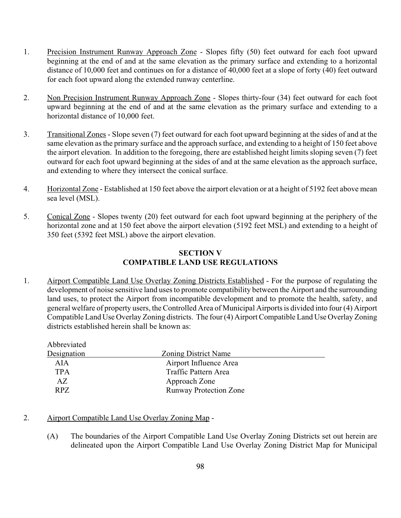- 1. Precision Instrument Runway Approach Zone Slopes fifty (50) feet outward for each foot upward beginning at the end of and at the same elevation as the primary surface and extending to a horizontal distance of 10,000 feet and continues on for a distance of 40,000 feet at a slope of forty (40) feet outward for each foot upward along the extended runway centerline.
- 2. Non Precision Instrument Runway Approach Zone Slopes thirty-four (34) feet outward for each foot upward beginning at the end of and at the same elevation as the primary surface and extending to a horizontal distance of 10,000 feet.
- 3. Transitional Zones Slope seven (7) feet outward for each foot upward beginning at the sides of and at the same elevation as the primary surface and the approach surface, and extending to a height of 150 feet above the airport elevation. In addition to the foregoing, there are established height limits sloping seven (7) feet outward for each foot upward beginning at the sides of and at the same elevation as the approach surface, and extending to where they intersect the conical surface.
- 4. Horizontal Zone Established at 150 feet above the airport elevation or at a height of 5192 feet above mean sea level (MSL).
- 5. Conical Zone Slopes twenty (20) feet outward for each foot upward beginning at the periphery of the horizontal zone and at 150 feet above the airport elevation (5192 feet MSL) and extending to a height of 350 feet (5392 feet MSL) above the airport elevation.

# **SECTION V COMPATIBLE LAND USE REGULATIONS**

1. Airport Compatible Land Use Overlay Zoning Districts Established - For the purpose of regulating the development of noise sensitive land uses to promote compatibility between the Airport and the surrounding land uses, to protect the Airport from incompatible development and to promote the health, safety, and general welfare of property users, the Controlled Area of Municipal Airports is divided into four (4) Airport Compatible Land Use Overlay Zoning districts. The four (4) Airport Compatible Land Use Overlay Zoning districts established herein shall be known as:

| Abbreviated |                               |  |
|-------------|-------------------------------|--|
| Designation | <b>Zoning District Name</b>   |  |
| AIA         | Airport Influence Area        |  |
| <b>TPA</b>  | Traffic Pattern Area          |  |
| AZ          | Approach Zone                 |  |
| RPZ         | <b>Runway Protection Zone</b> |  |

# 2. Airport Compatible Land Use Overlay Zoning Map -

(A) The boundaries of the Airport Compatible Land Use Overlay Zoning Districts set out herein are delineated upon the Airport Compatible Land Use Overlay Zoning District Map for Municipal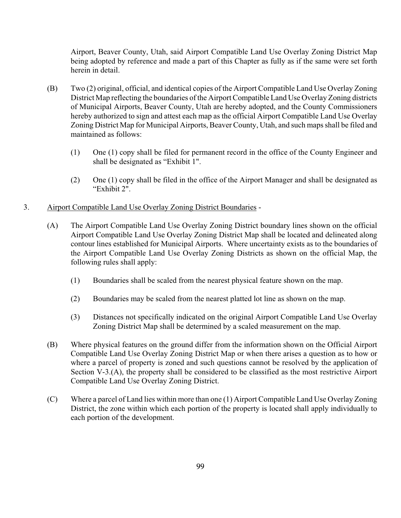Airport, Beaver County, Utah, said Airport Compatible Land Use Overlay Zoning District Map being adopted by reference and made a part of this Chapter as fully as if the same were set forth herein in detail.

- (B) Two (2) original, official, and identical copies of the Airport Compatible Land Use Overlay Zoning District Map reflecting the boundaries of the Airport Compatible Land Use Overlay Zoning districts of Municipal Airports, Beaver County, Utah are hereby adopted, and the County Commissioners hereby authorized to sign and attest each map as the official Airport Compatible Land Use Overlay Zoning District Map for Municipal Airports, Beaver County, Utah, and such maps shall be filed and maintained as follows:
	- (1) One (1) copy shall be filed for permanent record in the office of the County Engineer and shall be designated as "Exhibit 1".
	- (2) One (1) copy shall be filed in the office of the Airport Manager and shall be designated as "Exhibit 2".
- 3. Airport Compatible Land Use Overlay Zoning District Boundaries
	- (A) The Airport Compatible Land Use Overlay Zoning District boundary lines shown on the official Airport Compatible Land Use Overlay Zoning District Map shall be located and delineated along contour lines established for Municipal Airports. Where uncertainty exists as to the boundaries of the Airport Compatible Land Use Overlay Zoning Districts as shown on the official Map, the following rules shall apply:
		- (1) Boundaries shall be scaled from the nearest physical feature shown on the map.
		- (2) Boundaries may be scaled from the nearest platted lot line as shown on the map.
		- (3) Distances not specifically indicated on the original Airport Compatible Land Use Overlay Zoning District Map shall be determined by a scaled measurement on the map.
	- (B) Where physical features on the ground differ from the information shown on the Official Airport Compatible Land Use Overlay Zoning District Map or when there arises a question as to how or where a parcel of property is zoned and such questions cannot be resolved by the application of Section V-3.(A), the property shall be considered to be classified as the most restrictive Airport Compatible Land Use Overlay Zoning District.
	- (C) Where a parcel of Land lies within more than one (1) Airport Compatible Land Use Overlay Zoning District, the zone within which each portion of the property is located shall apply individually to each portion of the development.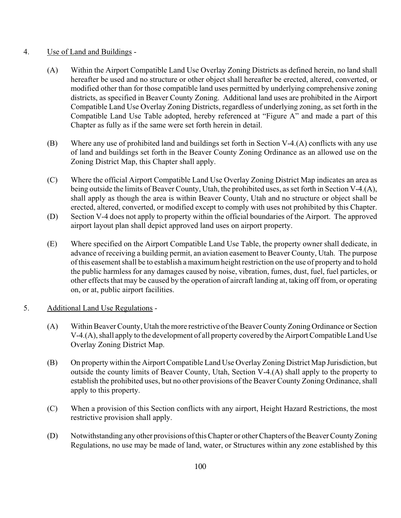## 4. Use of Land and Buildings -

- (A) Within the Airport Compatible Land Use Overlay Zoning Districts as defined herein, no land shall hereafter be used and no structure or other object shall hereafter be erected, altered, converted, or modified other than for those compatible land uses permitted by underlying comprehensive zoning districts, as specified in Beaver County Zoning. Additional land uses are prohibited in the Airport Compatible Land Use Overlay Zoning Districts, regardless of underlying zoning, as set forth in the Compatible Land Use Table adopted, hereby referenced at "Figure A" and made a part of this Chapter as fully as if the same were set forth herein in detail.
- (B) Where any use of prohibited land and buildings set forth in Section V-4.(A) conflicts with any use of land and buildings set forth in the Beaver County Zoning Ordinance as an allowed use on the Zoning District Map, this Chapter shall apply.
- (C) Where the official Airport Compatible Land Use Overlay Zoning District Map indicates an area as being outside the limits of Beaver County, Utah, the prohibited uses, as set forth in Section V-4.(A), shall apply as though the area is within Beaver County, Utah and no structure or object shall be erected, altered, converted, or modified except to comply with uses not prohibited by this Chapter.
- (D) Section V-4 does not apply to property within the official boundaries of the Airport. The approved airport layout plan shall depict approved land uses on airport property.
- (E) Where specified on the Airport Compatible Land Use Table, the property owner shall dedicate, in advance of receiving a building permit, an aviation easement to Beaver County, Utah. The purpose of this easement shall be to establish a maximum height restriction on the use of property and to hold the public harmless for any damages caused by noise, vibration, fumes, dust, fuel, fuel particles, or other effects that may be caused by the operation of aircraft landing at, taking off from, or operating on, or at, public airport facilities.

# 5. Additional Land Use Regulations -

- (A) Within Beaver County, Utah the more restrictive of the Beaver County Zoning Ordinance or Section V-4.(A), shall apply to the development of all property covered by the Airport Compatible Land Use Overlay Zoning District Map.
- (B) On property within the Airport Compatible Land Use Overlay Zoning District Map Jurisdiction, but outside the county limits of Beaver County, Utah, Section V-4.(A) shall apply to the property to establish the prohibited uses, but no other provisions of the Beaver County Zoning Ordinance, shall apply to this property.
- (C) When a provision of this Section conflicts with any airport, Height Hazard Restrictions, the most restrictive provision shall apply.
- (D) Notwithstanding any other provisions of this Chapter or other Chapters of the Beaver County Zoning Regulations, no use may be made of land, water, or Structures within any zone established by this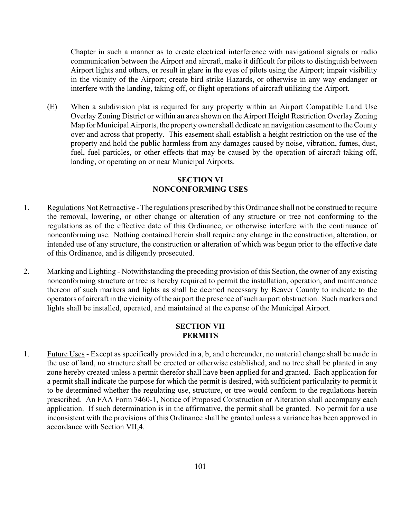Chapter in such a manner as to create electrical interference with navigational signals or radio communication between the Airport and aircraft, make it difficult for pilots to distinguish between Airport lights and others, or result in glare in the eyes of pilots using the Airport; impair visibility in the vicinity of the Airport; create bird strike Hazards, or otherwise in any way endanger or interfere with the landing, taking off, or flight operations of aircraft utilizing the Airport.

(E) When a subdivision plat is required for any property within an Airport Compatible Land Use Overlay Zoning District or within an area shown on the Airport Height Restriction Overlay Zoning Map for Municipal Airports, the property owner shall dedicate an navigation easement to the County over and across that property. This easement shall establish a height restriction on the use of the property and hold the public harmless from any damages caused by noise, vibration, fumes, dust, fuel, fuel particles, or other effects that may be caused by the operation of aircraft taking off, landing, or operating on or near Municipal Airports.

## **SECTION VI NONCONFORMING USES**

- 1. Regulations Not Retroactive The regulations prescribed by this Ordinance shall not be construed to require the removal, lowering, or other change or alteration of any structure or tree not conforming to the regulations as of the effective date of this Ordinance, or otherwise interfere with the continuance of nonconforming use. Nothing contained herein shall require any change in the construction, alteration, or intended use of any structure, the construction or alteration of which was begun prior to the effective date of this Ordinance, and is diligently prosecuted.
- 2. Marking and Lighting Notwithstanding the preceding provision of this Section, the owner of any existing nonconforming structure or tree is hereby required to permit the installation, operation, and maintenance thereon of such markers and lights as shall be deemed necessary by Beaver County to indicate to the operators of aircraft in the vicinity of the airport the presence of such airport obstruction. Such markers and lights shall be installed, operated, and maintained at the expense of the Municipal Airport.

#### **SECTION VII PERMITS**

1. Future Uses - Except as specifically provided in a, b, and c hereunder, no material change shall be made in the use of land, no structure shall be erected or otherwise established, and no tree shall be planted in any zone hereby created unless a permit therefor shall have been applied for and granted. Each application for a permit shall indicate the purpose for which the permit is desired, with sufficient particularity to permit it to be determined whether the regulating use, structure, or tree would conform to the regulations herein prescribed. An FAA Form 7460-1, Notice of Proposed Construction or Alteration shall accompany each application. If such determination is in the affirmative, the permit shall be granted. No permit for a use inconsistent with the provisions of this Ordinance shall be granted unless a variance has been approved in accordance with Section VII,4.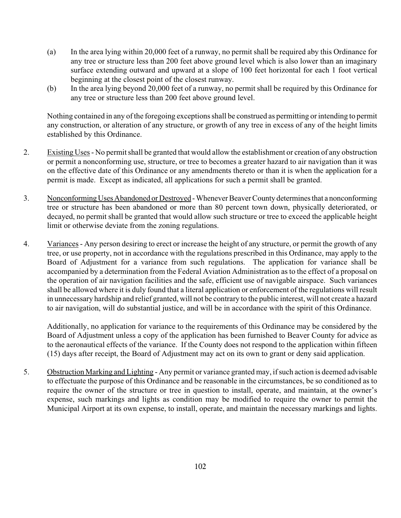- (a) In the area lying within 20,000 feet of a runway, no permit shall be required aby this Ordinance for any tree or structure less than 200 feet above ground level which is also lower than an imaginary surface extending outward and upward at a slope of 100 feet horizontal for each 1 foot vertical beginning at the closest point of the closest runway.
- (b) In the area lying beyond 20,000 feet of a runway, no permit shall be required by this Ordinance for any tree or structure less than 200 feet above ground level.

Nothing contained in any of the foregoing exceptions shall be construed as permitting or intending to permit any construction, or alteration of any structure, or growth of any tree in excess of any of the height limits established by this Ordinance.

- 2. Existing Uses No permit shall be granted that would allow the establishment or creation of any obstruction or permit a nonconforming use, structure, or tree to becomes a greater hazard to air navigation than it was on the effective date of this Ordinance or any amendments thereto or than it is when the application for a permit is made. Except as indicated, all applications for such a permit shall be granted.
- 3. Nonconforming Uses Abandoned or Destroyed Whenever Beaver County determines that a nonconforming tree or structure has been abandoned or more than 80 percent town down, physically deteriorated, or decayed, no permit shall be granted that would allow such structure or tree to exceed the applicable height limit or otherwise deviate from the zoning regulations.
- 4. Variances Any person desiring to erect or increase the height of any structure, or permit the growth of any tree, or use property, not in accordance with the regulations prescribed in this Ordinance, may apply to the Board of Adjustment for a variance from such regulations. The application for variance shall be accompanied by a determination from the Federal Aviation Administration as to the effect of a proposal on the operation of air navigation facilities and the safe, efficient use of navigable airspace. Such variances shall be allowed where it is duly found that a literal application or enforcement of the regulations will result in unnecessary hardship and relief granted, will not be contrary to the public interest, will not create a hazard to air navigation, will do substantial justice, and will be in accordance with the spirit of this Ordinance.

Additionally, no application for variance to the requirements of this Ordinance may be considered by the Board of Adjustment unless a copy of the application has been furnished to Beaver County for advice as to the aeronautical effects of the variance. If the County does not respond to the application within fifteen (15) days after receipt, the Board of Adjustment may act on its own to grant or deny said application.

5. Obstruction Marking and Lighting - Any permit or variance granted may, if such action is deemed advisable to effectuate the purpose of this Ordinance and be reasonable in the circumstances, be so conditioned as to require the owner of the structure or tree in question to install, operate, and maintain, at the owner's expense, such markings and lights as condition may be modified to require the owner to permit the Municipal Airport at its own expense, to install, operate, and maintain the necessary markings and lights.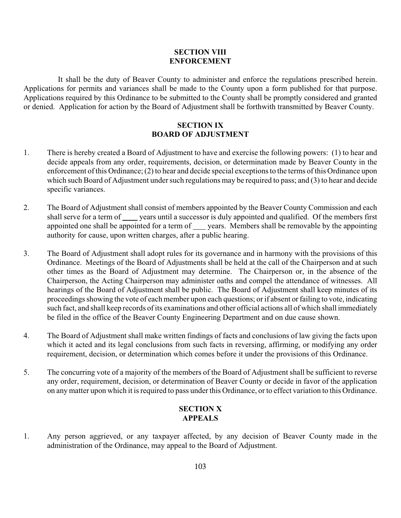## **SECTION VIII ENFORCEMENT**

 It shall be the duty of Beaver County to administer and enforce the regulations prescribed herein. Applications for permits and variances shall be made to the County upon a form published for that purpose. Applications required by this Ordinance to be submitted to the County shall be promptly considered and granted or denied. Application for action by the Board of Adjustment shall be forthwith transmitted by Beaver County.

## **SECTION IX BOARD OF ADJUSTMENT**

- 1. There is hereby created a Board of Adjustment to have and exercise the following powers: (1) to hear and decide appeals from any order, requirements, decision, or determination made by Beaver County in the enforcement of this Ordinance; (2) to hear and decide special exceptions to the terms of this Ordinance upon which such Board of Adjustment under such regulations may be required to pass; and (3) to hear and decide specific variances.
- 2. The Board of Adjustment shall consist of members appointed by the Beaver County Commission and each shall serve for a term of years until a successor is duly appointed and qualified. Of the members first appointed one shall be appointed for a term of years. Members shall be removable by the appointing authority for cause, upon written charges, after a public hearing.
- 3. The Board of Adjustment shall adopt rules for its governance and in harmony with the provisions of this Ordinance. Meetings of the Board of Adjustments shall be held at the call of the Chairperson and at such other times as the Board of Adjustment may determine. The Chairperson or, in the absence of the Chairperson, the Acting Chairperson may administer oaths and compel the attendance of witnesses. All hearings of the Board of Adjustment shall be public. The Board of Adjustment shall keep minutes of its proceedings showing the vote of each member upon each questions; or if absent or failing to vote, indicating such fact, and shall keep records of its examinations and other official actions all of which shall immediately be filed in the office of the Beaver County Engineering Department and on due cause shown.
- 4. The Board of Adjustment shall make written findings of facts and conclusions of law giving the facts upon which it acted and its legal conclusions from such facts in reversing, affirming, or modifying any order requirement, decision, or determination which comes before it under the provisions of this Ordinance.
- 5. The concurring vote of a majority of the members of the Board of Adjustment shall be sufficient to reverse any order, requirement, decision, or determination of Beaver County or decide in favor of the application on any matter upon which it is required to pass under this Ordinance, or to effect variation to this Ordinance.

## **SECTION X APPEALS**

1. Any person aggrieved, or any taxpayer affected, by any decision of Beaver County made in the administration of the Ordinance, may appeal to the Board of Adjustment.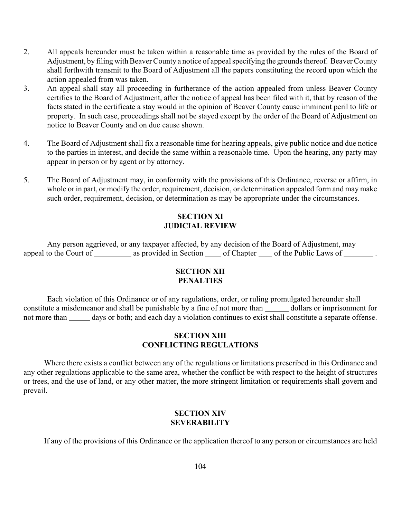- 2. All appeals hereunder must be taken within a reasonable time as provided by the rules of the Board of Adjustment, by filing with Beaver County a notice of appeal specifying the grounds thereof. Beaver County shall forthwith transmit to the Board of Adjustment all the papers constituting the record upon which the action appealed from was taken.
- 3. An appeal shall stay all proceeding in furtherance of the action appealed from unless Beaver County certifies to the Board of Adjustment, after the notice of appeal has been filed with it, that by reason of the facts stated in the certificate a stay would in the opinion of Beaver County cause imminent peril to life or property. In such case, proceedings shall not be stayed except by the order of the Board of Adjustment on notice to Beaver County and on due cause shown.
- 4. The Board of Adjustment shall fix a reasonable time for hearing appeals, give public notice and due notice to the parties in interest, and decide the same within a reasonable time. Upon the hearing, any party may appear in person or by agent or by attorney.
- 5. The Board of Adjustment may, in conformity with the provisions of this Ordinance, reverse or affirm, in whole or in part, or modify the order, requirement, decision, or determination appealed form and may make such order, requirement, decision, or determination as may be appropriate under the circumstances.

# **SECTION XI JUDICIAL REVIEW**

 Any person aggrieved, or any taxpayer affected, by any decision of the Board of Adjustment, may appeal to the Court of \_\_\_\_\_\_\_\_\_\_ as provided in Section \_\_\_\_\_ of Chapter \_\_\_\_\_ of the Public Laws of \_\_\_\_\_\_\_\_\_.

## **SECTION XII PENALTIES**

 Each violation of this Ordinance or of any regulations, order, or ruling promulgated hereunder shall constitute a misdemeanor and shall be punishable by a fine of not more than dollars or imprisonment for not more than days or both; and each day a violation continues to exist shall constitute a separate offense.

## **SECTION XIII CONFLICTING REGULATIONS**

 Where there exists a conflict between any of the regulations or limitations prescribed in this Ordinance and any other regulations applicable to the same area, whether the conflict be with respect to the height of structures or trees, and the use of land, or any other matter, the more stringent limitation or requirements shall govern and prevail.

# **SECTION XIV SEVERABILITY**

If any of the provisions of this Ordinance or the application thereof to any person or circumstances are held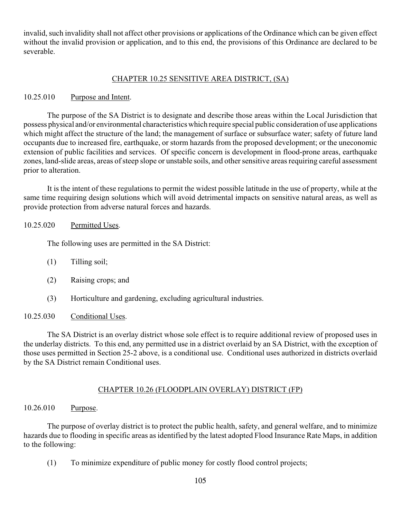invalid, such invalidity shall not affect other provisions or applications of the Ordinance which can be given effect without the invalid provision or application, and to this end, the provisions of this Ordinance are declared to be severable.

#### CHAPTER 10.25 SENSITIVE AREA DISTRICT, (SA)

#### 10.25.010 Purpose and Intent.

The purpose of the SA District is to designate and describe those areas within the Local Jurisdiction that possess physical and/or environmental characteristics which require special public consideration of use applications which might affect the structure of the land; the management of surface or subsurface water; safety of future land occupants due to increased fire, earthquake, or storm hazards from the proposed development; or the uneconomic extension of public facilities and services. Of specific concern is development in flood-prone areas, earthquake zones, land-slide areas, areas of steep slope or unstable soils, and other sensitive areas requiring careful assessment prior to alteration.

It is the intent of these regulations to permit the widest possible latitude in the use of property, while at the same time requiring design solutions which will avoid detrimental impacts on sensitive natural areas, as well as provide protection from adverse natural forces and hazards.

#### 10.25.020 Permitted Uses.

The following uses are permitted in the SA District:

- (1) Tilling soil;
- (2) Raising crops; and
- (3) Horticulture and gardening, excluding agricultural industries.

## 10.25.030 Conditional Uses.

The SA District is an overlay district whose sole effect is to require additional review of proposed uses in the underlay districts. To this end, any permitted use in a district overlaid by an SA District, with the exception of those uses permitted in Section 25-2 above, is a conditional use. Conditional uses authorized in districts overlaid by the SA District remain Conditional uses.

## CHAPTER 10.26 (FLOODPLAIN OVERLAY) DISTRICT (FP)

#### 10.26.010 Purpose.

The purpose of overlay district is to protect the public health, safety, and general welfare, and to minimize hazards due to flooding in specific areas as identified by the latest adopted Flood Insurance Rate Maps, in addition to the following:

(1) To minimize expenditure of public money for costly flood control projects;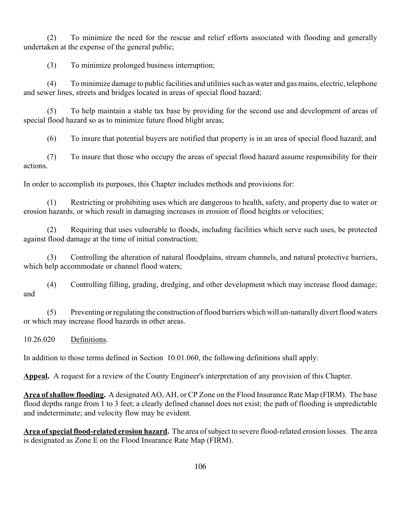(2) To minimize the need for the rescue and relief efforts associated with flooding and generally undertaken at the expense of the general public;

(3) To minimize prolonged business interruption;

(4) To minimize damage to public facilities and utilities such as water and gas mains, electric, telephone and sewer lines, streets and bridges located in areas of special flood hazard;

(5) To help maintain a stable tax base by providing for the second use and development of areas of special flood hazard so as to minimize future flood blight areas;

(6) To insure that potential buyers are notified that property is in an area of special flood hazard; and

(7) To insure that those who occupy the areas of special flood hazard assume responsibility for their actions.

In order to accomplish its purposes, this Chapter includes methods and provisions for:

(1) Restricting or prohibiting uses which are dangerous to health, safety, and property due to water or erosion hazards, or which result in damaging increases in erosion of flood heights or velocities;

(2) Requiring that uses vulnerable to floods, including facilities which serve such uses, be protected against flood damage at the time of initial construction;

(3) Controlling the alteration of natural floodplains, stream channels, and natural protective barriers, which help accommodate or channel flood waters;

(4) Controlling filling, grading, dredging, and other development which may increase flood damage; and

(5) Preventing or regulating the construction of flood barriers which will un-naturally divert flood waters or which may increase flood hazards in other areas.

10.26.020 Definitions.

In addition to those terms defined in Section 10.01.060, the following definitions shall apply:

**Appeal.** A request for a review of the County Engineer's interpretation of any provision of this Chapter.

**Area of shallow flooding.** A designated AO, AH, or CP Zone on the Flood Insurance Rate Map (FIRM). The base flood depths range from 1 to 3 feet; a clearly defined channel does not exist; the path of flooding is unpredictable and indeterminate; and velocity flow may be evident.

**Area of special flood-related erosion hazard.** The area of subject to severe flood-related erosion losses. The area is designated as Zone E on the Flood Insurance Rate Map (FIRM).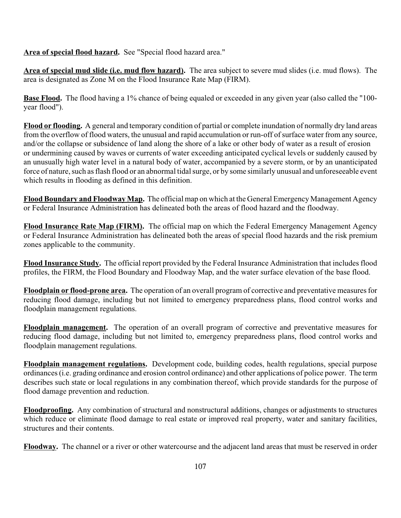**Area of special flood hazard.** See "Special flood hazard area."

**Area of special mud slide (i.e. mud flow hazard).** The area subject to severe mud slides (i.e. mud flows). The area is designated as Zone M on the Flood Insurance Rate Map (FIRM).

**Base Flood.** The flood having a 1% chance of being equaled or exceeded in any given year (also called the "100year flood").

**Flood or flooding.** A general and temporary condition of partial or complete inundation of normally dry land areas from the overflow of flood waters, the unusual and rapid accumulation or run-off of surface water from any source, and/or the collapse or subsidence of land along the shore of a lake or other body of water as a result of erosion or undermining caused by waves or currents of water exceeding anticipated cyclical levels or suddenly caused by an unusually high water level in a natural body of water, accompanied by a severe storm, or by an unanticipated force of nature, such as flash flood or an abnormal tidal surge, or by some similarly unusual and unforeseeable event which results in flooding as defined in this definition.

**Flood Boundary and Floodway Map.** The official map on which at the General Emergency Management Agency or Federal Insurance Administration has delineated both the areas of flood hazard and the floodway.

**Flood Insurance Rate Map (FIRM).** The official map on which the Federal Emergency Management Agency or Federal Insurance Administration has delineated both the areas of special flood hazards and the risk premium zones applicable to the community.

**Flood Insurance Study.** The official report provided by the Federal Insurance Administration that includes flood profiles, the FIRM, the Flood Boundary and Floodway Map, and the water surface elevation of the base flood.

**Floodplain or flood-prone area.** The operation of an overall program of corrective and preventative measures for reducing flood damage, including but not limited to emergency preparedness plans, flood control works and floodplain management regulations.

**Floodplain management.** The operation of an overall program of corrective and preventative measures for reducing flood damage, including but not limited to, emergency preparedness plans, flood control works and floodplain management regulations.

**Floodplain management regulations.** Development code, building codes, health regulations, special purpose ordinances (i.e. grading ordinance and erosion control ordinance) and other applications of police power. The term describes such state or local regulations in any combination thereof, which provide standards for the purpose of flood damage prevention and reduction.

**Floodproofing.** Any combination of structural and nonstructural additions, changes or adjustments to structures which reduce or eliminate flood damage to real estate or improved real property, water and sanitary facilities, structures and their contents.

**Floodway.** The channel or a river or other watercourse and the adjacent land areas that must be reserved in order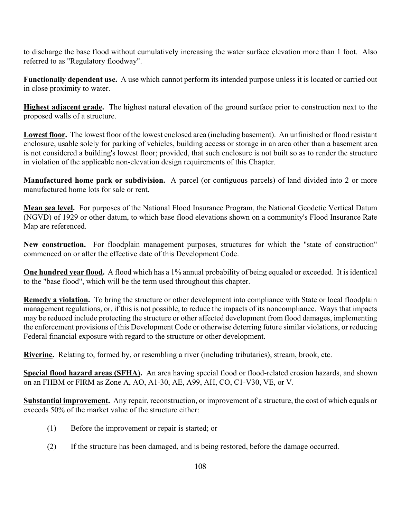to discharge the base flood without cumulatively increasing the water surface elevation more than 1 foot. Also referred to as "Regulatory floodway".

**Functionally dependent use.** A use which cannot perform its intended purpose unless it is located or carried out in close proximity to water.

**Highest adjacent grade.** The highest natural elevation of the ground surface prior to construction next to the proposed walls of a structure.

**Lowest floor.** The lowest floor of the lowest enclosed area (including basement). An unfinished or flood resistant enclosure, usable solely for parking of vehicles, building access or storage in an area other than a basement area is not considered a building's lowest floor; provided, that such enclosure is not built so as to render the structure in violation of the applicable non-elevation design requirements of this Chapter.

**Manufactured home park or subdivision.** A parcel (or contiguous parcels) of land divided into 2 or more manufactured home lots for sale or rent.

**Mean sea level.** For purposes of the National Flood Insurance Program, the National Geodetic Vertical Datum (NGVD) of 1929 or other datum, to which base flood elevations shown on a community's Flood Insurance Rate Map are referenced.

**New construction.** For floodplain management purposes, structures for which the "state of construction" commenced on or after the effective date of this Development Code.

**One hundred year flood.** A flood which has a 1% annual probability of being equaled or exceeded. It is identical to the "base flood", which will be the term used throughout this chapter.

**Remedy a violation.** To bring the structure or other development into compliance with State or local floodplain management regulations, or, if this is not possible, to reduce the impacts of its noncompliance. Ways that impacts may be reduced include protecting the structure or other affected development from flood damages, implementing the enforcement provisions of this Development Code or otherwise deterring future similar violations, or reducing Federal financial exposure with regard to the structure or other development.

**Riverine.** Relating to, formed by, or resembling a river (including tributaries), stream, brook, etc.

**Special flood hazard areas (SFHA).** An area having special flood or flood-related erosion hazards, and shown on an FHBM or FIRM as Zone A, AO, A1-30, AE, A99, AH, CO, C1-V30, VE, or V.

**Substantial improvement.** Any repair, reconstruction, or improvement of a structure, the cost of which equals or exceeds 50% of the market value of the structure either:

- (1) Before the improvement or repair is started; or
- (2) If the structure has been damaged, and is being restored, before the damage occurred.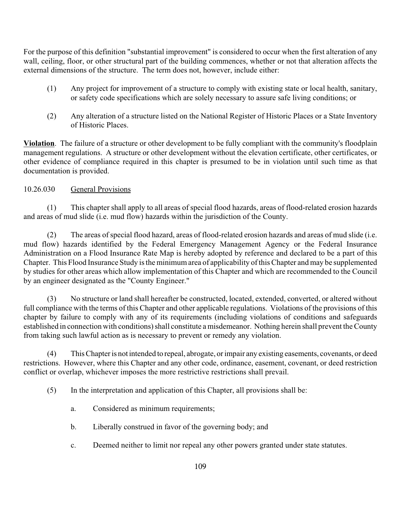For the purpose of this definition "substantial improvement" is considered to occur when the first alteration of any wall, ceiling, floor, or other structural part of the building commences, whether or not that alteration affects the external dimensions of the structure. The term does not, however, include either:

- (1) Any project for improvement of a structure to comply with existing state or local health, sanitary, or safety code specifications which are solely necessary to assure safe living conditions; or
- (2) Any alteration of a structure listed on the National Register of Historic Places or a State Inventory of Historic Places.

**Violation**. The failure of a structure or other development to be fully compliant with the community's floodplain management regulations. A structure or other development without the elevation certificate, other certificates, or other evidence of compliance required in this chapter is presumed to be in violation until such time as that documentation is provided.

# 10.26.030 General Provisions

(1) This chapter shall apply to all areas of special flood hazards, areas of flood-related erosion hazards and areas of mud slide (i.e. mud flow) hazards within the jurisdiction of the County.

(2) The areas of special flood hazard, areas of flood-related erosion hazards and areas of mud slide (i.e. mud flow) hazards identified by the Federal Emergency Management Agency or the Federal Insurance Administration on a Flood Insurance Rate Map is hereby adopted by reference and declared to be a part of this Chapter. This Flood Insurance Study is the minimum area of applicability of this Chapter and may be supplemented by studies for other areas which allow implementation of this Chapter and which are recommended to the Council by an engineer designated as the "County Engineer."

(3) No structure or land shall hereafter be constructed, located, extended, converted, or altered without full compliance with the terms of this Chapter and other applicable regulations. Violations of the provisions of this chapter by failure to comply with any of its requirements (including violations of conditions and safeguards established in connection with conditions) shall constitute a misdemeanor. Nothing herein shall prevent the County from taking such lawful action as is necessary to prevent or remedy any violation.

(4) This Chapter is not intended to repeal, abrogate, or impair any existing easements, covenants, or deed restrictions. However, where this Chapter and any other code, ordinance, easement, covenant, or deed restriction conflict or overlap, whichever imposes the more restrictive restrictions shall prevail.

(5) In the interpretation and application of this Chapter, all provisions shall be:

- a. Considered as minimum requirements;
- b. Liberally construed in favor of the governing body; and
- c. Deemed neither to limit nor repeal any other powers granted under state statutes.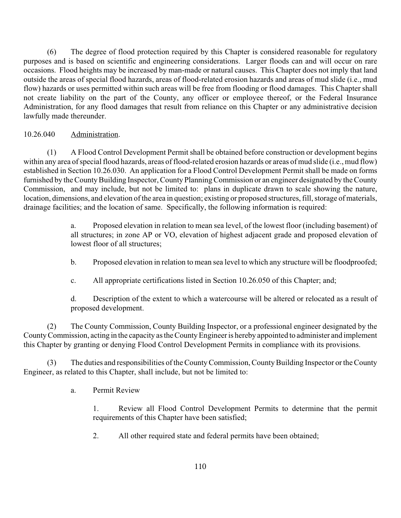(6) The degree of flood protection required by this Chapter is considered reasonable for regulatory purposes and is based on scientific and engineering considerations. Larger floods can and will occur on rare occasions. Flood heights may be increased by man-made or natural causes. This Chapter does not imply that land outside the areas of special flood hazards, areas of flood-related erosion hazards and areas of mud slide (i.e., mud flow) hazards or uses permitted within such areas will be free from flooding or flood damages. This Chapter shall not create liability on the part of the County, any officer or employee thereof, or the Federal Insurance Administration, for any flood damages that result from reliance on this Chapter or any administrative decision lawfully made thereunder.

## 10.26.040 Administration.

(1) A Flood Control Development Permit shall be obtained before construction or development begins within any area of special flood hazards, areas of flood-related erosion hazards or areas of mud slide (i.e., mud flow) established in Section 10.26.030. An application for a Flood Control Development Permit shall be made on forms furnished by the County Building Inspector, County Planning Commission or an engineer designated by the County Commission, and may include, but not be limited to: plans in duplicate drawn to scale showing the nature, location, dimensions, and elevation of the area in question; existing or proposed structures, fill, storage of materials, drainage facilities; and the location of same. Specifically, the following information is required:

> a. Proposed elevation in relation to mean sea level, of the lowest floor (including basement) of all structures; in zone AP or VO, elevation of highest adjacent grade and proposed elevation of lowest floor of all structures;

- b. Proposed elevation in relation to mean sea level to which any structure will be floodproofed;
- c. All appropriate certifications listed in Section 10.26.050 of this Chapter; and;

d. Description of the extent to which a watercourse will be altered or relocated as a result of proposed development.

(2) The County Commission, County Building Inspector, or a professional engineer designated by the County Commission, acting in the capacity as the County Engineer is hereby appointed to administer and implement this Chapter by granting or denying Flood Control Development Permits in compliance with its provisions.

(3) The duties and responsibilities of the County Commission, County Building Inspector or the County Engineer, as related to this Chapter, shall include, but not be limited to:

a. Permit Review

1. Review all Flood Control Development Permits to determine that the permit requirements of this Chapter have been satisfied;

2. All other required state and federal permits have been obtained;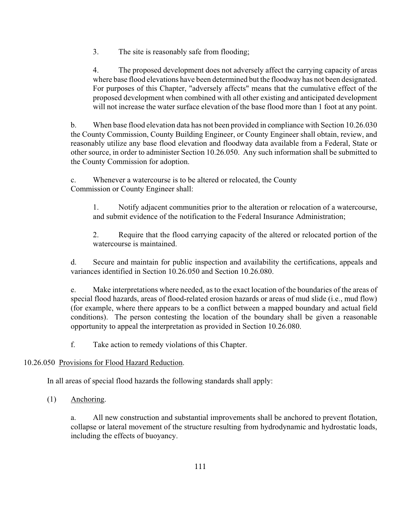3. The site is reasonably safe from flooding;

4. The proposed development does not adversely affect the carrying capacity of areas where base flood elevations have been determined but the floodway has not been designated. For purposes of this Chapter, "adversely affects" means that the cumulative effect of the proposed development when combined with all other existing and anticipated development will not increase the water surface elevation of the base flood more than 1 foot at any point.

b. When base flood elevation data has not been provided in compliance with Section 10.26.030 the County Commission, County Building Engineer, or County Engineer shall obtain, review, and reasonably utilize any base flood elevation and floodway data available from a Federal, State or other source, in order to administer Section 10.26.050. Any such information shall be submitted to the County Commission for adoption.

c. Whenever a watercourse is to be altered or relocated, the County Commission or County Engineer shall:

1. Notify adjacent communities prior to the alteration or relocation of a watercourse, and submit evidence of the notification to the Federal Insurance Administration;

2. Require that the flood carrying capacity of the altered or relocated portion of the watercourse is maintained.

d. Secure and maintain for public inspection and availability the certifications, appeals and variances identified in Section 10.26.050 and Section 10.26.080.

e. Make interpretations where needed, as to the exact location of the boundaries of the areas of special flood hazards, areas of flood-related erosion hazards or areas of mud slide (i.e., mud flow) (for example, where there appears to be a conflict between a mapped boundary and actual field conditions). The person contesting the location of the boundary shall be given a reasonable opportunity to appeal the interpretation as provided in Section 10.26.080.

f. Take action to remedy violations of this Chapter.

# 10.26.050 Provisions for Flood Hazard Reduction.

In all areas of special flood hazards the following standards shall apply:

(1) Anchoring.

a. All new construction and substantial improvements shall be anchored to prevent flotation, collapse or lateral movement of the structure resulting from hydrodynamic and hydrostatic loads, including the effects of buoyancy.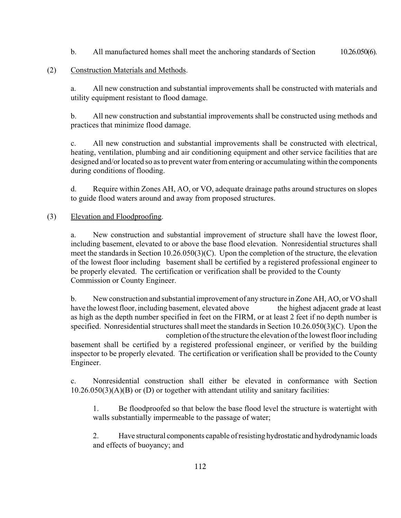b. All manufactured homes shall meet the anchoring standards of Section 10.26.050(6).

## (2) Construction Materials and Methods.

a. All new construction and substantial improvements shall be constructed with materials and utility equipment resistant to flood damage.

b. All new construction and substantial improvements shall be constructed using methods and practices that minimize flood damage.

c. All new construction and substantial improvements shall be constructed with electrical, heating, ventilation, plumbing and air conditioning equipment and other service facilities that are designed and/or located so as to prevent water from entering or accumulating within the components during conditions of flooding.

d. Require within Zones AH, AO, or VO, adequate drainage paths around structures on slopes to guide flood waters around and away from proposed structures.

#### (3) Elevation and Floodproofing.

a. New construction and substantial improvement of structure shall have the lowest floor, including basement, elevated to or above the base flood elevation. Nonresidential structures shall meet the standards in Section 10.26.050(3)(C). Upon the completion of the structure, the elevation of the lowest floor including basement shall be certified by a registered professional engineer to be properly elevated. The certification or verification shall be provided to the County Commission or County Engineer.

b. New construction and substantial improvement of any structure in Zone AH, AO, or VO shall have the lowest floor, including basement, elevated above the highest adjacent grade at least as high as the depth number specified in feet on the FIRM, or at least 2 feet if no depth number is specified. Nonresidential structures shall meet the standards in Section 10.26.050(3)(C). Upon the completion of the structure the elevation of the lowest floor including basement shall be certified by a registered professional engineer, or verified by the building inspector to be properly elevated. The certification or verification shall be provided to the County Engineer.

c. Nonresidential construction shall either be elevated in conformance with Section 10.26.050(3)(A)(B) or (D) or together with attendant utility and sanitary facilities:

1. Be floodproofed so that below the base flood level the structure is watertight with walls substantially impermeable to the passage of water;

2. Have structural components capable of resisting hydrostatic and hydrodynamic loads and effects of buoyancy; and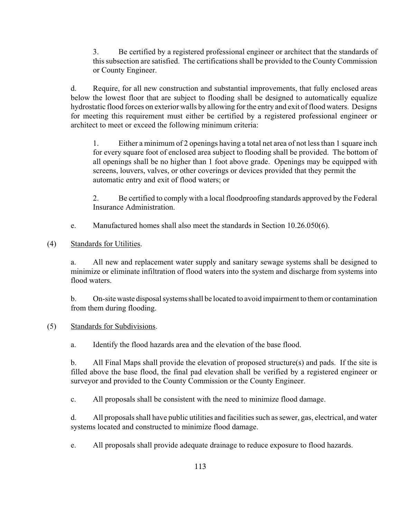3. Be certified by a registered professional engineer or architect that the standards of this subsection are satisfied. The certifications shall be provided to the County Commission or County Engineer.

d. Require, for all new construction and substantial improvements, that fully enclosed areas below the lowest floor that are subject to flooding shall be designed to automatically equalize hydrostatic flood forces on exterior walls by allowing for the entry and exit of flood waters. Designs for meeting this requirement must either be certified by a registered professional engineer or architect to meet or exceed the following minimum criteria:

1. Either a minimum of 2 openings having a total net area of not less than 1 square inch for every square foot of enclosed area subject to flooding shall be provided. The bottom of all openings shall be no higher than 1 foot above grade. Openings may be equipped with screens, louvers, valves, or other coverings or devices provided that they permit the automatic entry and exit of flood waters; or

2. Be certified to comply with a local floodproofing standards approved by the Federal Insurance Administration.

e. Manufactured homes shall also meet the standards in Section 10.26.050(6).

(4) Standards for Utilities.

a. All new and replacement water supply and sanitary sewage systems shall be designed to minimize or eliminate infiltration of flood waters into the system and discharge from systems into flood waters.

b. On-site waste disposal systems shall be located to avoid impairment to them or contamination from them during flooding.

# (5) Standards for Subdivisions.

a. Identify the flood hazards area and the elevation of the base flood.

b. All Final Maps shall provide the elevation of proposed structure(s) and pads. If the site is filled above the base flood, the final pad elevation shall be verified by a registered engineer or surveyor and provided to the County Commission or the County Engineer.

c. All proposals shall be consistent with the need to minimize flood damage.

d. All proposals shall have public utilities and facilities such as sewer, gas, electrical, and water systems located and constructed to minimize flood damage.

e. All proposals shall provide adequate drainage to reduce exposure to flood hazards.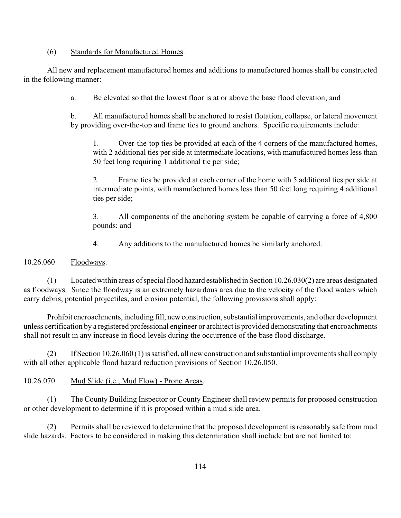#### (6) Standards for Manufactured Homes.

All new and replacement manufactured homes and additions to manufactured homes shall be constructed in the following manner:

a. Be elevated so that the lowest floor is at or above the base flood elevation; and

b. All manufactured homes shall be anchored to resist flotation, collapse, or lateral movement by providing over-the-top and frame ties to ground anchors. Specific requirements include:

1. Over-the-top ties be provided at each of the 4 corners of the manufactured homes, with 2 additional ties per side at intermediate locations, with manufactured homes less than 50 feet long requiring 1 additional tie per side;

2. Frame ties be provided at each corner of the home with 5 additional ties per side at intermediate points, with manufactured homes less than 50 feet long requiring 4 additional ties per side;

3. All components of the anchoring system be capable of carrying a force of 4,800 pounds; and

4. Any additions to the manufactured homes be similarly anchored.

10.26.060 Floodways.

(1) Located within areas of special flood hazard established in Section 10.26.030(2) are areas designated as floodways. Since the floodway is an extremely hazardous area due to the velocity of the flood waters which carry debris, potential projectiles, and erosion potential, the following provisions shall apply:

Prohibit encroachments, including fill, new construction, substantial improvements, and other development unless certification by a registered professional engineer or architect is provided demonstrating that encroachments shall not result in any increase in flood levels during the occurrence of the base flood discharge.

(2) If Section 10.26.060 (1) is satisfied, all new construction and substantial improvements shall comply with all other applicable flood hazard reduction provisions of Section 10.26.050.

# 10.26.070 Mud Slide (i.e., Mud Flow) - Prone Areas.

(1) The County Building Inspector or County Engineer shall review permits for proposed construction or other development to determine if it is proposed within a mud slide area.

(2) Permits shall be reviewed to determine that the proposed development is reasonably safe from mud slide hazards. Factors to be considered in making this determination shall include but are not limited to: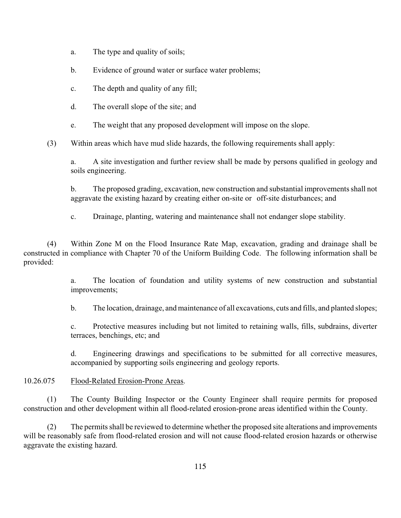- a. The type and quality of soils;
- b. Evidence of ground water or surface water problems;
- c. The depth and quality of any fill;
- d. The overall slope of the site; and
- e. The weight that any proposed development will impose on the slope.

(3) Within areas which have mud slide hazards, the following requirements shall apply:

a. A site investigation and further review shall be made by persons qualified in geology and soils engineering.

b. The proposed grading, excavation, new construction and substantial improvements shall not aggravate the existing hazard by creating either on-site or off-site disturbances; and

c. Drainage, planting, watering and maintenance shall not endanger slope stability.

(4) Within Zone M on the Flood Insurance Rate Map, excavation, grading and drainage shall be constructed in compliance with Chapter 70 of the Uniform Building Code. The following information shall be provided:

> a. The location of foundation and utility systems of new construction and substantial improvements;

> b. The location, drainage, and maintenance of all excavations, cuts and fills, and planted slopes;

c. Protective measures including but not limited to retaining walls, fills, subdrains, diverter terraces, benchings, etc; and

d. Engineering drawings and specifications to be submitted for all corrective measures, accompanied by supporting soils engineering and geology reports.

## 10.26.075 Flood-Related Erosion-Prone Areas.

(1) The County Building Inspector or the County Engineer shall require permits for proposed construction and other development within all flood-related erosion-prone areas identified within the County.

(2) The permits shall be reviewed to determine whether the proposed site alterations and improvements will be reasonably safe from flood-related erosion and will not cause flood-related erosion hazards or otherwise aggravate the existing hazard.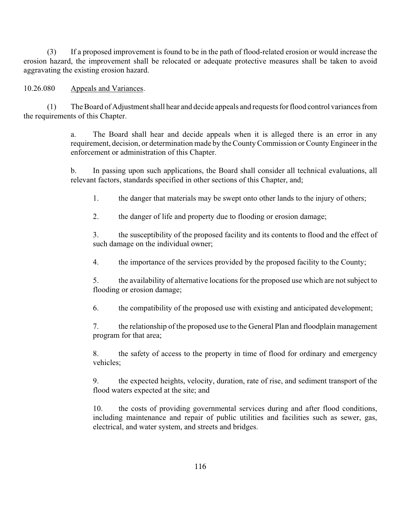(3) If a proposed improvement is found to be in the path of flood-related erosion or would increase the erosion hazard, the improvement shall be relocated or adequate protective measures shall be taken to avoid aggravating the existing erosion hazard.

10.26.080 Appeals and Variances.

(1) The Board of Adjustment shall hear and decide appeals and requests for flood control variances from the requirements of this Chapter.

> a. The Board shall hear and decide appeals when it is alleged there is an error in any requirement, decision, or determination made by the County Commission or County Engineer in the enforcement or administration of this Chapter.

> b. In passing upon such applications, the Board shall consider all technical evaluations, all relevant factors, standards specified in other sections of this Chapter, and;

1. the danger that materials may be swept onto other lands to the injury of others;

2. the danger of life and property due to flooding or erosion damage;

3. the susceptibility of the proposed facility and its contents to flood and the effect of such damage on the individual owner;

4. the importance of the services provided by the proposed facility to the County;

5. the availability of alternative locations for the proposed use which are not subject to flooding or erosion damage;

6. the compatibility of the proposed use with existing and anticipated development;

7. the relationship of the proposed use to the General Plan and floodplain management program for that area;

8. the safety of access to the property in time of flood for ordinary and emergency vehicles;

9. the expected heights, velocity, duration, rate of rise, and sediment transport of the flood waters expected at the site; and

10. the costs of providing governmental services during and after flood conditions, including maintenance and repair of public utilities and facilities such as sewer, gas, electrical, and water system, and streets and bridges.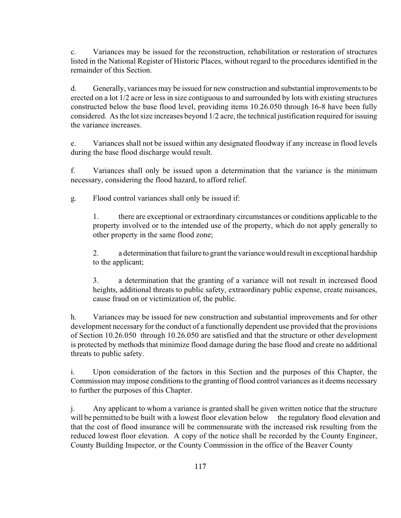c. Variances may be issued for the reconstruction, rehabilitation or restoration of structures listed in the National Register of Historic Places, without regard to the procedures identified in the remainder of this Section.

d. Generally, variances may be issued for new construction and substantial improvements to be erected on a lot 1/2 acre or less in size contiguous to and surrounded by lots with existing structures constructed below the base flood level, providing items 10.26.050 through 16-8 have been fully considered. As the lot size increases beyond 1/2 acre, the technical justification required for issuing the variance increases.

e. Variances shall not be issued within any designated floodway if any increase in flood levels during the base flood discharge would result.

f. Variances shall only be issued upon a determination that the variance is the minimum necessary, considering the flood hazard, to afford relief.

g. Flood control variances shall only be issued if:

1. there are exceptional or extraordinary circumstances or conditions applicable to the property involved or to the intended use of the property, which do not apply generally to other property in the same flood zone;

2. a determination that failure to grant the variance would result in exceptional hardship to the applicant;

3. a determination that the granting of a variance will not result in increased flood heights, additional threats to public safety, extraordinary public expense, create nuisances, cause fraud on or victimization of, the public.

h. Variances may be issued for new construction and substantial improvements and for other development necessary for the conduct of a functionally dependent use provided that the provisions of Section 10.26.050 through 10.26.050 are satisfied and that the structure or other development is protected by methods that minimize flood damage during the base flood and create no additional threats to public safety.

i. Upon consideration of the factors in this Section and the purposes of this Chapter, the Commission may impose conditions to the granting of flood control variances as it deems necessary to further the purposes of this Chapter.

j. Any applicant to whom a variance is granted shall be given written notice that the structure will be permitted to be built with a lowest floor elevation below the regulatory flood elevation and that the cost of flood insurance will be commensurate with the increased risk resulting from the reduced lowest floor elevation. A copy of the notice shall be recorded by the County Engineer, County Building Inspector, or the County Commission in the office of the Beaver County